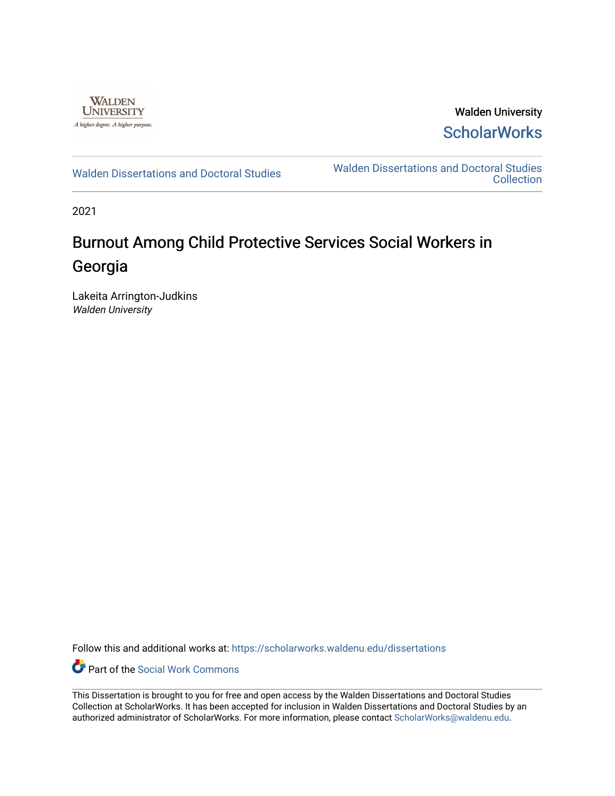

Walden University **ScholarWorks** 

[Walden Dissertations and Doctoral Studies](https://scholarworks.waldenu.edu/dissertations) Walden Dissertations and Doctoral Studies **Collection** 

2021

# Burnout Among Child Protective Services Social Workers in Georgia

Lakeita Arrington-Judkins Walden University

Follow this and additional works at: [https://scholarworks.waldenu.edu/dissertations](https://scholarworks.waldenu.edu/dissertations?utm_source=scholarworks.waldenu.edu%2Fdissertations%2F9914&utm_medium=PDF&utm_campaign=PDFCoverPages)

**C** Part of the [Social Work Commons](http://network.bepress.com/hgg/discipline/713?utm_source=scholarworks.waldenu.edu%2Fdissertations%2F9914&utm_medium=PDF&utm_campaign=PDFCoverPages)

This Dissertation is brought to you for free and open access by the Walden Dissertations and Doctoral Studies Collection at ScholarWorks. It has been accepted for inclusion in Walden Dissertations and Doctoral Studies by an authorized administrator of ScholarWorks. For more information, please contact [ScholarWorks@waldenu.edu](mailto:ScholarWorks@waldenu.edu).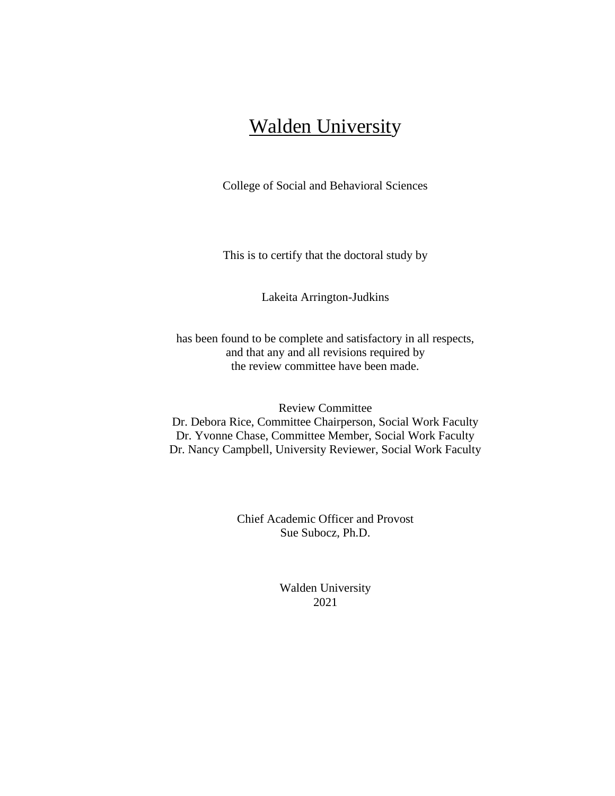# Walden University

College of Social and Behavioral Sciences

This is to certify that the doctoral study by

Lakeita Arrington-Judkins

has been found to be complete and satisfactory in all respects, and that any and all revisions required by the review committee have been made.

Review Committee Dr. Debora Rice, Committee Chairperson, Social Work Faculty Dr. Yvonne Chase, Committee Member, Social Work Faculty Dr. Nancy Campbell, University Reviewer, Social Work Faculty

> Chief Academic Officer and Provost Sue Subocz, Ph.D.

> > Walden University 2021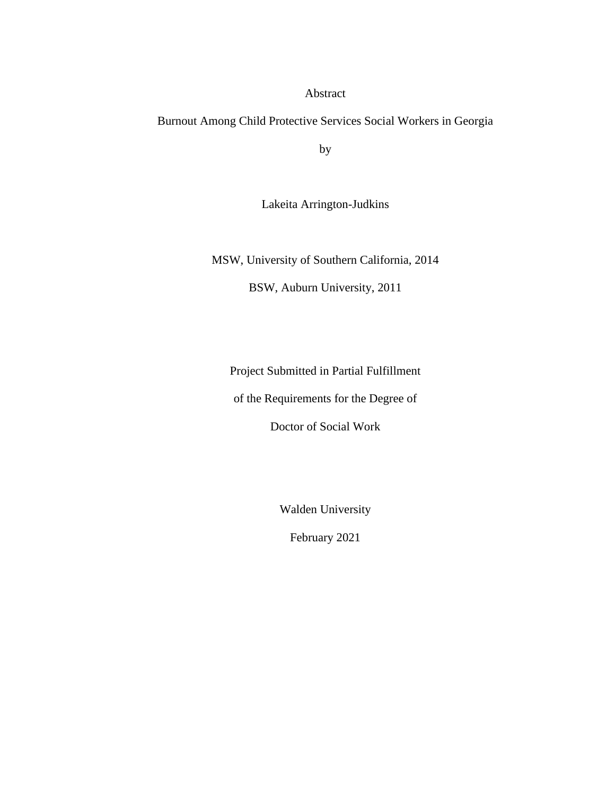Abstract

Burnout Among Child Protective Services Social Workers in Georgia

by

Lakeita Arrington-Judkins

MSW, University of Southern California, 2014

BSW, Auburn University, 2011

Project Submitted in Partial Fulfillment

of the Requirements for the Degree of

Doctor of Social Work

Walden University

February 2021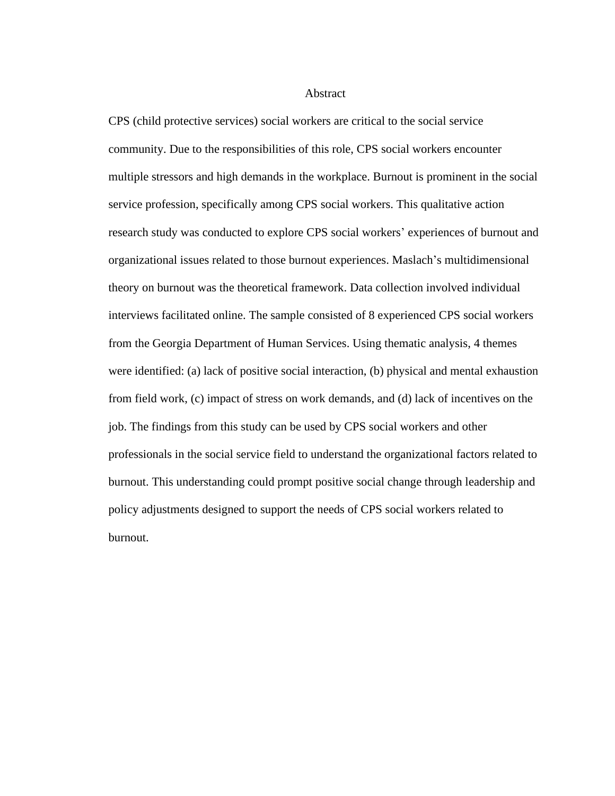# Abstract

CPS (child protective services) social workers are critical to the social service community. Due to the responsibilities of this role, CPS social workers encounter multiple stressors and high demands in the workplace. Burnout is prominent in the social service profession, specifically among CPS social workers. This qualitative action research study was conducted to explore CPS social workers' experiences of burnout and organizational issues related to those burnout experiences. Maslach's multidimensional theory on burnout was the theoretical framework. Data collection involved individual interviews facilitated online. The sample consisted of 8 experienced CPS social workers from the Georgia Department of Human Services. Using thematic analysis, 4 themes were identified: (a) lack of positive social interaction, (b) physical and mental exhaustion from field work, (c) impact of stress on work demands, and (d) lack of incentives on the job. The findings from this study can be used by CPS social workers and other professionals in the social service field to understand the organizational factors related to burnout. This understanding could prompt positive social change through leadership and policy adjustments designed to support the needs of CPS social workers related to burnout.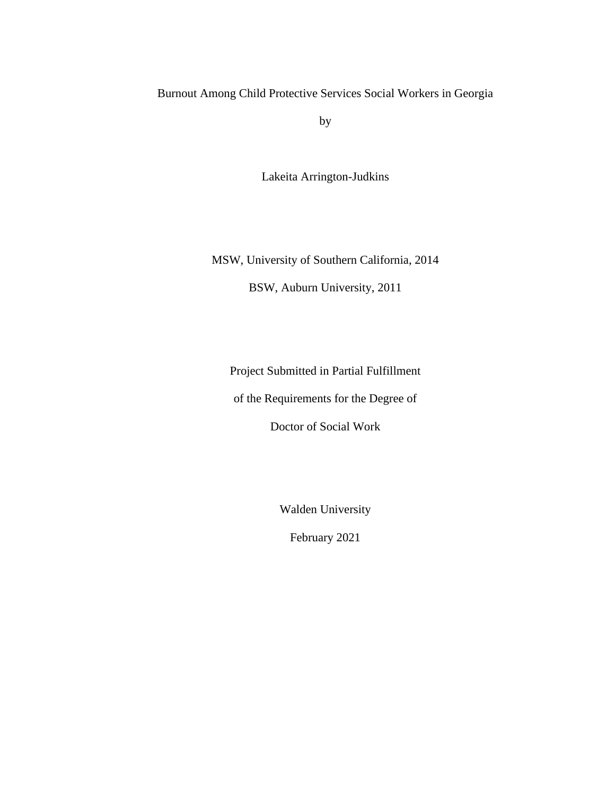Burnout Among Child Protective Services Social Workers in Georgia

by

Lakeita Arrington-Judkins

MSW, University of Southern California, 2014

BSW, Auburn University, 2011

Project Submitted in Partial Fulfillment

of the Requirements for the Degree of

Doctor of Social Work

Walden University

February 2021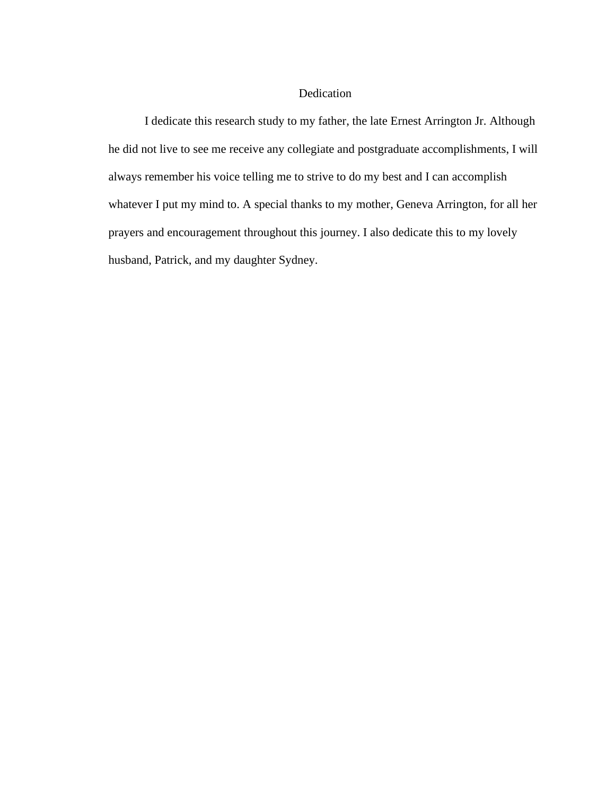# Dedication

I dedicate this research study to my father, the late Ernest Arrington Jr. Although he did not live to see me receive any collegiate and postgraduate accomplishments, I will always remember his voice telling me to strive to do my best and I can accomplish whatever I put my mind to. A special thanks to my mother, Geneva Arrington, for all her prayers and encouragement throughout this journey. I also dedicate this to my lovely husband, Patrick, and my daughter Sydney.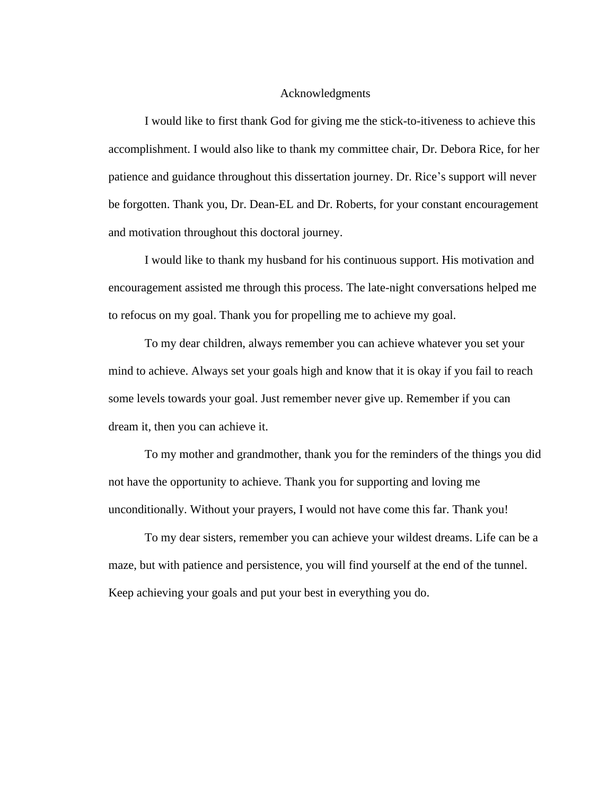# Acknowledgments

I would like to first thank God for giving me the stick-to-itiveness to achieve this accomplishment. I would also like to thank my committee chair, Dr. Debora Rice, for her patience and guidance throughout this dissertation journey. Dr. Rice's support will never be forgotten. Thank you, Dr. Dean-EL and Dr. Roberts, for your constant encouragement and motivation throughout this doctoral journey.

I would like to thank my husband for his continuous support. His motivation and encouragement assisted me through this process. The late-night conversations helped me to refocus on my goal. Thank you for propelling me to achieve my goal.

To my dear children, always remember you can achieve whatever you set your mind to achieve. Always set your goals high and know that it is okay if you fail to reach some levels towards your goal. Just remember never give up. Remember if you can dream it, then you can achieve it.

To my mother and grandmother, thank you for the reminders of the things you did not have the opportunity to achieve. Thank you for supporting and loving me unconditionally. Without your prayers, I would not have come this far. Thank you!

To my dear sisters, remember you can achieve your wildest dreams. Life can be a maze, but with patience and persistence, you will find yourself at the end of the tunnel. Keep achieving your goals and put your best in everything you do.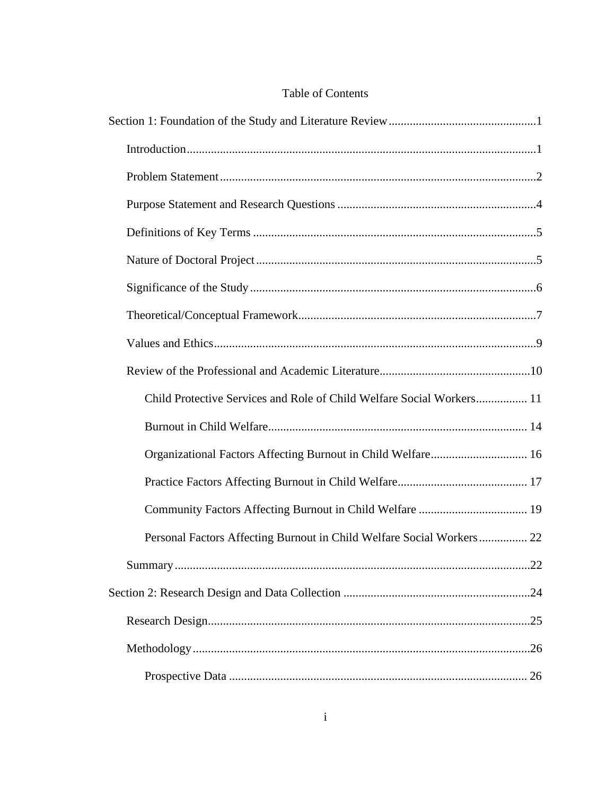| <b>Table of Contents</b> |  |
|--------------------------|--|
|--------------------------|--|

| Child Protective Services and Role of Child Welfare Social Workers 11 |
|-----------------------------------------------------------------------|
|                                                                       |
| Organizational Factors Affecting Burnout in Child Welfare 16          |
|                                                                       |
|                                                                       |
| Personal Factors Affecting Burnout in Child Welfare Social Workers 22 |
|                                                                       |
|                                                                       |
|                                                                       |
|                                                                       |
|                                                                       |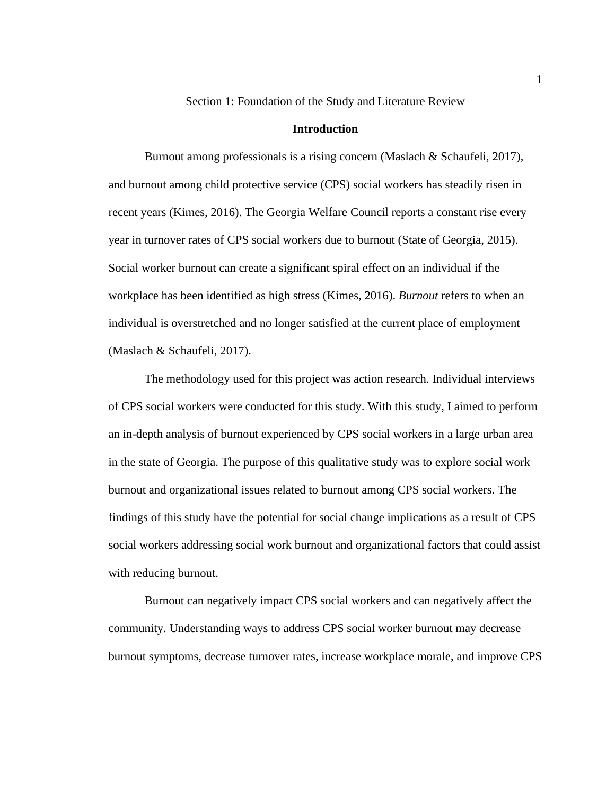Section 1: Foundation of the Study and Literature Review

## **Introduction**

<span id="page-10-1"></span><span id="page-10-0"></span>Burnout among professionals is a rising concern (Maslach & Schaufeli, 2017), and burnout among child protective service (CPS) social workers has steadily risen in recent years (Kimes, 2016). The Georgia Welfare Council reports a constant rise every year in turnover rates of CPS social workers due to burnout (State of Georgia, 2015). Social worker burnout can create a significant spiral effect on an individual if the workplace has been identified as high stress (Kimes, 2016). *Burnout* refers to when an individual is overstretched and no longer satisfied at the current place of employment (Maslach & Schaufeli, 2017).

The methodology used for this project was action research. Individual interviews of CPS social workers were conducted for this study. With this study, I aimed to perform an in-depth analysis of burnout experienced by CPS social workers in a large urban area in the state of Georgia. The purpose of this qualitative study was to explore social work burnout and organizational issues related to burnout among CPS social workers. The findings of this study have the potential for social change implications as a result of CPS social workers addressing social work burnout and organizational factors that could assist with reducing burnout.

Burnout can negatively impact CPS social workers and can negatively affect the community. Understanding ways to address CPS social worker burnout may decrease burnout symptoms, decrease turnover rates, increase workplace morale, and improve CPS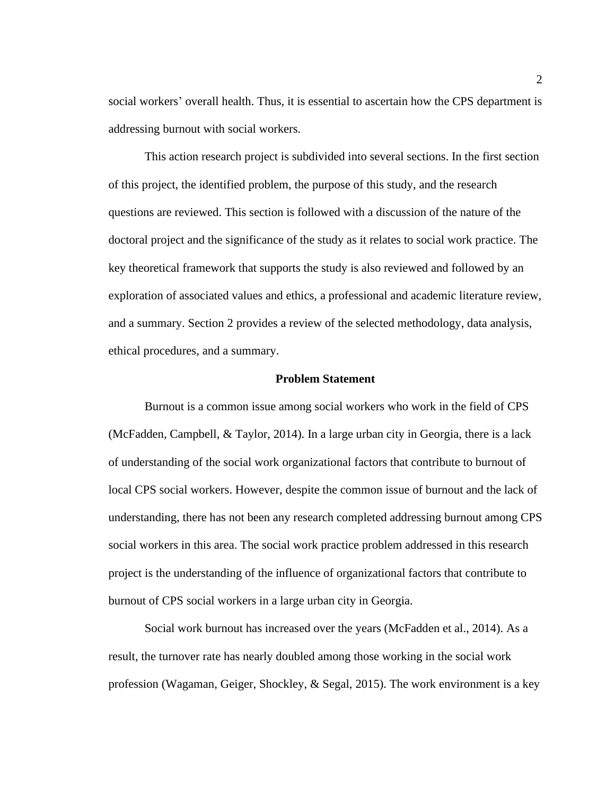social workers' overall health. Thus, it is essential to ascertain how the CPS department is addressing burnout with social workers.

This action research project is subdivided into several sections. In the first section of this project, the identified problem, the purpose of this study, and the research questions are reviewed. This section is followed with a discussion of the nature of the doctoral project and the significance of the study as it relates to social work practice. The key theoretical framework that supports the study is also reviewed and followed by an exploration of associated values and ethics, a professional and academic literature review, and a summary. Section 2 provides a review of the selected methodology, data analysis, ethical procedures, and a summary.

## **Problem Statement**

<span id="page-11-0"></span>Burnout is a common issue among social workers who work in the field of CPS (McFadden, Campbell, & Taylor, 2014). In a large urban city in Georgia, there is a lack of understanding of the social work organizational factors that contribute to burnout of local CPS social workers. However, despite the common issue of burnout and the lack of understanding, there has not been any research completed addressing burnout among CPS social workers in this area. The social work practice problem addressed in this research project is the understanding of the influence of organizational factors that contribute to burnout of CPS social workers in a large urban city in Georgia.

Social work burnout has increased over the years (McFadden et al., 2014). As a result, the turnover rate has nearly doubled among those working in the social work profession (Wagaman, Geiger, Shockley, & Segal, 2015). The work environment is a key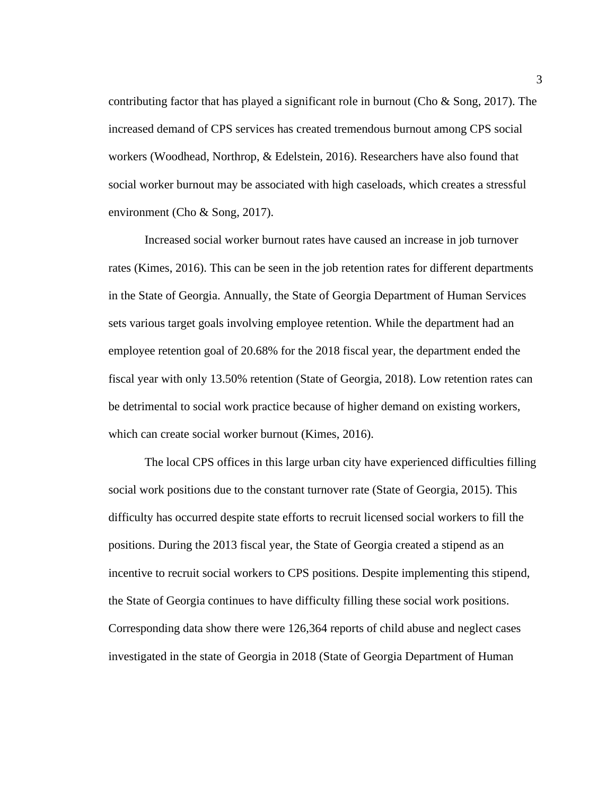contributing factor that has played a significant role in burnout (Cho & Song, 2017). The increased demand of CPS services has created tremendous burnout among CPS social workers (Woodhead, Northrop, & Edelstein, 2016). Researchers have also found that social worker burnout may be associated with high caseloads, which creates a stressful environment (Cho & Song, 2017).

Increased social worker burnout rates have caused an increase in job turnover rates (Kimes, 2016). This can be seen in the job retention rates for different departments in the State of Georgia. Annually, the State of Georgia Department of Human Services sets various target goals involving employee retention. While the department had an employee retention goal of 20.68% for the 2018 fiscal year, the department ended the fiscal year with only 13.50% retention (State of Georgia, 2018). Low retention rates can be detrimental to social work practice because of higher demand on existing workers, which can create social worker burnout (Kimes, 2016).

The local CPS offices in this large urban city have experienced difficulties filling social work positions due to the constant turnover rate (State of Georgia, 2015). This difficulty has occurred despite state efforts to recruit licensed social workers to fill the positions. During the 2013 fiscal year, the State of Georgia created a stipend as an incentive to recruit social workers to CPS positions. Despite implementing this stipend, the State of Georgia continues to have difficulty filling these social work positions. Corresponding data show there were 126,364 reports of child abuse and neglect cases investigated in the state of Georgia in 2018 (State of Georgia Department of Human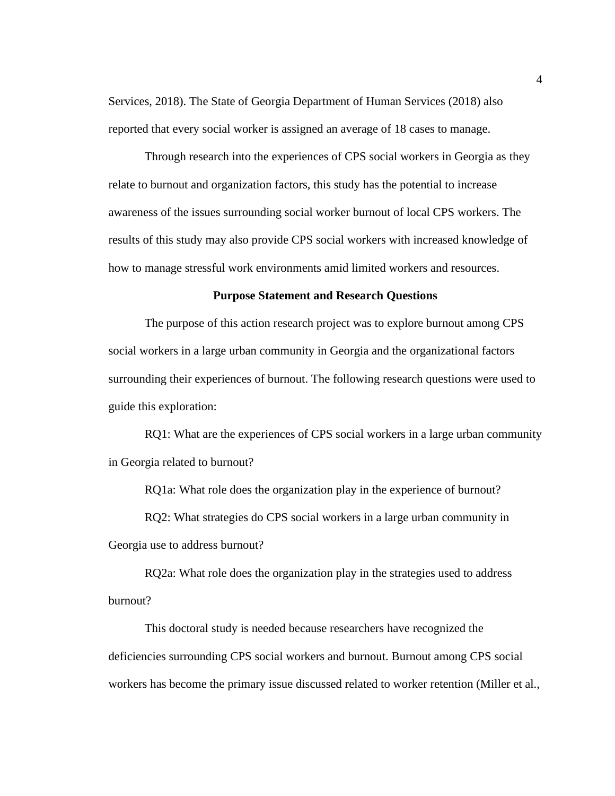Services, 2018). The State of Georgia Department of Human Services (2018) also reported that every social worker is assigned an average of 18 cases to manage.

Through research into the experiences of CPS social workers in Georgia as they relate to burnout and organization factors, this study has the potential to increase awareness of the issues surrounding social worker burnout of local CPS workers. The results of this study may also provide CPS social workers with increased knowledge of how to manage stressful work environments amid limited workers and resources.

### **Purpose Statement and Research Questions**

<span id="page-13-0"></span>The purpose of this action research project was to explore burnout among CPS social workers in a large urban community in Georgia and the organizational factors surrounding their experiences of burnout. The following research questions were used to guide this exploration:

RQ1: What are the experiences of CPS social workers in a large urban community in Georgia related to burnout?

RQ1a: What role does the organization play in the experience of burnout?

RQ2: What strategies do CPS social workers in a large urban community in Georgia use to address burnout?

RQ2a: What role does the organization play in the strategies used to address burnout?

This doctoral study is needed because researchers have recognized the deficiencies surrounding CPS social workers and burnout. Burnout among CPS social workers has become the primary issue discussed related to worker retention (Miller et al.,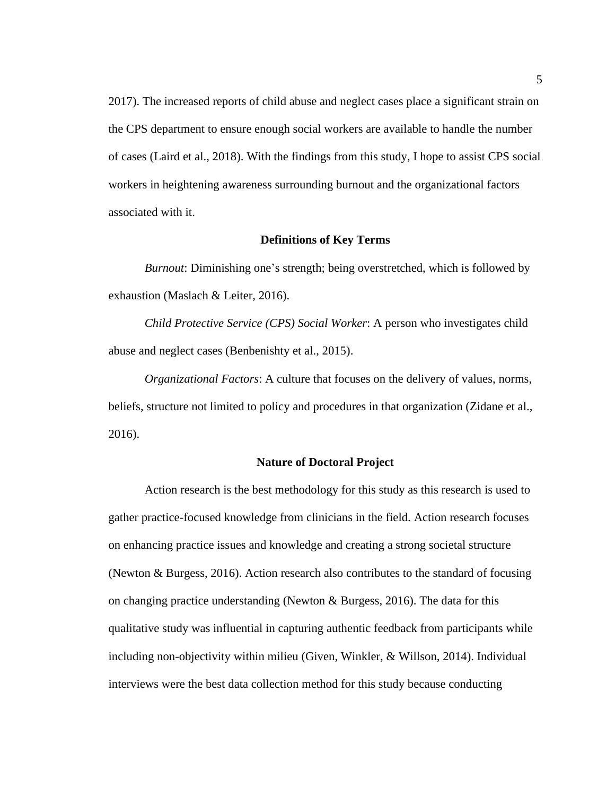2017). The increased reports of child abuse and neglect cases place a significant strain on the CPS department to ensure enough social workers are available to handle the number of cases (Laird et al., 2018). With the findings from this study, I hope to assist CPS social workers in heightening awareness surrounding burnout and the organizational factors associated with it.

# **Definitions of Key Terms**

<span id="page-14-0"></span>*Burnout*: Diminishing one's strength; being overstretched, which is followed by exhaustion (Maslach & Leiter, 2016).

*Child Protective Service (CPS) Social Worker*: A person who investigates child abuse and neglect cases (Benbenishty et al., 2015).

*Organizational Factors*: A culture that focuses on the delivery of values, norms, beliefs, structure not limited to policy and procedures in that organization (Zidane et al., 2016).

#### **Nature of Doctoral Project**

<span id="page-14-1"></span>Action research is the best methodology for this study as this research is used to gather practice-focused knowledge from clinicians in the field. Action research focuses on enhancing practice issues and knowledge and creating a strong societal structure (Newton & Burgess, 2016). Action research also contributes to the standard of focusing on changing practice understanding (Newton & Burgess, 2016). The data for this qualitative study was influential in capturing authentic feedback from participants while including non-objectivity within milieu (Given, Winkler, & Willson, 2014). Individual interviews were the best data collection method for this study because conducting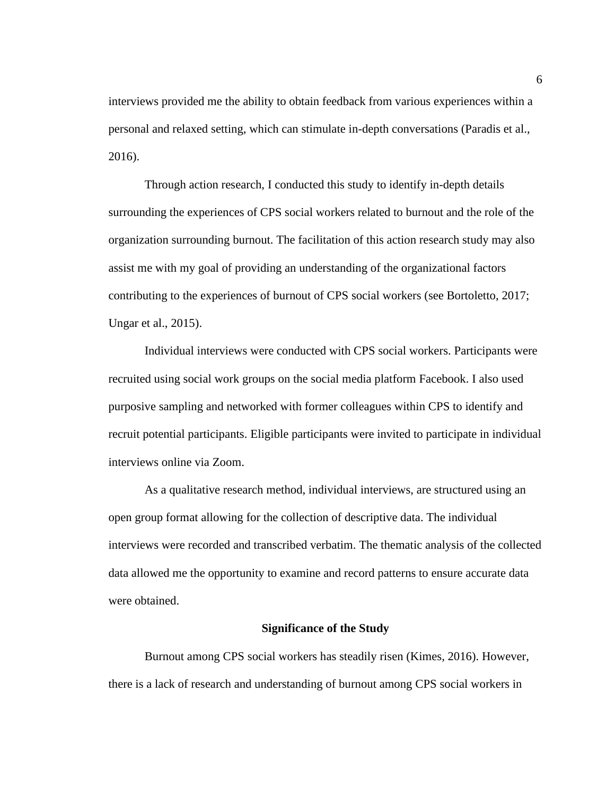interviews provided me the ability to obtain feedback from various experiences within a personal and relaxed setting, which can stimulate in-depth conversations (Paradis et al., 2016).

Through action research, I conducted this study to identify in-depth details surrounding the experiences of CPS social workers related to burnout and the role of the organization surrounding burnout. The facilitation of this action research study may also assist me with my goal of providing an understanding of the organizational factors contributing to the experiences of burnout of CPS social workers (see Bortoletto, 2017; Ungar et al., 2015).

Individual interviews were conducted with CPS social workers. Participants were recruited using social work groups on the social media platform Facebook. I also used purposive sampling and networked with former colleagues within CPS to identify and recruit potential participants. Eligible participants were invited to participate in individual interviews online via Zoom.

As a qualitative research method, individual interviews, are structured using an open group format allowing for the collection of descriptive data. The individual interviews were recorded and transcribed verbatim. The thematic analysis of the collected data allowed me the opportunity to examine and record patterns to ensure accurate data were obtained.

### **Significance of the Study**

<span id="page-15-0"></span>Burnout among CPS social workers has steadily risen (Kimes, 2016). However, there is a lack of research and understanding of burnout among CPS social workers in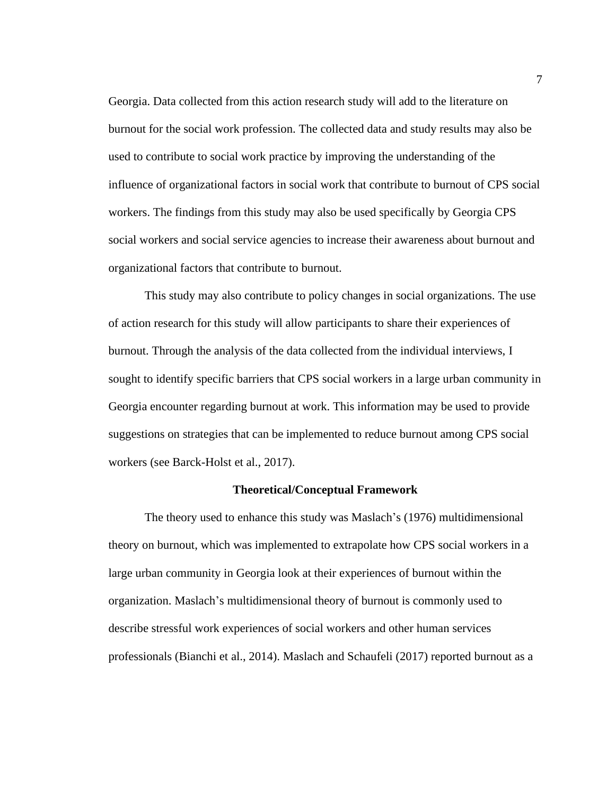Georgia. Data collected from this action research study will add to the literature on burnout for the social work profession. The collected data and study results may also be used to contribute to social work practice by improving the understanding of the influence of organizational factors in social work that contribute to burnout of CPS social workers. The findings from this study may also be used specifically by Georgia CPS social workers and social service agencies to increase their awareness about burnout and organizational factors that contribute to burnout.

This study may also contribute to policy changes in social organizations. The use of action research for this study will allow participants to share their experiences of burnout. Through the analysis of the data collected from the individual interviews, I sought to identify specific barriers that CPS social workers in a large urban community in Georgia encounter regarding burnout at work. This information may be used to provide suggestions on strategies that can be implemented to reduce burnout among CPS social workers (see Barck-Holst et al., 2017).

#### **Theoretical/Conceptual Framework**

<span id="page-16-0"></span>The theory used to enhance this study was Maslach's (1976) multidimensional theory on burnout, which was implemented to extrapolate how CPS social workers in a large urban community in Georgia look at their experiences of burnout within the organization. Maslach's multidimensional theory of burnout is commonly used to describe stressful work experiences of social workers and other human services professionals (Bianchi et al., 2014). Maslach and Schaufeli (2017) reported burnout as a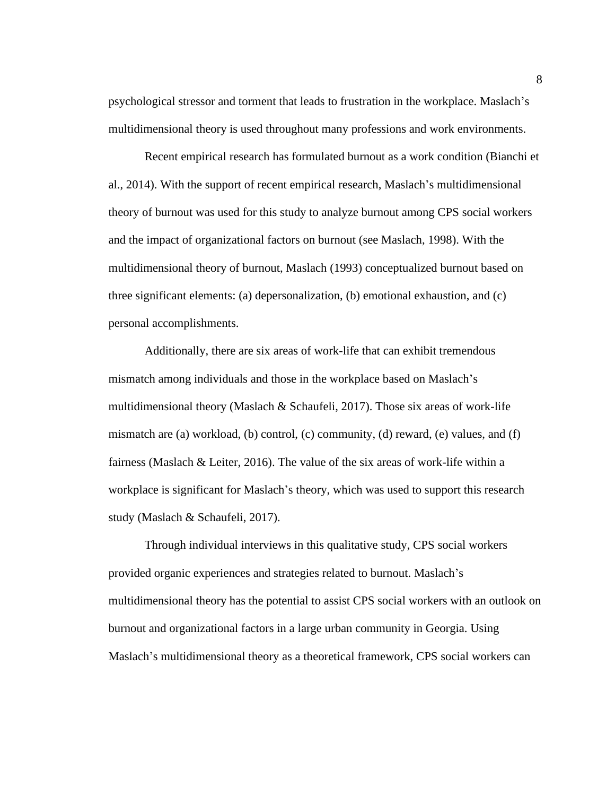psychological stressor and torment that leads to frustration in the workplace. Maslach's multidimensional theory is used throughout many professions and work environments.

Recent empirical research has formulated burnout as a work condition (Bianchi et al., 2014). With the support of recent empirical research, Maslach's multidimensional theory of burnout was used for this study to analyze burnout among CPS social workers and the impact of organizational factors on burnout (see Maslach, 1998). With the multidimensional theory of burnout, Maslach (1993) conceptualized burnout based on three significant elements: (a) depersonalization, (b) emotional exhaustion, and (c) personal accomplishments.

Additionally, there are six areas of work-life that can exhibit tremendous mismatch among individuals and those in the workplace based on Maslach's multidimensional theory (Maslach & Schaufeli, 2017). Those six areas of work-life mismatch are (a) workload, (b) control, (c) community, (d) reward, (e) values, and (f) fairness (Maslach & Leiter, 2016). The value of the six areas of work-life within a workplace is significant for Maslach's theory, which was used to support this research study (Maslach & Schaufeli, 2017).

Through individual interviews in this qualitative study, CPS social workers provided organic experiences and strategies related to burnout. Maslach's multidimensional theory has the potential to assist CPS social workers with an outlook on burnout and organizational factors in a large urban community in Georgia. Using Maslach's multidimensional theory as a theoretical framework, CPS social workers can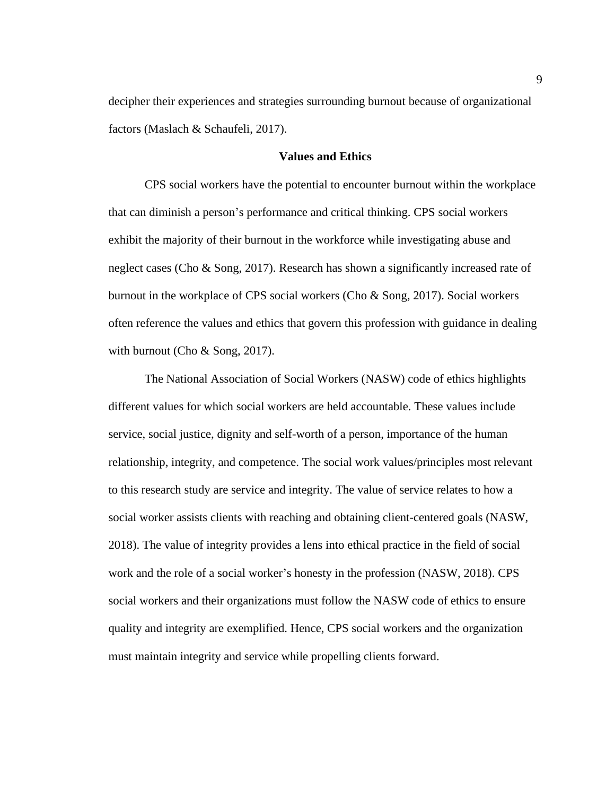decipher their experiences and strategies surrounding burnout because of organizational factors (Maslach & Schaufeli, 2017).

# **Values and Ethics**

<span id="page-18-0"></span>CPS social workers have the potential to encounter burnout within the workplace that can diminish a person's performance and critical thinking. CPS social workers exhibit the majority of their burnout in the workforce while investigating abuse and neglect cases (Cho & Song, 2017). Research has shown a significantly increased rate of burnout in the workplace of CPS social workers (Cho & Song, 2017). Social workers often reference the values and ethics that govern this profession with guidance in dealing with burnout (Cho & Song, 2017).

The National Association of Social Workers (NASW) code of ethics highlights different values for which social workers are held accountable. These values include service, social justice, dignity and self-worth of a person, importance of the human relationship, integrity, and competence. The social work values/principles most relevant to this research study are service and integrity. The value of service relates to how a social worker assists clients with reaching and obtaining client-centered goals (NASW, 2018). The value of integrity provides a lens into ethical practice in the field of social work and the role of a social worker's honesty in the profession (NASW, 2018). CPS social workers and their organizations must follow the NASW code of ethics to ensure quality and integrity are exemplified. Hence, CPS social workers and the organization must maintain integrity and service while propelling clients forward.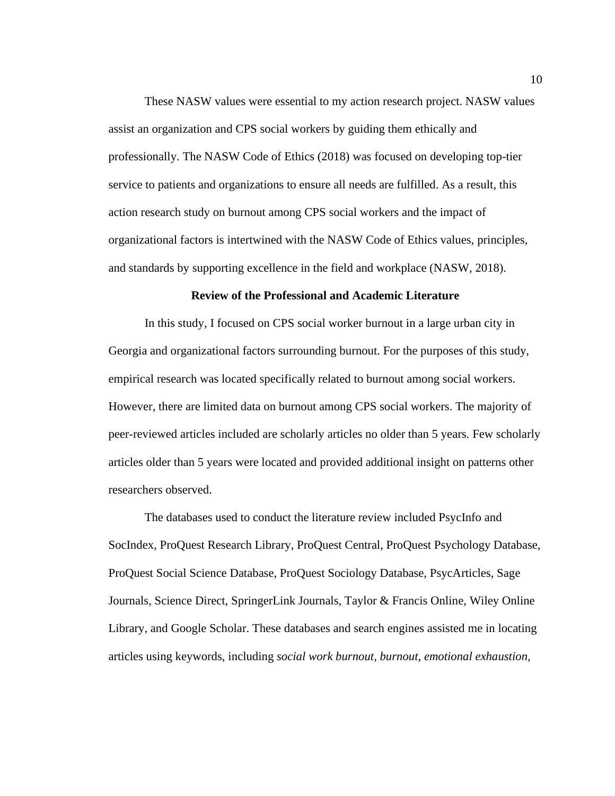These NASW values were essential to my action research project. NASW values assist an organization and CPS social workers by guiding them ethically and professionally. The NASW Code of Ethics (2018) was focused on developing top-tier service to patients and organizations to ensure all needs are fulfilled. As a result, this action research study on burnout among CPS social workers and the impact of organizational factors is intertwined with the NASW Code of Ethics values, principles, and standards by supporting excellence in the field and workplace (NASW, 2018).

# **Review of the Professional and Academic Literature**

<span id="page-19-0"></span>In this study, I focused on CPS social worker burnout in a large urban city in Georgia and organizational factors surrounding burnout. For the purposes of this study, empirical research was located specifically related to burnout among social workers. However, there are limited data on burnout among CPS social workers. The majority of peer-reviewed articles included are scholarly articles no older than 5 years. Few scholarly articles older than 5 years were located and provided additional insight on patterns other researchers observed.

The databases used to conduct the literature review included PsycInfo and SocIndex, ProQuest Research Library, ProQuest Central, ProQuest Psychology Database, ProQuest Social Science Database, ProQuest Sociology Database, PsycArticles, Sage Journals, Science Direct, SpringerLink Journals, Taylor & Francis Online, Wiley Online Library, and Google Scholar. These databases and search engines assisted me in locating articles using keywords, including *social work burnout, burnout, emotional exhaustion,*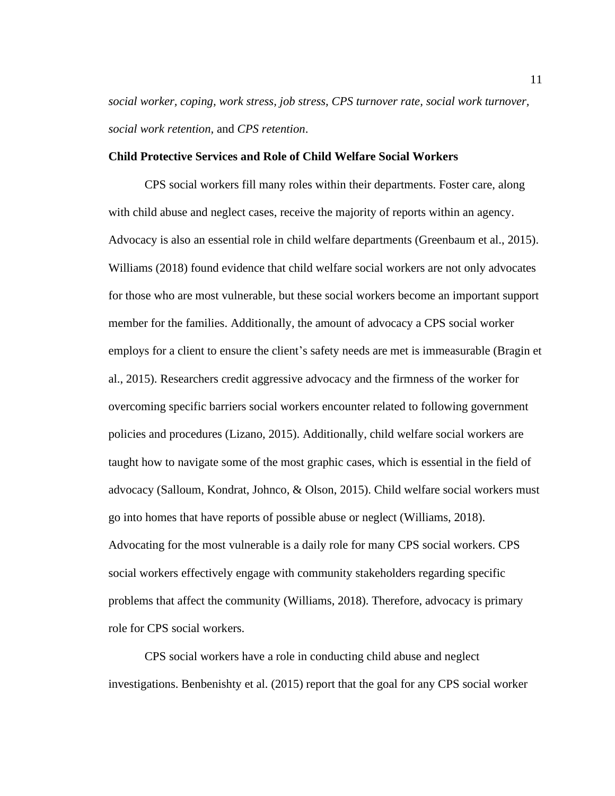*social worker, coping, work stress, job stress, CPS turnover rate, social work turnover, social work retention,* and *CPS retention*.

## <span id="page-20-0"></span>**Child Protective Services and Role of Child Welfare Social Workers**

CPS social workers fill many roles within their departments. Foster care, along with child abuse and neglect cases, receive the majority of reports within an agency. Advocacy is also an essential role in child welfare departments (Greenbaum et al., 2015). Williams (2018) found evidence that child welfare social workers are not only advocates for those who are most vulnerable, but these social workers become an important support member for the families. Additionally, the amount of advocacy a CPS social worker employs for a client to ensure the client's safety needs are met is immeasurable (Bragin et al., 2015). Researchers credit aggressive advocacy and the firmness of the worker for overcoming specific barriers social workers encounter related to following government policies and procedures (Lizano, 2015). Additionally, child welfare social workers are taught how to navigate some of the most graphic cases, which is essential in the field of advocacy (Salloum, Kondrat, Johnco, & Olson, 2015). Child welfare social workers must go into homes that have reports of possible abuse or neglect (Williams, 2018). Advocating for the most vulnerable is a daily role for many CPS social workers. CPS social workers effectively engage with community stakeholders regarding specific problems that affect the community (Williams, 2018). Therefore, advocacy is primary role for CPS social workers.

CPS social workers have a role in conducting child abuse and neglect investigations. Benbenishty et al. (2015) report that the goal for any CPS social worker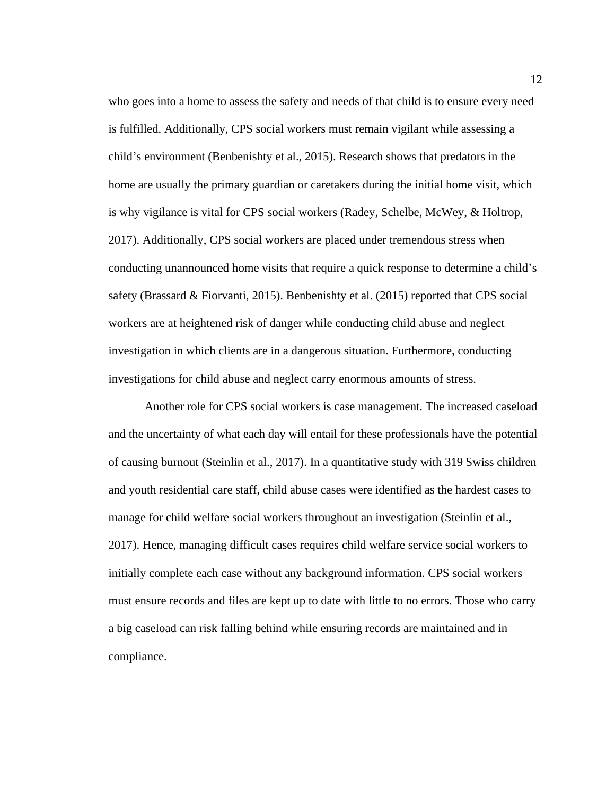who goes into a home to assess the safety and needs of that child is to ensure every need is fulfilled. Additionally, CPS social workers must remain vigilant while assessing a child's environment (Benbenishty et al., 2015). Research shows that predators in the home are usually the primary guardian or caretakers during the initial home visit, which is why vigilance is vital for CPS social workers (Radey, Schelbe, McWey, & Holtrop, 2017). Additionally, CPS social workers are placed under tremendous stress when conducting unannounced home visits that require a quick response to determine a child's safety (Brassard & Fiorvanti, 2015). Benbenishty et al. (2015) reported that CPS social workers are at heightened risk of danger while conducting child abuse and neglect investigation in which clients are in a dangerous situation. Furthermore, conducting investigations for child abuse and neglect carry enormous amounts of stress.

Another role for CPS social workers is case management. The increased caseload and the uncertainty of what each day will entail for these professionals have the potential of causing burnout (Steinlin et al., 2017). In a quantitative study with 319 Swiss children and youth residential care staff, child abuse cases were identified as the hardest cases to manage for child welfare social workers throughout an investigation (Steinlin et al., 2017). Hence, managing difficult cases requires child welfare service social workers to initially complete each case without any background information. CPS social workers must ensure records and files are kept up to date with little to no errors. Those who carry a big caseload can risk falling behind while ensuring records are maintained and in compliance.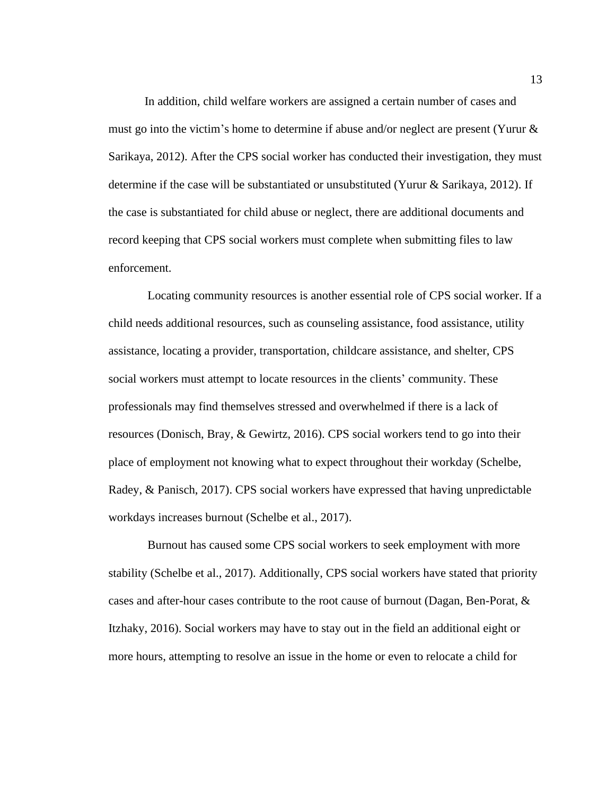In addition, child welfare workers are assigned a certain number of cases and must go into the victim's home to determine if abuse and/or neglect are present (Yurur & Sarikaya, 2012). After the CPS social worker has conducted their investigation, they must determine if the case will be substantiated or unsubstituted (Yurur & Sarikaya, 2012). If the case is substantiated for child abuse or neglect, there are additional documents and record keeping that CPS social workers must complete when submitting files to law enforcement.

Locating community resources is another essential role of CPS social worker. If a child needs additional resources, such as counseling assistance, food assistance, utility assistance, locating a provider, transportation, childcare assistance, and shelter, CPS social workers must attempt to locate resources in the clients' community. These professionals may find themselves stressed and overwhelmed if there is a lack of resources (Donisch, Bray, & Gewirtz, 2016). CPS social workers tend to go into their place of employment not knowing what to expect throughout their workday (Schelbe, Radey, & Panisch, 2017). CPS social workers have expressed that having unpredictable workdays increases burnout (Schelbe et al., 2017).

Burnout has caused some CPS social workers to seek employment with more stability (Schelbe et al., 2017). Additionally, CPS social workers have stated that priority cases and after-hour cases contribute to the root cause of burnout (Dagan, Ben-Porat, & Itzhaky, 2016). Social workers may have to stay out in the field an additional eight or more hours, attempting to resolve an issue in the home or even to relocate a child for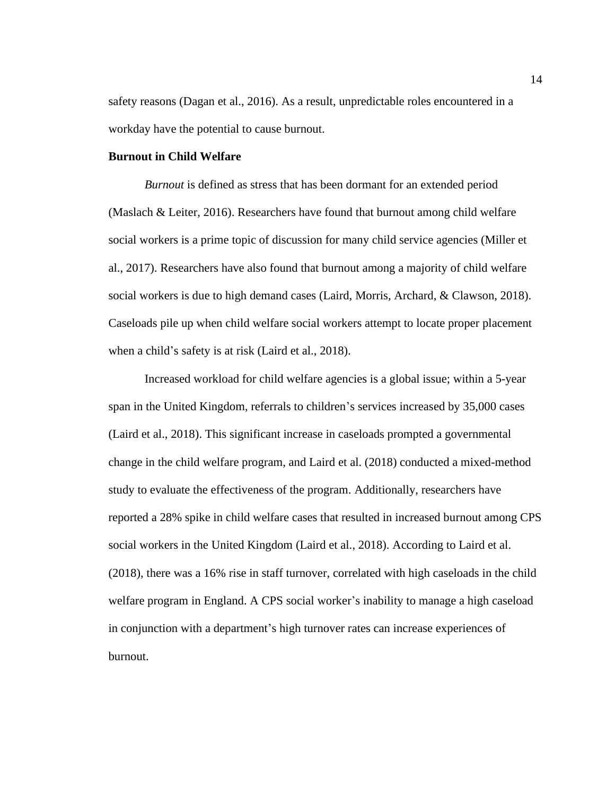safety reasons (Dagan et al., 2016). As a result, unpredictable roles encountered in a workday have the potential to cause burnout.

# <span id="page-23-0"></span>**Burnout in Child Welfare**

*Burnout* is defined as stress that has been dormant for an extended period (Maslach & Leiter, 2016). Researchers have found that burnout among child welfare social workers is a prime topic of discussion for many child service agencies (Miller et al., 2017). Researchers have also found that burnout among a majority of child welfare social workers is due to high demand cases (Laird, Morris, Archard, & Clawson, 2018). Caseloads pile up when child welfare social workers attempt to locate proper placement when a child's safety is at risk (Laird et al., 2018).

Increased workload for child welfare agencies is a global issue; within a 5-year span in the United Kingdom, referrals to children's services increased by 35,000 cases (Laird et al., 2018). This significant increase in caseloads prompted a governmental change in the child welfare program, and Laird et al. (2018) conducted a mixed-method study to evaluate the effectiveness of the program. Additionally, researchers have reported a 28% spike in child welfare cases that resulted in increased burnout among CPS social workers in the United Kingdom (Laird et al., 2018). According to Laird et al. (2018), there was a 16% rise in staff turnover, correlated with high caseloads in the child welfare program in England. A CPS social worker's inability to manage a high caseload in conjunction with a department's high turnover rates can increase experiences of burnout.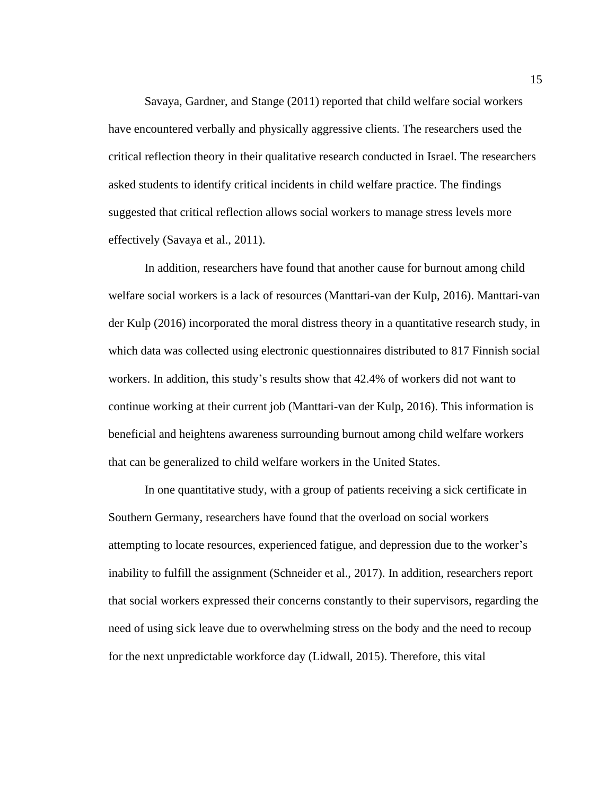Savaya, Gardner, and Stange (2011) reported that child welfare social workers have encountered verbally and physically aggressive clients. The researchers used the critical reflection theory in their qualitative research conducted in Israel. The researchers asked students to identify critical incidents in child welfare practice. The findings suggested that critical reflection allows social workers to manage stress levels more effectively (Savaya et al., 2011).

In addition, researchers have found that another cause for burnout among child welfare social workers is a lack of resources (Manttari-van der Kulp, 2016). Manttari-van der Kulp (2016) incorporated the moral distress theory in a quantitative research study, in which data was collected using electronic questionnaires distributed to 817 Finnish social workers. In addition, this study's results show that 42.4% of workers did not want to continue working at their current job (Manttari-van der Kulp, 2016). This information is beneficial and heightens awareness surrounding burnout among child welfare workers that can be generalized to child welfare workers in the United States.

In one quantitative study, with a group of patients receiving a sick certificate in Southern Germany, researchers have found that the overload on social workers attempting to locate resources, experienced fatigue, and depression due to the worker's inability to fulfill the assignment (Schneider et al., 2017). In addition, researchers report that social workers expressed their concerns constantly to their supervisors, regarding the need of using sick leave due to overwhelming stress on the body and the need to recoup for the next unpredictable workforce day (Lidwall, 2015). Therefore, this vital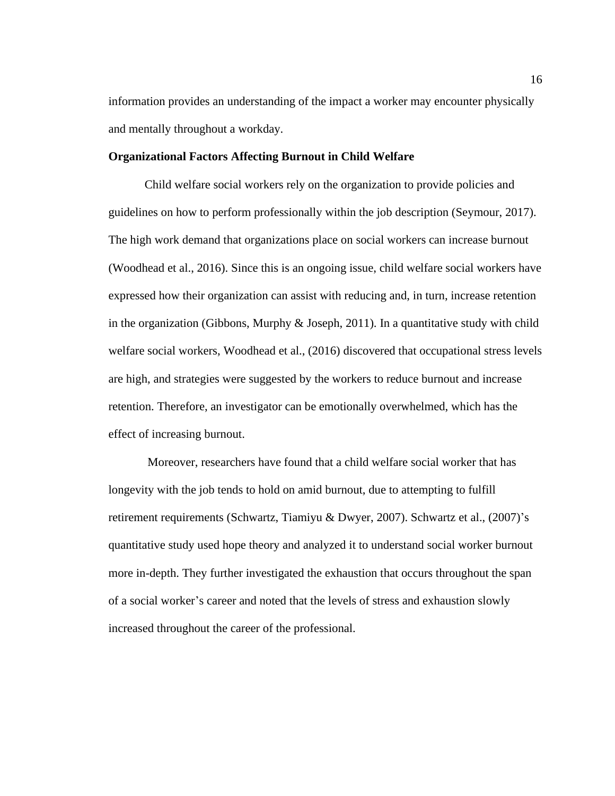information provides an understanding of the impact a worker may encounter physically and mentally throughout a workday.

## <span id="page-25-0"></span>**Organizational Factors Affecting Burnout in Child Welfare**

Child welfare social workers rely on the organization to provide policies and guidelines on how to perform professionally within the job description (Seymour, 2017). The high work demand that organizations place on social workers can increase burnout (Woodhead et al., 2016). Since this is an ongoing issue, child welfare social workers have expressed how their organization can assist with reducing and, in turn, increase retention in the organization (Gibbons, Murphy  $\&$  Joseph, 2011). In a quantitative study with child welfare social workers, Woodhead et al., (2016) discovered that occupational stress levels are high, and strategies were suggested by the workers to reduce burnout and increase retention. Therefore, an investigator can be emotionally overwhelmed, which has the effect of increasing burnout.

Moreover, researchers have found that a child welfare social worker that has longevity with the job tends to hold on amid burnout, due to attempting to fulfill retirement requirements (Schwartz, Tiamiyu & Dwyer, 2007). Schwartz et al., (2007)'s quantitative study used hope theory and analyzed it to understand social worker burnout more in-depth. They further investigated the exhaustion that occurs throughout the span of a social worker's career and noted that the levels of stress and exhaustion slowly increased throughout the career of the professional.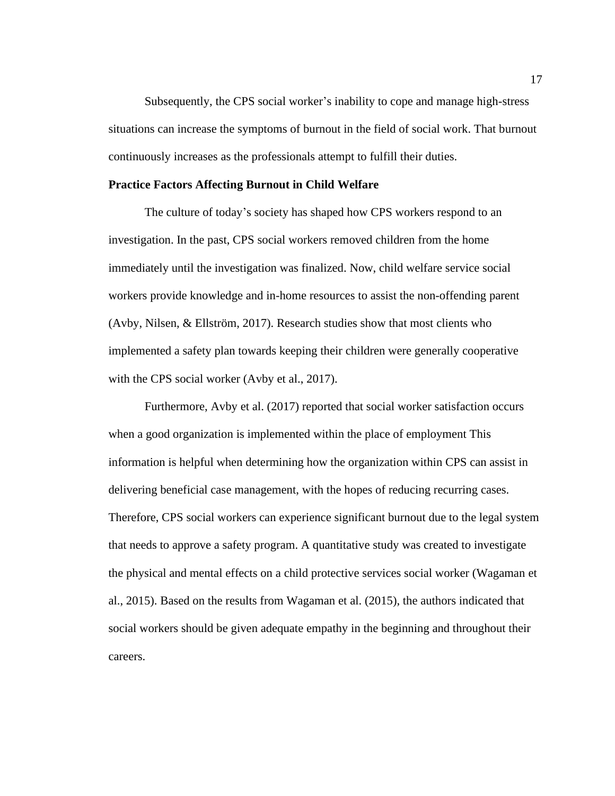Subsequently, the CPS social worker's inability to cope and manage high-stress situations can increase the symptoms of burnout in the field of social work. That burnout continuously increases as the professionals attempt to fulfill their duties.

# <span id="page-26-0"></span>**Practice Factors Affecting Burnout in Child Welfare**

The culture of today's society has shaped how CPS workers respond to an investigation. In the past, CPS social workers removed children from the home immediately until the investigation was finalized. Now, child welfare service social workers provide knowledge and in-home resources to assist the non-offending parent (Avby, Nilsen, & Ellström, 2017). Research studies show that most clients who implemented a safety plan towards keeping their children were generally cooperative with the CPS social worker (Avby et al., 2017).

Furthermore, Avby et al. (2017) reported that social worker satisfaction occurs when a good organization is implemented within the place of employment This information is helpful when determining how the organization within CPS can assist in delivering beneficial case management, with the hopes of reducing recurring cases. Therefore, CPS social workers can experience significant burnout due to the legal system that needs to approve a safety program. A quantitative study was created to investigate the physical and mental effects on a child protective services social worker (Wagaman et al., 2015). Based on the results from Wagaman et al. (2015), the authors indicated that social workers should be given adequate empathy in the beginning and throughout their careers.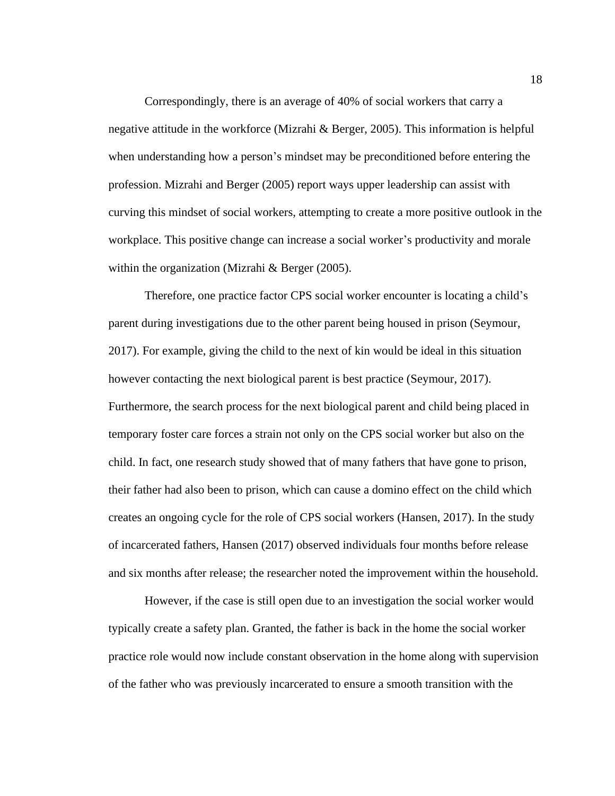Correspondingly, there is an average of 40% of social workers that carry a negative attitude in the workforce (Mizrahi & Berger, 2005). This information is helpful when understanding how a person's mindset may be preconditioned before entering the profession. Mizrahi and Berger (2005) report ways upper leadership can assist with curving this mindset of social workers, attempting to create a more positive outlook in the workplace. This positive change can increase a social worker's productivity and morale within the organization (Mizrahi & Berger (2005).

Therefore, one practice factor CPS social worker encounter is locating a child's parent during investigations due to the other parent being housed in prison (Seymour, 2017). For example, giving the child to the next of kin would be ideal in this situation however contacting the next biological parent is best practice (Seymour, 2017). Furthermore, the search process for the next biological parent and child being placed in temporary foster care forces a strain not only on the CPS social worker but also on the child. In fact, one research study showed that of many fathers that have gone to prison, their father had also been to prison, which can cause a domino effect on the child which creates an ongoing cycle for the role of CPS social workers (Hansen, 2017). In the study of incarcerated fathers, Hansen (2017) observed individuals four months before release and six months after release; the researcher noted the improvement within the household.

However, if the case is still open due to an investigation the social worker would typically create a safety plan. Granted, the father is back in the home the social worker practice role would now include constant observation in the home along with supervision of the father who was previously incarcerated to ensure a smooth transition with the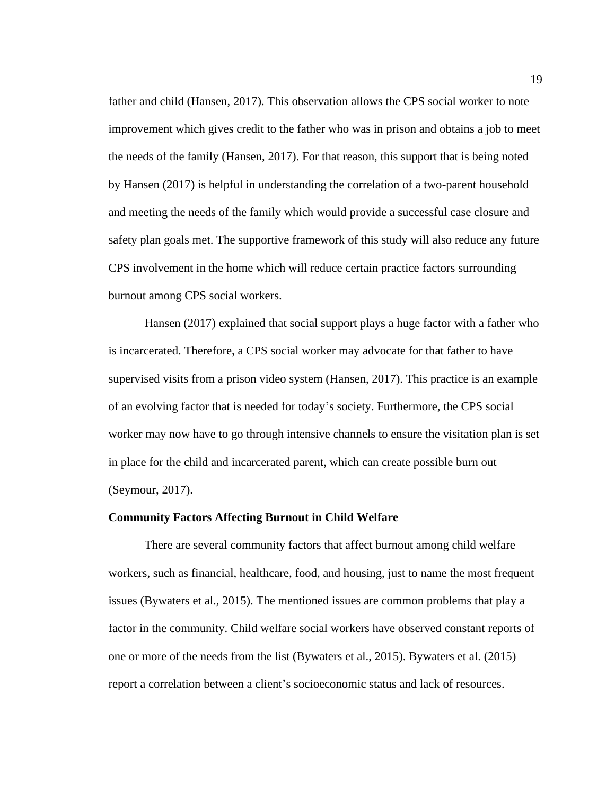father and child (Hansen, 2017). This observation allows the CPS social worker to note improvement which gives credit to the father who was in prison and obtains a job to meet the needs of the family (Hansen, 2017). For that reason, this support that is being noted by Hansen (2017) is helpful in understanding the correlation of a two-parent household and meeting the needs of the family which would provide a successful case closure and safety plan goals met. The supportive framework of this study will also reduce any future CPS involvement in the home which will reduce certain practice factors surrounding burnout among CPS social workers.

Hansen (2017) explained that social support plays a huge factor with a father who is incarcerated. Therefore, a CPS social worker may advocate for that father to have supervised visits from a prison video system (Hansen, 2017). This practice is an example of an evolving factor that is needed for today's society. Furthermore, the CPS social worker may now have to go through intensive channels to ensure the visitation plan is set in place for the child and incarcerated parent, which can create possible burn out (Seymour, 2017).

### <span id="page-28-0"></span>**Community Factors Affecting Burnout in Child Welfare**

There are several community factors that affect burnout among child welfare workers, such as financial, healthcare, food, and housing, just to name the most frequent issues (Bywaters et al., 2015). The mentioned issues are common problems that play a factor in the community. Child welfare social workers have observed constant reports of one or more of the needs from the list (Bywaters et al., 2015). Bywaters et al. (2015) report a correlation between a client's socioeconomic status and lack of resources.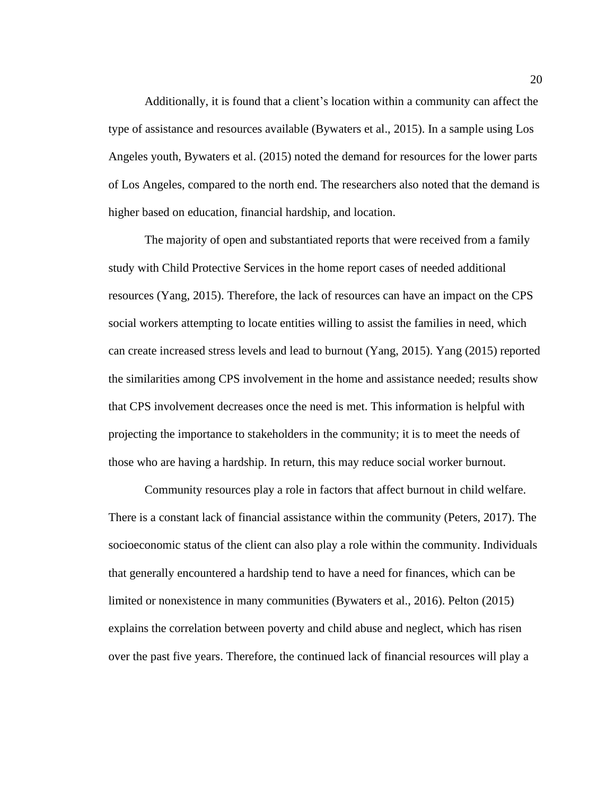Additionally, it is found that a client's location within a community can affect the type of assistance and resources available (Bywaters et al., 2015). In a sample using Los Angeles youth, Bywaters et al. (2015) noted the demand for resources for the lower parts of Los Angeles, compared to the north end. The researchers also noted that the demand is higher based on education, financial hardship, and location.

The majority of open and substantiated reports that were received from a family study with Child Protective Services in the home report cases of needed additional resources (Yang, 2015). Therefore, the lack of resources can have an impact on the CPS social workers attempting to locate entities willing to assist the families in need, which can create increased stress levels and lead to burnout (Yang, 2015). Yang (2015) reported the similarities among CPS involvement in the home and assistance needed; results show that CPS involvement decreases once the need is met. This information is helpful with projecting the importance to stakeholders in the community; it is to meet the needs of those who are having a hardship. In return, this may reduce social worker burnout.

Community resources play a role in factors that affect burnout in child welfare. There is a constant lack of financial assistance within the community (Peters, 2017). The socioeconomic status of the client can also play a role within the community. Individuals that generally encountered a hardship tend to have a need for finances, which can be limited or nonexistence in many communities (Bywaters et al., 2016). Pelton (2015) explains the correlation between poverty and child abuse and neglect, which has risen over the past five years. Therefore, the continued lack of financial resources will play a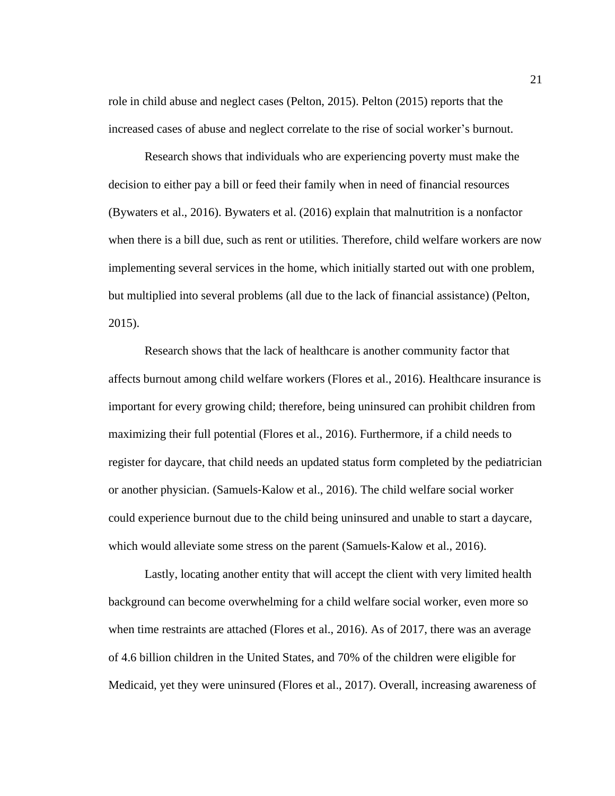role in child abuse and neglect cases (Pelton, 2015). Pelton (2015) reports that the increased cases of abuse and neglect correlate to the rise of social worker's burnout.

Research shows that individuals who are experiencing poverty must make the decision to either pay a bill or feed their family when in need of financial resources (Bywaters et al., 2016). Bywaters et al. (2016) explain that malnutrition is a nonfactor when there is a bill due, such as rent or utilities. Therefore, child welfare workers are now implementing several services in the home, which initially started out with one problem, but multiplied into several problems (all due to the lack of financial assistance) (Pelton, 2015).

Research shows that the lack of healthcare is another community factor that affects burnout among child welfare workers (Flores et al., 2016). Healthcare insurance is important for every growing child; therefore, being uninsured can prohibit children from maximizing their full potential (Flores et al., 2016). Furthermore, if a child needs to register for daycare, that child needs an updated status form completed by the pediatrician or another physician. (Samuels‐Kalow et al., 2016). The child welfare social worker could experience burnout due to the child being uninsured and unable to start a daycare, which would alleviate some stress on the parent (Samuels-Kalow et al., 2016).

Lastly, locating another entity that will accept the client with very limited health background can become overwhelming for a child welfare social worker, even more so when time restraints are attached (Flores et al., 2016). As of 2017, there was an average of 4.6 billion children in the United States, and 70% of the children were eligible for Medicaid, yet they were uninsured (Flores et al., 2017). Overall, increasing awareness of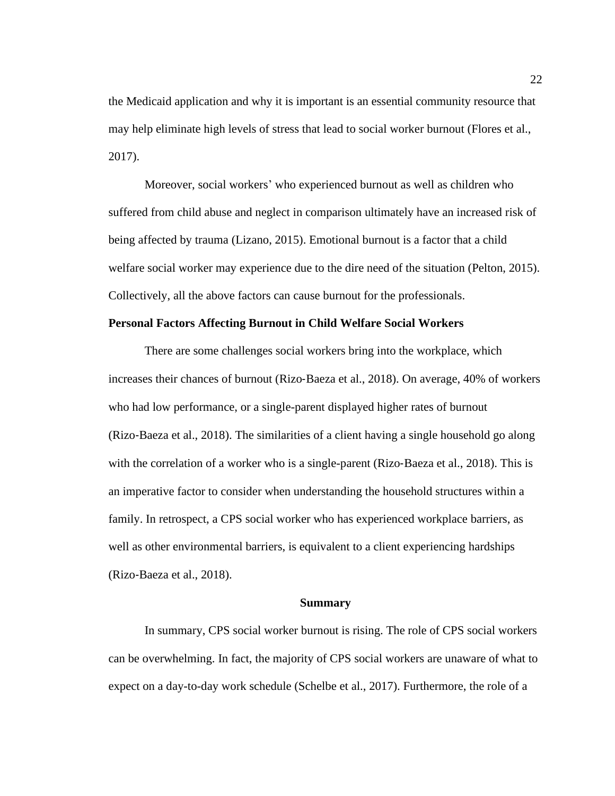the Medicaid application and why it is important is an essential community resource that may help eliminate high levels of stress that lead to social worker burnout (Flores et al., 2017).

Moreover, social workers' who experienced burnout as well as children who suffered from child abuse and neglect in comparison ultimately have an increased risk of being affected by trauma (Lizano, 2015). Emotional burnout is a factor that a child welfare social worker may experience due to the dire need of the situation (Pelton, 2015). Collectively, all the above factors can cause burnout for the professionals.

## <span id="page-31-0"></span>**Personal Factors Affecting Burnout in Child Welfare Social Workers**

There are some challenges social workers bring into the workplace, which increases their chances of burnout (Rizo‐Baeza et al., 2018). On average, 40% of workers who had low performance, or a single-parent displayed higher rates of burnout (Rizo‐Baeza et al., 2018). The similarities of a client having a single household go along with the correlation of a worker who is a single-parent (Rizo-Baeza et al., 2018). This is an imperative factor to consider when understanding the household structures within a family. In retrospect, a CPS social worker who has experienced workplace barriers, as well as other environmental barriers, is equivalent to a client experiencing hardships (Rizo‐Baeza et al., 2018).

# **Summary**

<span id="page-31-1"></span>In summary, CPS social worker burnout is rising. The role of CPS social workers can be overwhelming. In fact, the majority of CPS social workers are unaware of what to expect on a day-to-day work schedule (Schelbe et al., 2017). Furthermore, the role of a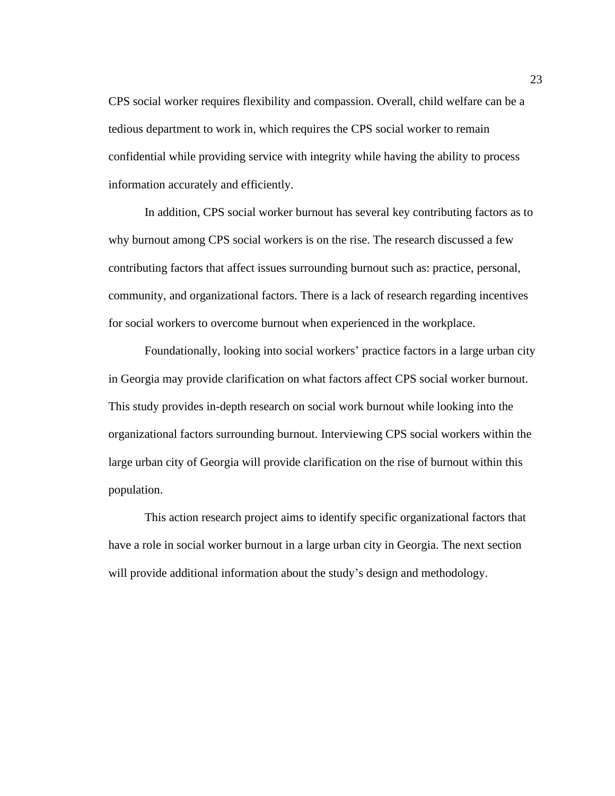CPS social worker requires flexibility and compassion. Overall, child welfare can be a tedious department to work in, which requires the CPS social worker to remain confidential while providing service with integrity while having the ability to process information accurately and efficiently.

In addition, CPS social worker burnout has several key contributing factors as to why burnout among CPS social workers is on the rise. The research discussed a few contributing factors that affect issues surrounding burnout such as: practice, personal, community, and organizational factors. There is a lack of research regarding incentives for social workers to overcome burnout when experienced in the workplace.

Foundationally, looking into social workers' practice factors in a large urban city in Georgia may provide clarification on what factors affect CPS social worker burnout. This study provides in-depth research on social work burnout while looking into the organizational factors surrounding burnout. Interviewing CPS social workers within the large urban city of Georgia will provide clarification on the rise of burnout within this population.

This action research project aims to identify specific organizational factors that have a role in social worker burnout in a large urban city in Georgia. The next section will provide additional information about the study's design and methodology.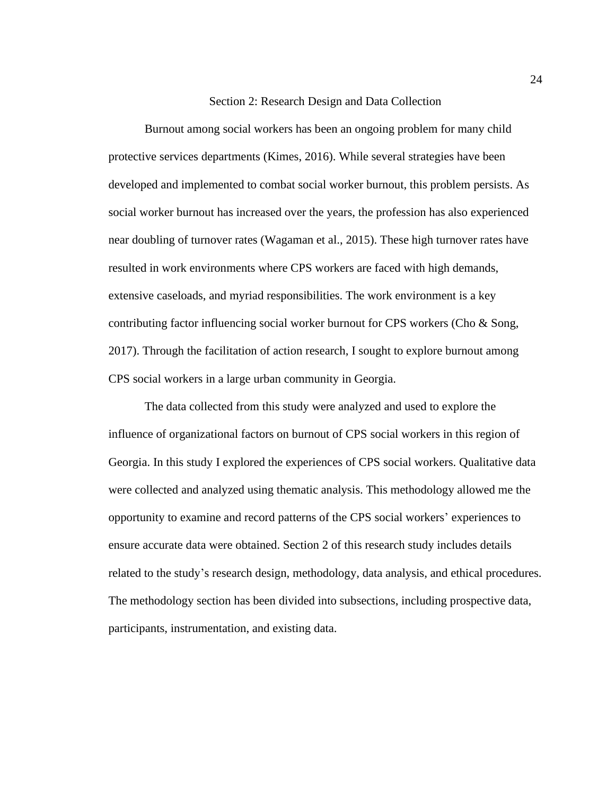# Section 2: Research Design and Data Collection

<span id="page-33-0"></span>Burnout among social workers has been an ongoing problem for many child protective services departments (Kimes, 2016). While several strategies have been developed and implemented to combat social worker burnout, this problem persists. As social worker burnout has increased over the years, the profession has also experienced near doubling of turnover rates (Wagaman et al., 2015). These high turnover rates have resulted in work environments where CPS workers are faced with high demands, extensive caseloads, and myriad responsibilities. The work environment is a key contributing factor influencing social worker burnout for CPS workers (Cho & Song, 2017). Through the facilitation of action research, I sought to explore burnout among CPS social workers in a large urban community in Georgia.

The data collected from this study were analyzed and used to explore the influence of organizational factors on burnout of CPS social workers in this region of Georgia. In this study I explored the experiences of CPS social workers. Qualitative data were collected and analyzed using thematic analysis. This methodology allowed me the opportunity to examine and record patterns of the CPS social workers' experiences to ensure accurate data were obtained. Section 2 of this research study includes details related to the study's research design, methodology, data analysis, and ethical procedures. The methodology section has been divided into subsections, including prospective data, participants, instrumentation, and existing data.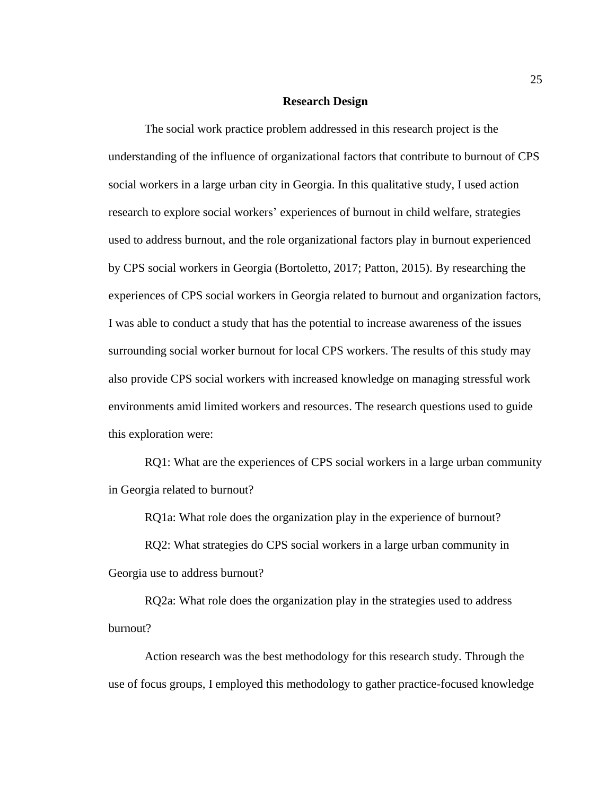# **Research Design**

<span id="page-34-0"></span>The social work practice problem addressed in this research project is the understanding of the influence of organizational factors that contribute to burnout of CPS social workers in a large urban city in Georgia. In this qualitative study, I used action research to explore social workers' experiences of burnout in child welfare, strategies used to address burnout, and the role organizational factors play in burnout experienced by CPS social workers in Georgia (Bortoletto, 2017; Patton, 2015). By researching the experiences of CPS social workers in Georgia related to burnout and organization factors, I was able to conduct a study that has the potential to increase awareness of the issues surrounding social worker burnout for local CPS workers. The results of this study may also provide CPS social workers with increased knowledge on managing stressful work environments amid limited workers and resources. The research questions used to guide this exploration were:

RQ1: What are the experiences of CPS social workers in a large urban community in Georgia related to burnout?

RQ1a: What role does the organization play in the experience of burnout?

RQ2: What strategies do CPS social workers in a large urban community in Georgia use to address burnout?

RQ2a: What role does the organization play in the strategies used to address burnout?

Action research was the best methodology for this research study. Through the use of focus groups, I employed this methodology to gather practice-focused knowledge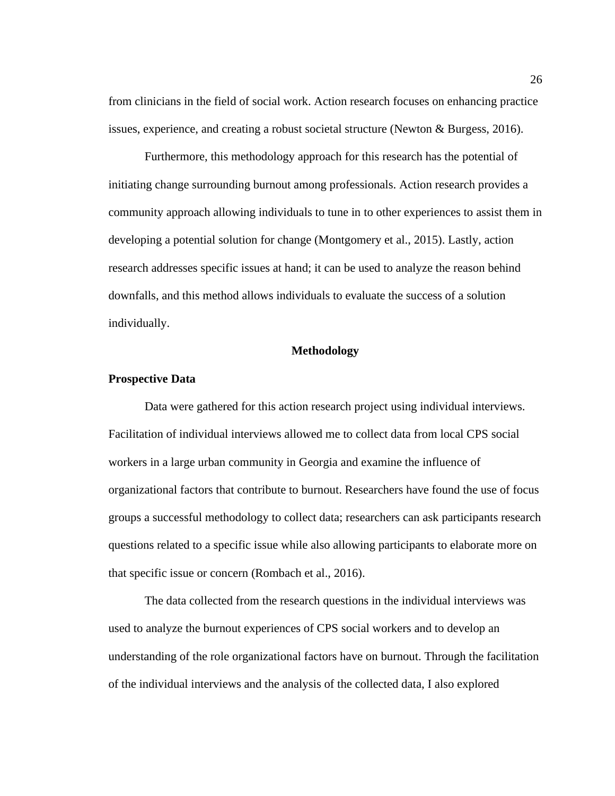from clinicians in the field of social work. Action research focuses on enhancing practice issues, experience, and creating a robust societal structure (Newton  $\&$  Burgess, 2016).

Furthermore, this methodology approach for this research has the potential of initiating change surrounding burnout among professionals. Action research provides a community approach allowing individuals to tune in to other experiences to assist them in developing a potential solution for change (Montgomery et al., 2015). Lastly, action research addresses specific issues at hand; it can be used to analyze the reason behind downfalls, and this method allows individuals to evaluate the success of a solution individually.

# **Methodology**

# <span id="page-35-1"></span><span id="page-35-0"></span>**Prospective Data**

Data were gathered for this action research project using individual interviews. Facilitation of individual interviews allowed me to collect data from local CPS social workers in a large urban community in Georgia and examine the influence of organizational factors that contribute to burnout. Researchers have found the use of focus groups a successful methodology to collect data; researchers can ask participants research questions related to a specific issue while also allowing participants to elaborate more on that specific issue or concern (Rombach et al., 2016).

The data collected from the research questions in the individual interviews was used to analyze the burnout experiences of CPS social workers and to develop an understanding of the role organizational factors have on burnout. Through the facilitation of the individual interviews and the analysis of the collected data, I also explored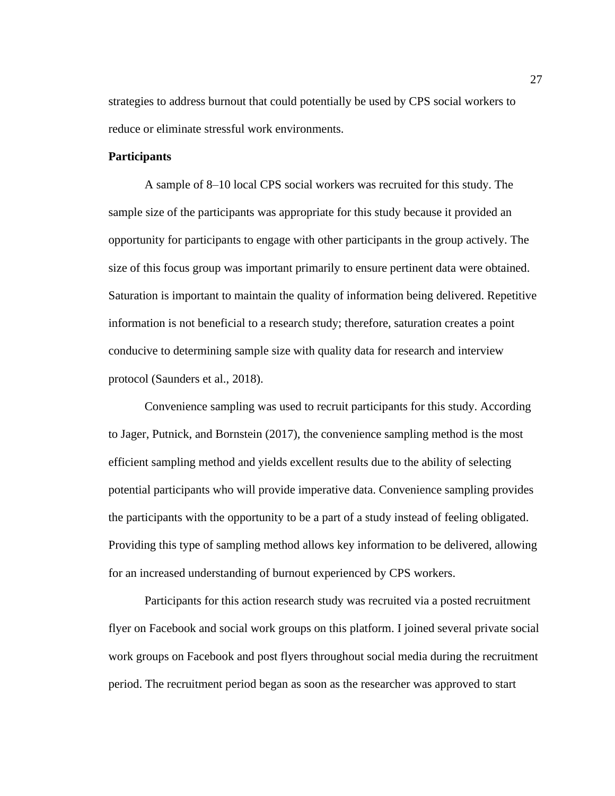strategies to address burnout that could potentially be used by CPS social workers to reduce or eliminate stressful work environments.

### **Participants**

A sample of 8–10 local CPS social workers was recruited for this study. The sample size of the participants was appropriate for this study because it provided an opportunity for participants to engage with other participants in the group actively. The size of this focus group was important primarily to ensure pertinent data were obtained. Saturation is important to maintain the quality of information being delivered. Repetitive information is not beneficial to a research study; therefore, saturation creates a point conducive to determining sample size with quality data for research and interview protocol (Saunders et al., 2018).

Convenience sampling was used to recruit participants for this study. According to Jager, Putnick, and Bornstein (2017), the convenience sampling method is the most efficient sampling method and yields excellent results due to the ability of selecting potential participants who will provide imperative data. Convenience sampling provides the participants with the opportunity to be a part of a study instead of feeling obligated. Providing this type of sampling method allows key information to be delivered, allowing for an increased understanding of burnout experienced by CPS workers.

Participants for this action research study was recruited via a posted recruitment flyer on Facebook and social work groups on this platform. I joined several private social work groups on Facebook and post flyers throughout social media during the recruitment period. The recruitment period began as soon as the researcher was approved to start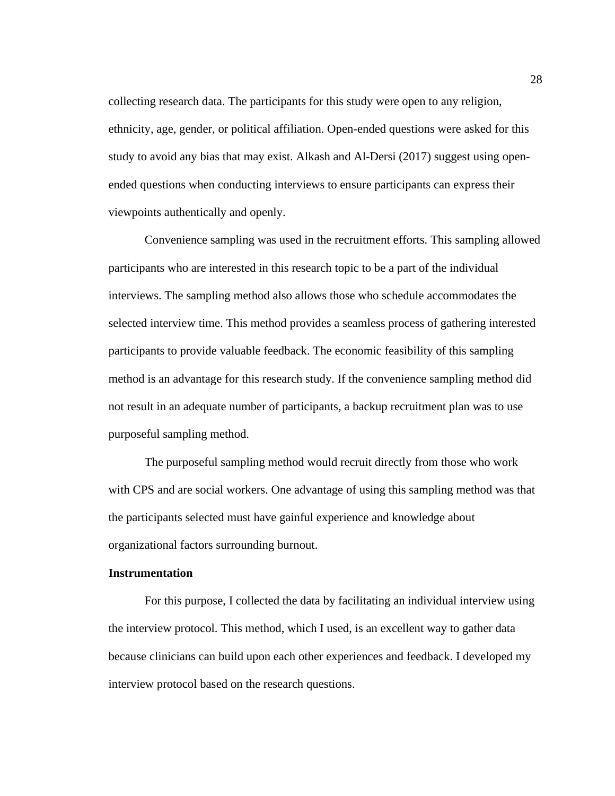collecting research data. The participants for this study were open to any religion, ethnicity, age, gender, or political affiliation. Open-ended questions were asked for this study to avoid any bias that may exist. Alkash and Al-Dersi (2017) suggest using openended questions when conducting interviews to ensure participants can express their viewpoints authentically and openly.

Convenience sampling was used in the recruitment efforts. This sampling allowed participants who are interested in this research topic to be a part of the individual interviews. The sampling method also allows those who schedule accommodates the selected interview time. This method provides a seamless process of gathering interested participants to provide valuable feedback. The economic feasibility of this sampling method is an advantage for this research study. If the convenience sampling method did not result in an adequate number of participants, a backup recruitment plan was to use purposeful sampling method.

The purposeful sampling method would recruit directly from those who work with CPS and are social workers. One advantage of using this sampling method was that the participants selected must have gainful experience and knowledge about organizational factors surrounding burnout.

#### **Instrumentation**

For this purpose, I collected the data by facilitating an individual interview using the interview protocol. This method, which I used, is an excellent way to gather data because clinicians can build upon each other experiences and feedback. I developed my interview protocol based on the research questions.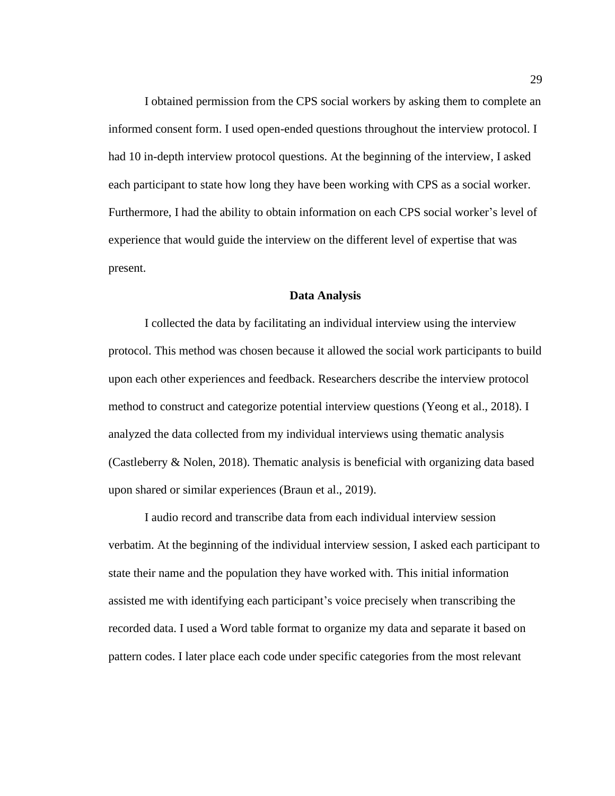I obtained permission from the CPS social workers by asking them to complete an informed consent form. I used open-ended questions throughout the interview protocol. I had 10 in-depth interview protocol questions. At the beginning of the interview, I asked each participant to state how long they have been working with CPS as a social worker. Furthermore, I had the ability to obtain information on each CPS social worker's level of experience that would guide the interview on the different level of expertise that was present.

#### **Data Analysis**

I collected the data by facilitating an individual interview using the interview protocol. This method was chosen because it allowed the social work participants to build upon each other experiences and feedback. Researchers describe the interview protocol method to construct and categorize potential interview questions (Yeong et al., 2018). I analyzed the data collected from my individual interviews using thematic analysis (Castleberry & Nolen, 2018). Thematic analysis is beneficial with organizing data based upon shared or similar experiences (Braun et al., 2019).

I audio record and transcribe data from each individual interview session verbatim. At the beginning of the individual interview session, I asked each participant to state their name and the population they have worked with. This initial information assisted me with identifying each participant's voice precisely when transcribing the recorded data. I used a Word table format to organize my data and separate it based on pattern codes. I later place each code under specific categories from the most relevant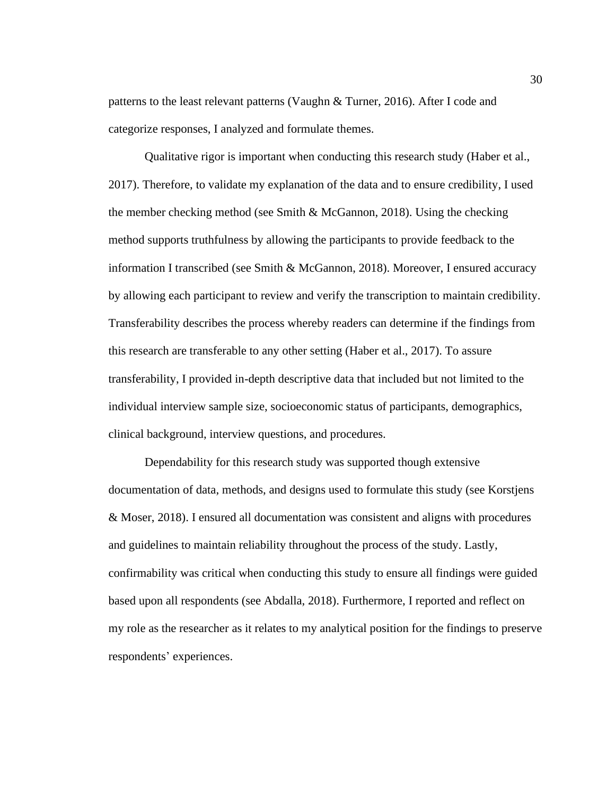patterns to the least relevant patterns (Vaughn & Turner, 2016). After I code and categorize responses, I analyzed and formulate themes.

Qualitative rigor is important when conducting this research study (Haber et al., 2017). Therefore, to validate my explanation of the data and to ensure credibility, I used the member checking method (see Smith & McGannon, 2018). Using the checking method supports truthfulness by allowing the participants to provide feedback to the information I transcribed (see Smith & McGannon, 2018). Moreover, I ensured accuracy by allowing each participant to review and verify the transcription to maintain credibility. Transferability describes the process whereby readers can determine if the findings from this research are transferable to any other setting (Haber et al., 2017). To assure transferability, I provided in-depth descriptive data that included but not limited to the individual interview sample size, socioeconomic status of participants, demographics, clinical background, interview questions, and procedures.

Dependability for this research study was supported though extensive documentation of data, methods, and designs used to formulate this study (see Korstjens & Moser, 2018). I ensured all documentation was consistent and aligns with procedures and guidelines to maintain reliability throughout the process of the study. Lastly, confirmability was critical when conducting this study to ensure all findings were guided based upon all respondents (see Abdalla, 2018). Furthermore, I reported and reflect on my role as the researcher as it relates to my analytical position for the findings to preserve respondents' experiences.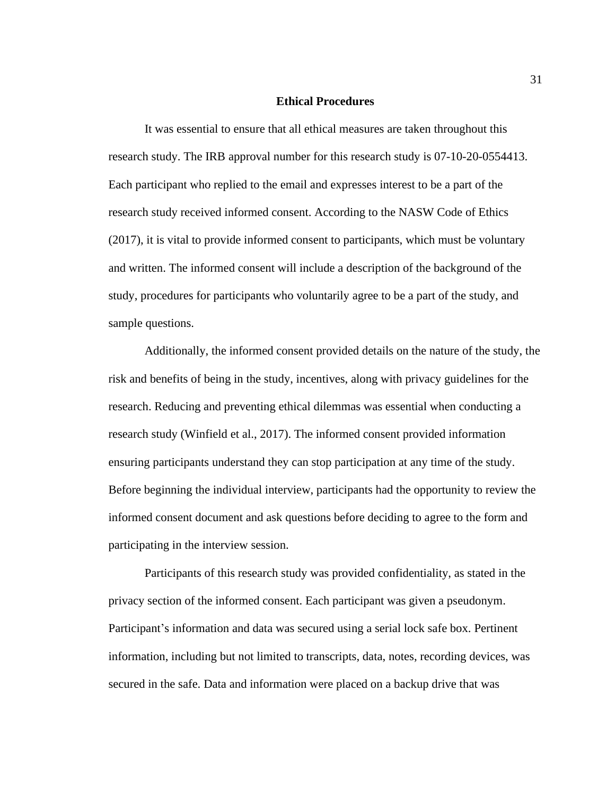## **Ethical Procedures**

It was essential to ensure that all ethical measures are taken throughout this research study. The IRB approval number for this research study is 07-10-20-0554413. Each participant who replied to the email and expresses interest to be a part of the research study received informed consent. According to the NASW Code of Ethics (2017), it is vital to provide informed consent to participants, which must be voluntary and written. The informed consent will include a description of the background of the study, procedures for participants who voluntarily agree to be a part of the study, and sample questions.

Additionally, the informed consent provided details on the nature of the study, the risk and benefits of being in the study, incentives, along with privacy guidelines for the research. Reducing and preventing ethical dilemmas was essential when conducting a research study (Winfield et al., 2017). The informed consent provided information ensuring participants understand they can stop participation at any time of the study. Before beginning the individual interview, participants had the opportunity to review the informed consent document and ask questions before deciding to agree to the form and participating in the interview session.

Participants of this research study was provided confidentiality, as stated in the privacy section of the informed consent. Each participant was given a pseudonym. Participant's information and data was secured using a serial lock safe box. Pertinent information, including but not limited to transcripts, data, notes, recording devices, was secured in the safe. Data and information were placed on a backup drive that was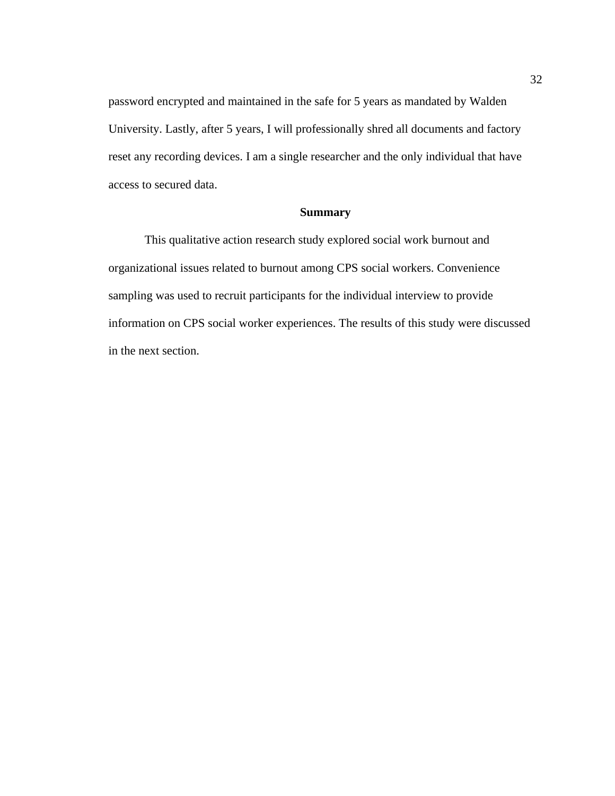password encrypted and maintained in the safe for 5 years as mandated by Walden University. Lastly, after 5 years, I will professionally shred all documents and factory reset any recording devices. I am a single researcher and the only individual that have access to secured data.

## **Summary**

This qualitative action research study explored social work burnout and organizational issues related to burnout among CPS social workers. Convenience sampling was used to recruit participants for the individual interview to provide information on CPS social worker experiences. The results of this study were discussed in the next section.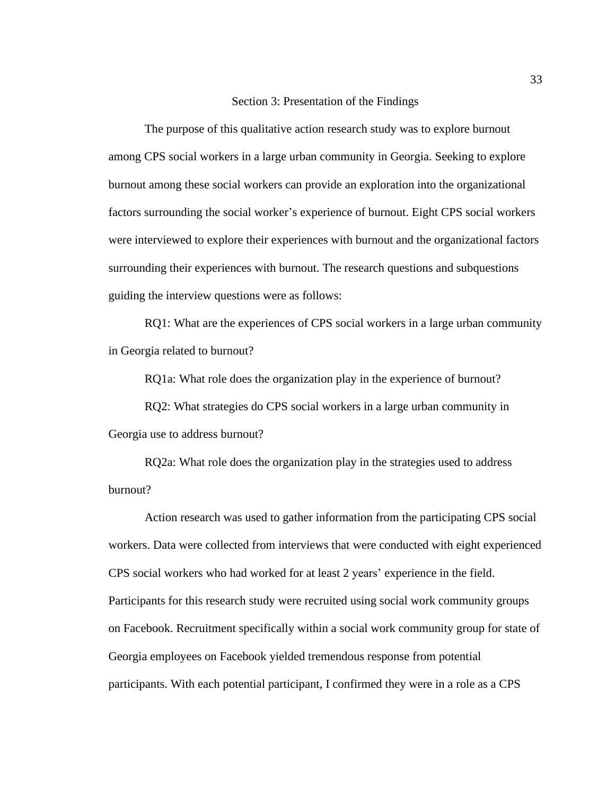## Section 3: Presentation of the Findings

The purpose of this qualitative action research study was to explore burnout among CPS social workers in a large urban community in Georgia. Seeking to explore burnout among these social workers can provide an exploration into the organizational factors surrounding the social worker's experience of burnout. Eight CPS social workers were interviewed to explore their experiences with burnout and the organizational factors surrounding their experiences with burnout. The research questions and subquestions guiding the interview questions were as follows:

RQ1: What are the experiences of CPS social workers in a large urban community in Georgia related to burnout?

RQ1a: What role does the organization play in the experience of burnout?

RQ2: What strategies do CPS social workers in a large urban community in Georgia use to address burnout?

RQ2a: What role does the organization play in the strategies used to address burnout?

Action research was used to gather information from the participating CPS social workers. Data were collected from interviews that were conducted with eight experienced CPS social workers who had worked for at least 2 years' experience in the field. Participants for this research study were recruited using social work community groups on Facebook. Recruitment specifically within a social work community group for state of Georgia employees on Facebook yielded tremendous response from potential participants. With each potential participant, I confirmed they were in a role as a CPS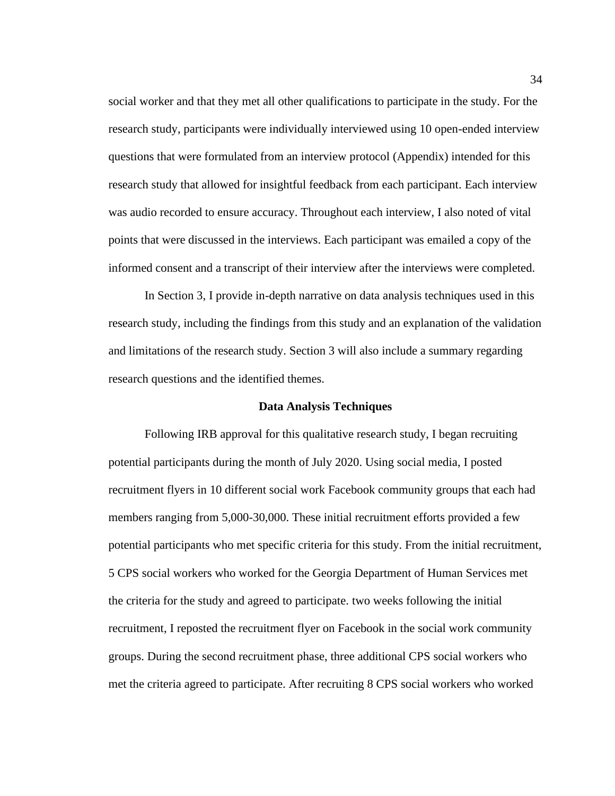social worker and that they met all other qualifications to participate in the study. For the research study, participants were individually interviewed using 10 open-ended interview questions that were formulated from an interview protocol (Appendix) intended for this research study that allowed for insightful feedback from each participant. Each interview was audio recorded to ensure accuracy. Throughout each interview, I also noted of vital points that were discussed in the interviews. Each participant was emailed a copy of the informed consent and a transcript of their interview after the interviews were completed.

In Section 3, I provide in-depth narrative on data analysis techniques used in this research study, including the findings from this study and an explanation of the validation and limitations of the research study. Section 3 will also include a summary regarding research questions and the identified themes.

## **Data Analysis Techniques**

Following IRB approval for this qualitative research study, I began recruiting potential participants during the month of July 2020. Using social media, I posted recruitment flyers in 10 different social work Facebook community groups that each had members ranging from 5,000-30,000. These initial recruitment efforts provided a few potential participants who met specific criteria for this study. From the initial recruitment, 5 CPS social workers who worked for the Georgia Department of Human Services met the criteria for the study and agreed to participate. two weeks following the initial recruitment, I reposted the recruitment flyer on Facebook in the social work community groups. During the second recruitment phase, three additional CPS social workers who met the criteria agreed to participate. After recruiting 8 CPS social workers who worked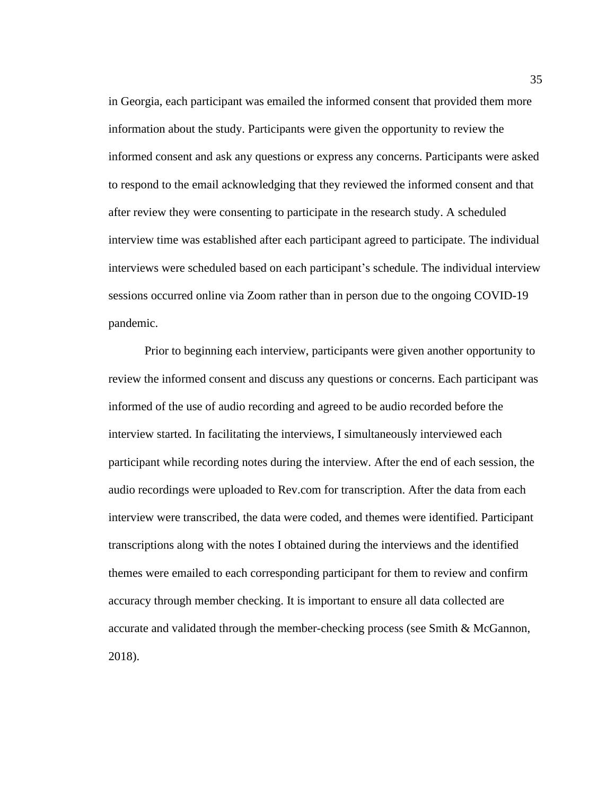in Georgia, each participant was emailed the informed consent that provided them more information about the study. Participants were given the opportunity to review the informed consent and ask any questions or express any concerns. Participants were asked to respond to the email acknowledging that they reviewed the informed consent and that after review they were consenting to participate in the research study. A scheduled interview time was established after each participant agreed to participate. The individual interviews were scheduled based on each participant's schedule. The individual interview sessions occurred online via Zoom rather than in person due to the ongoing COVID-19 pandemic.

Prior to beginning each interview, participants were given another opportunity to review the informed consent and discuss any questions or concerns. Each participant was informed of the use of audio recording and agreed to be audio recorded before the interview started. In facilitating the interviews, I simultaneously interviewed each participant while recording notes during the interview. After the end of each session, the audio recordings were uploaded to Rev.com for transcription. After the data from each interview were transcribed, the data were coded, and themes were identified. Participant transcriptions along with the notes I obtained during the interviews and the identified themes were emailed to each corresponding participant for them to review and confirm accuracy through member checking. It is important to ensure all data collected are accurate and validated through the member-checking process (see Smith & McGannon, 2018).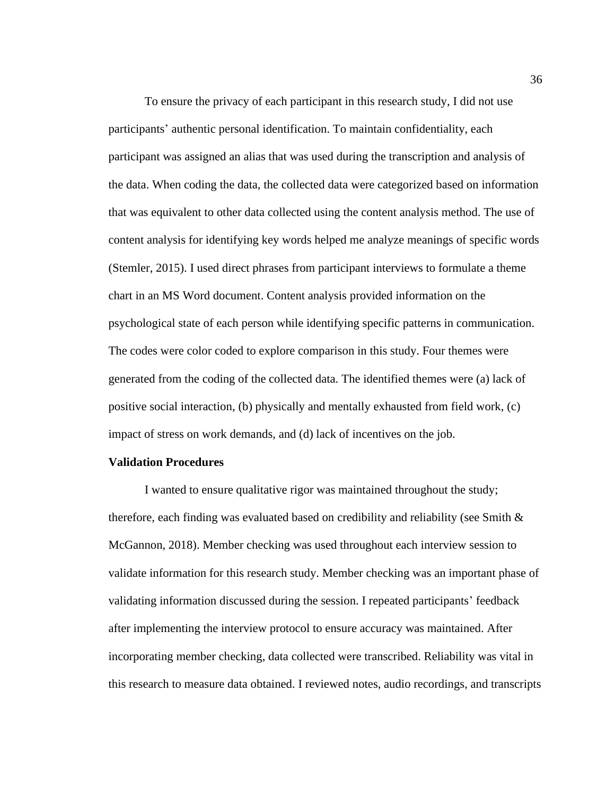To ensure the privacy of each participant in this research study, I did not use participants' authentic personal identification. To maintain confidentiality, each participant was assigned an alias that was used during the transcription and analysis of the data. When coding the data, the collected data were categorized based on information that was equivalent to other data collected using the content analysis method. The use of content analysis for identifying key words helped me analyze meanings of specific words (Stemler, 2015). I used direct phrases from participant interviews to formulate a theme chart in an MS Word document. Content analysis provided information on the psychological state of each person while identifying specific patterns in communication. The codes were color coded to explore comparison in this study. Four themes were generated from the coding of the collected data. The identified themes were (a) lack of positive social interaction, (b) physically and mentally exhausted from field work, (c) impact of stress on work demands, and (d) lack of incentives on the job.

#### **Validation Procedures**

I wanted to ensure qualitative rigor was maintained throughout the study; therefore, each finding was evaluated based on credibility and reliability (see Smith  $\&$ McGannon, 2018). Member checking was used throughout each interview session to validate information for this research study. Member checking was an important phase of validating information discussed during the session. I repeated participants' feedback after implementing the interview protocol to ensure accuracy was maintained. After incorporating member checking, data collected were transcribed. Reliability was vital in this research to measure data obtained. I reviewed notes, audio recordings, and transcripts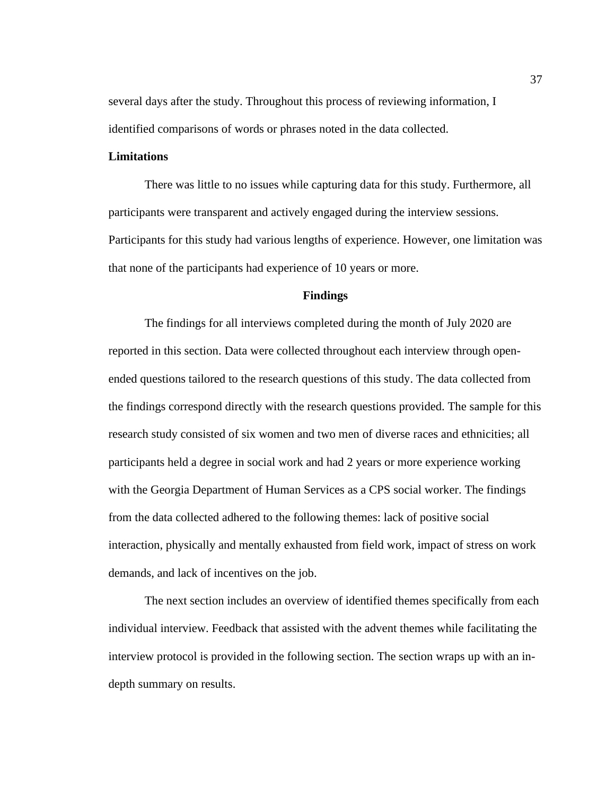several days after the study. Throughout this process of reviewing information, I identified comparisons of words or phrases noted in the data collected.

# **Limitations**

There was little to no issues while capturing data for this study. Furthermore, all participants were transparent and actively engaged during the interview sessions. Participants for this study had various lengths of experience. However, one limitation was that none of the participants had experience of 10 years or more.

# **Findings**

The findings for all interviews completed during the month of July 2020 are reported in this section. Data were collected throughout each interview through openended questions tailored to the research questions of this study. The data collected from the findings correspond directly with the research questions provided. The sample for this research study consisted of six women and two men of diverse races and ethnicities; all participants held a degree in social work and had 2 years or more experience working with the Georgia Department of Human Services as a CPS social worker. The findings from the data collected adhered to the following themes: lack of positive social interaction, physically and mentally exhausted from field work, impact of stress on work demands, and lack of incentives on the job.

The next section includes an overview of identified themes specifically from each individual interview. Feedback that assisted with the advent themes while facilitating the interview protocol is provided in the following section. The section wraps up with an indepth summary on results.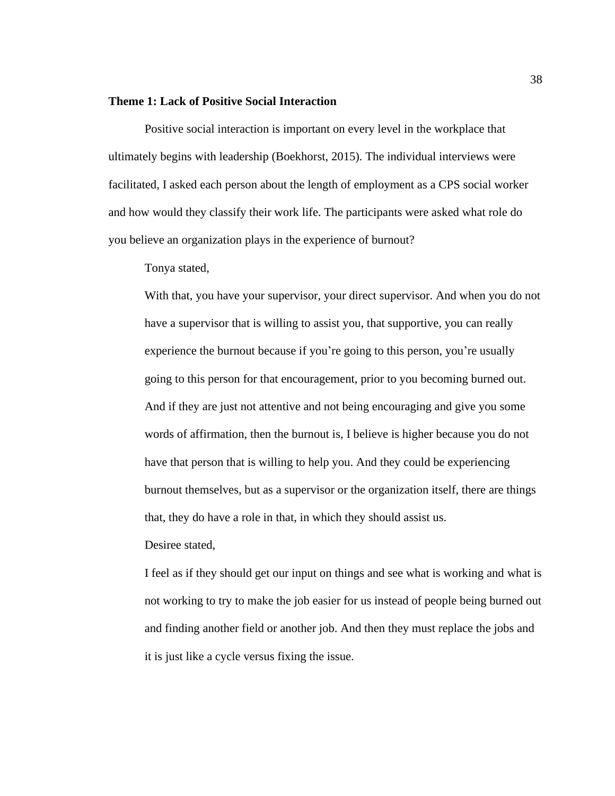## **Theme 1: Lack of Positive Social Interaction**

Positive social interaction is important on every level in the workplace that ultimately begins with leadership (Boekhorst, 2015). The individual interviews were facilitated, I asked each person about the length of employment as a CPS social worker and how would they classify their work life. The participants were asked what role do you believe an organization plays in the experience of burnout?

Tonya stated,

With that, you have your supervisor, your direct supervisor. And when you do not have a supervisor that is willing to assist you, that supportive, you can really experience the burnout because if you're going to this person, you're usually going to this person for that encouragement, prior to you becoming burned out. And if they are just not attentive and not being encouraging and give you some words of affirmation, then the burnout is, I believe is higher because you do not have that person that is willing to help you. And they could be experiencing burnout themselves, but as a supervisor or the organization itself, there are things that, they do have a role in that, in which they should assist us.

Desiree stated,

I feel as if they should get our input on things and see what is working and what is not working to try to make the job easier for us instead of people being burned out and finding another field or another job. And then they must replace the jobs and it is just like a cycle versus fixing the issue.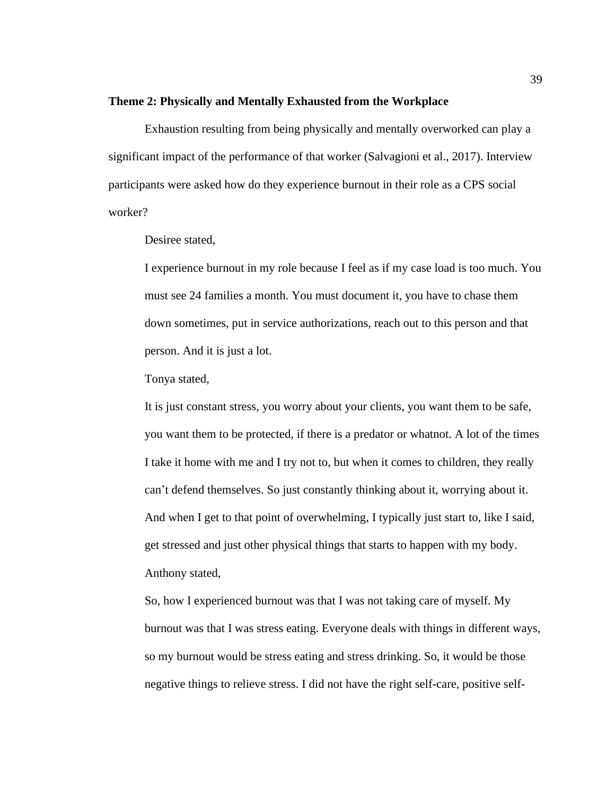### **Theme 2: Physically and Mentally Exhausted from the Workplace**

Exhaustion resulting from being physically and mentally overworked can play a significant impact of the performance of that worker (Salvagioni et al., 2017). Interview participants were asked how do they experience burnout in their role as a CPS social worker?

Desiree stated,

I experience burnout in my role because I feel as if my case load is too much. You must see 24 families a month. You must document it, you have to chase them down sometimes, put in service authorizations, reach out to this person and that person. And it is just a lot.

Tonya stated,

It is just constant stress, you worry about your clients, you want them to be safe, you want them to be protected, if there is a predator or whatnot. A lot of the times I take it home with me and I try not to, but when it comes to children, they really can't defend themselves. So just constantly thinking about it, worrying about it. And when I get to that point of overwhelming, I typically just start to, like I said, get stressed and just other physical things that starts to happen with my body. Anthony stated,

So, how I experienced burnout was that I was not taking care of myself. My burnout was that I was stress eating. Everyone deals with things in different ways, so my burnout would be stress eating and stress drinking. So, it would be those negative things to relieve stress. I did not have the right self-care, positive self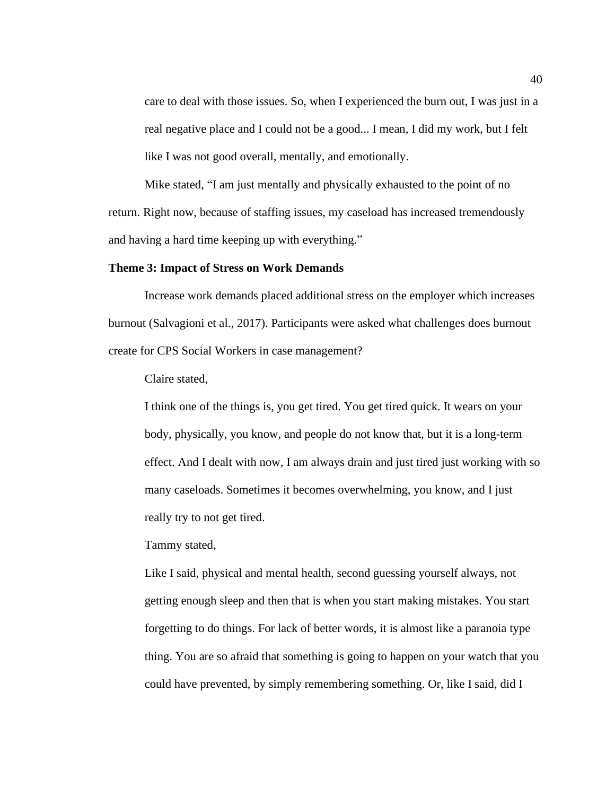care to deal with those issues. So, when I experienced the burn out, I was just in a real negative place and I could not be a good... I mean, I did my work, but I felt like I was not good overall, mentally, and emotionally.

Mike stated, "I am just mentally and physically exhausted to the point of no return. Right now, because of staffing issues, my caseload has increased tremendously and having a hard time keeping up with everything."

## **Theme 3: Impact of Stress on Work Demands**

Increase work demands placed additional stress on the employer which increases burnout (Salvagioni et al., 2017). Participants were asked what challenges does burnout create for CPS Social Workers in case management?

Claire stated,

I think one of the things is, you get tired. You get tired quick. It wears on your body, physically, you know, and people do not know that, but it is a long-term effect. And I dealt with now, I am always drain and just tired just working with so many caseloads. Sometimes it becomes overwhelming, you know, and I just really try to not get tired.

Tammy stated,

Like I said, physical and mental health, second guessing yourself always, not getting enough sleep and then that is when you start making mistakes. You start forgetting to do things. For lack of better words, it is almost like a paranoia type thing. You are so afraid that something is going to happen on your watch that you could have prevented, by simply remembering something. Or, like I said, did I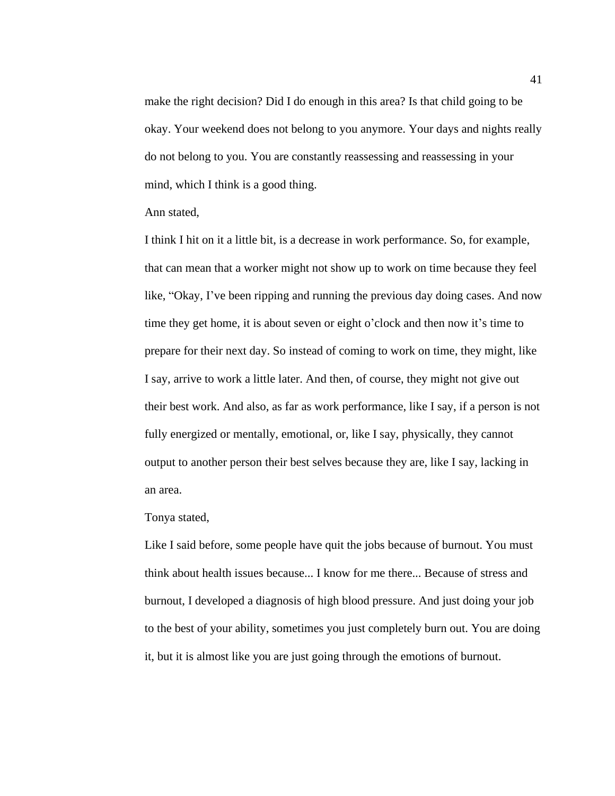make the right decision? Did I do enough in this area? Is that child going to be okay. Your weekend does not belong to you anymore. Your days and nights really do not belong to you. You are constantly reassessing and reassessing in your mind, which I think is a good thing.

#### Ann stated,

I think I hit on it a little bit, is a decrease in work performance. So, for example, that can mean that a worker might not show up to work on time because they feel like, "Okay, I've been ripping and running the previous day doing cases. And now time they get home, it is about seven or eight o'clock and then now it's time to prepare for their next day. So instead of coming to work on time, they might, like I say, arrive to work a little later. And then, of course, they might not give out their best work. And also, as far as work performance, like I say, if a person is not fully energized or mentally, emotional, or, like I say, physically, they cannot output to another person their best selves because they are, like I say, lacking in an area.

### Tonya stated,

Like I said before, some people have quit the jobs because of burnout. You must think about health issues because... I know for me there... Because of stress and burnout, I developed a diagnosis of high blood pressure. And just doing your job to the best of your ability, sometimes you just completely burn out. You are doing it, but it is almost like you are just going through the emotions of burnout.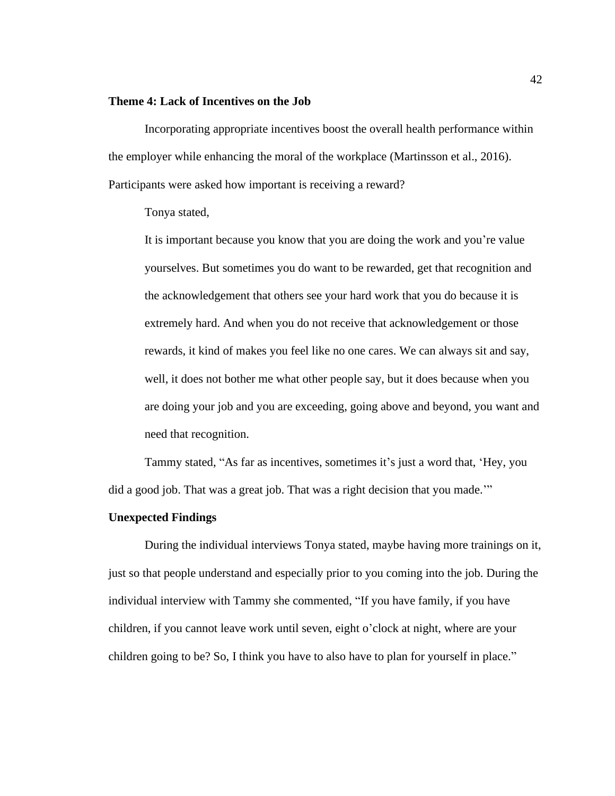## **Theme 4: Lack of Incentives on the Job**

Incorporating appropriate incentives boost the overall health performance within the employer while enhancing the moral of the workplace (Martinsson et al., 2016). Participants were asked how important is receiving a reward?

Tonya stated,

It is important because you know that you are doing the work and you're value yourselves. But sometimes you do want to be rewarded, get that recognition and the acknowledgement that others see your hard work that you do because it is extremely hard. And when you do not receive that acknowledgement or those rewards, it kind of makes you feel like no one cares. We can always sit and say, well, it does not bother me what other people say, but it does because when you are doing your job and you are exceeding, going above and beyond, you want and need that recognition.

Tammy stated, "As far as incentives, sometimes it's just a word that, 'Hey, you did a good job. That was a great job. That was a right decision that you made.'"

## **Unexpected Findings**

During the individual interviews Tonya stated, maybe having more trainings on it, just so that people understand and especially prior to you coming into the job. During the individual interview with Tammy she commented, "If you have family, if you have children, if you cannot leave work until seven, eight o'clock at night, where are your children going to be? So, I think you have to also have to plan for yourself in place."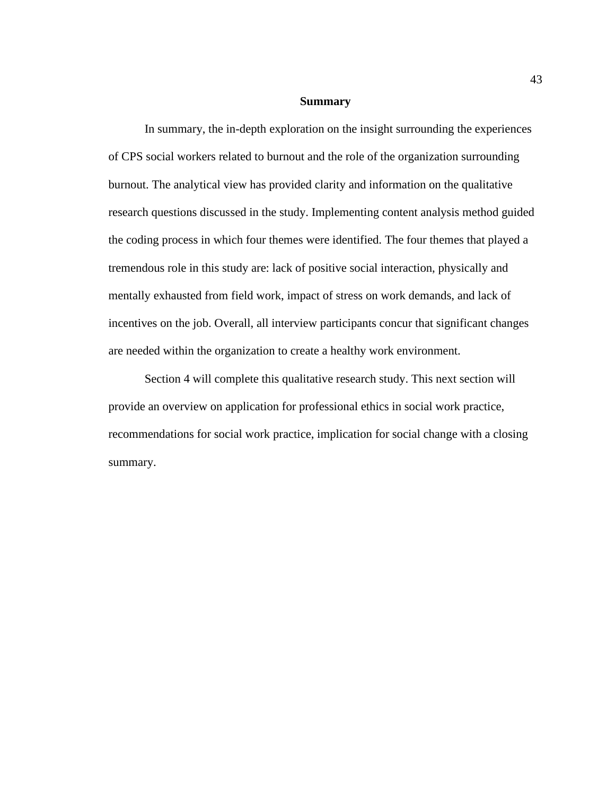### **Summary**

In summary, the in-depth exploration on the insight surrounding the experiences of CPS social workers related to burnout and the role of the organization surrounding burnout. The analytical view has provided clarity and information on the qualitative research questions discussed in the study. Implementing content analysis method guided the coding process in which four themes were identified. The four themes that played a tremendous role in this study are: lack of positive social interaction, physically and mentally exhausted from field work, impact of stress on work demands, and lack of incentives on the job. Overall, all interview participants concur that significant changes are needed within the organization to create a healthy work environment.

Section 4 will complete this qualitative research study. This next section will provide an overview on application for professional ethics in social work practice, recommendations for social work practice, implication for social change with a closing summary.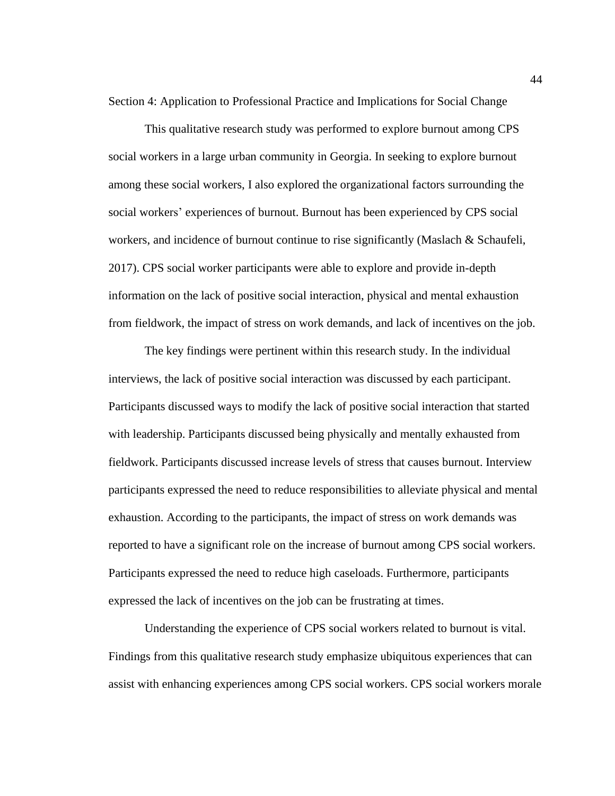Section 4: Application to Professional Practice and Implications for Social Change

This qualitative research study was performed to explore burnout among CPS social workers in a large urban community in Georgia. In seeking to explore burnout among these social workers, I also explored the organizational factors surrounding the social workers' experiences of burnout. Burnout has been experienced by CPS social workers, and incidence of burnout continue to rise significantly (Maslach & Schaufeli, 2017). CPS social worker participants were able to explore and provide in-depth information on the lack of positive social interaction, physical and mental exhaustion from fieldwork, the impact of stress on work demands, and lack of incentives on the job.

The key findings were pertinent within this research study. In the individual interviews, the lack of positive social interaction was discussed by each participant. Participants discussed ways to modify the lack of positive social interaction that started with leadership. Participants discussed being physically and mentally exhausted from fieldwork. Participants discussed increase levels of stress that causes burnout. Interview participants expressed the need to reduce responsibilities to alleviate physical and mental exhaustion. According to the participants, the impact of stress on work demands was reported to have a significant role on the increase of burnout among CPS social workers. Participants expressed the need to reduce high caseloads. Furthermore, participants expressed the lack of incentives on the job can be frustrating at times.

Understanding the experience of CPS social workers related to burnout is vital. Findings from this qualitative research study emphasize ubiquitous experiences that can assist with enhancing experiences among CPS social workers. CPS social workers morale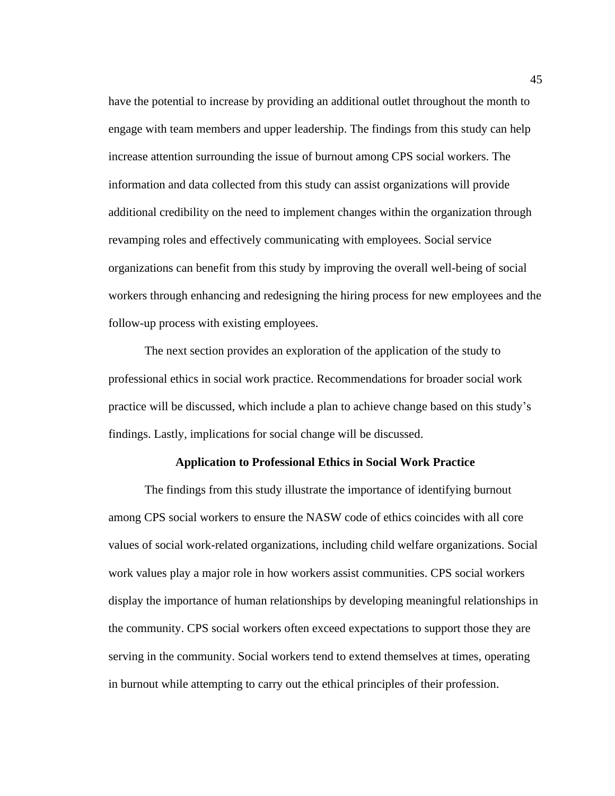have the potential to increase by providing an additional outlet throughout the month to engage with team members and upper leadership. The findings from this study can help increase attention surrounding the issue of burnout among CPS social workers. The information and data collected from this study can assist organizations will provide additional credibility on the need to implement changes within the organization through revamping roles and effectively communicating with employees. Social service organizations can benefit from this study by improving the overall well-being of social workers through enhancing and redesigning the hiring process for new employees and the follow-up process with existing employees.

The next section provides an exploration of the application of the study to professional ethics in social work practice. Recommendations for broader social work practice will be discussed, which include a plan to achieve change based on this study's findings. Lastly, implications for social change will be discussed.

#### **Application to Professional Ethics in Social Work Practice**

The findings from this study illustrate the importance of identifying burnout among CPS social workers to ensure the NASW code of ethics coincides with all core values of social work-related organizations, including child welfare organizations. Social work values play a major role in how workers assist communities. CPS social workers display the importance of human relationships by developing meaningful relationships in the community. CPS social workers often exceed expectations to support those they are serving in the community. Social workers tend to extend themselves at times, operating in burnout while attempting to carry out the ethical principles of their profession.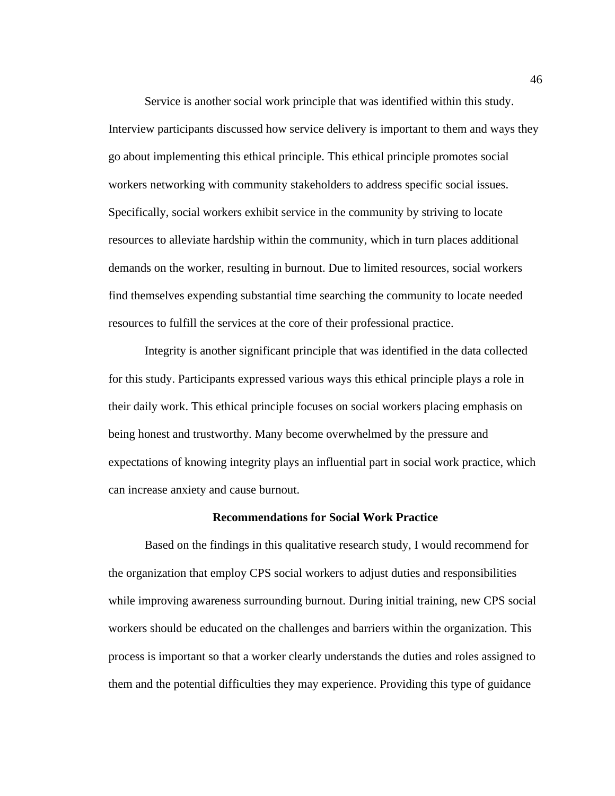Service is another social work principle that was identified within this study. Interview participants discussed how service delivery is important to them and ways they go about implementing this ethical principle. This ethical principle promotes social workers networking with community stakeholders to address specific social issues. Specifically, social workers exhibit service in the community by striving to locate resources to alleviate hardship within the community, which in turn places additional demands on the worker, resulting in burnout. Due to limited resources, social workers find themselves expending substantial time searching the community to locate needed resources to fulfill the services at the core of their professional practice.

Integrity is another significant principle that was identified in the data collected for this study. Participants expressed various ways this ethical principle plays a role in their daily work. This ethical principle focuses on social workers placing emphasis on being honest and trustworthy. Many become overwhelmed by the pressure and expectations of knowing integrity plays an influential part in social work practice, which can increase anxiety and cause burnout.

#### **Recommendations for Social Work Practice**

Based on the findings in this qualitative research study, I would recommend for the organization that employ CPS social workers to adjust duties and responsibilities while improving awareness surrounding burnout. During initial training, new CPS social workers should be educated on the challenges and barriers within the organization. This process is important so that a worker clearly understands the duties and roles assigned to them and the potential difficulties they may experience. Providing this type of guidance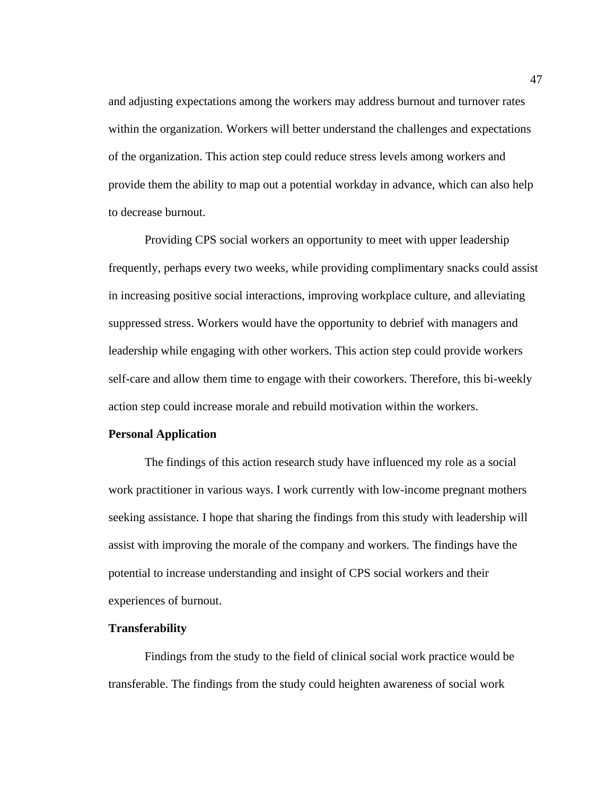and adjusting expectations among the workers may address burnout and turnover rates within the organization. Workers will better understand the challenges and expectations of the organization. This action step could reduce stress levels among workers and provide them the ability to map out a potential workday in advance, which can also help to decrease burnout.

Providing CPS social workers an opportunity to meet with upper leadership frequently, perhaps every two weeks, while providing complimentary snacks could assist in increasing positive social interactions, improving workplace culture, and alleviating suppressed stress. Workers would have the opportunity to debrief with managers and leadership while engaging with other workers. This action step could provide workers self-care and allow them time to engage with their coworkers. Therefore, this bi-weekly action step could increase morale and rebuild motivation within the workers.

# **Personal Application**

The findings of this action research study have influenced my role as a social work practitioner in various ways. I work currently with low-income pregnant mothers seeking assistance. I hope that sharing the findings from this study with leadership will assist with improving the morale of the company and workers. The findings have the potential to increase understanding and insight of CPS social workers and their experiences of burnout.

#### **Transferability**

Findings from the study to the field of clinical social work practice would be transferable. The findings from the study could heighten awareness of social work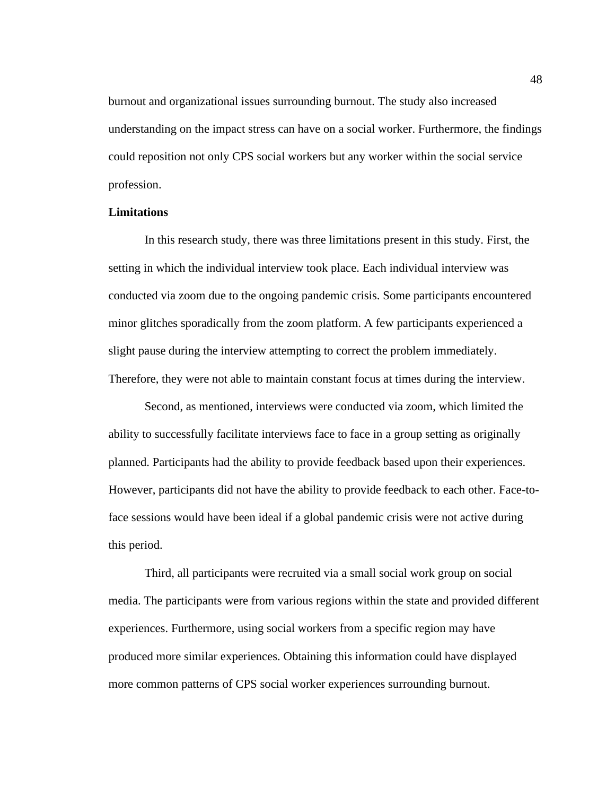burnout and organizational issues surrounding burnout. The study also increased understanding on the impact stress can have on a social worker. Furthermore, the findings could reposition not only CPS social workers but any worker within the social service profession.

# **Limitations**

In this research study, there was three limitations present in this study. First, the setting in which the individual interview took place. Each individual interview was conducted via zoom due to the ongoing pandemic crisis. Some participants encountered minor glitches sporadically from the zoom platform. A few participants experienced a slight pause during the interview attempting to correct the problem immediately. Therefore, they were not able to maintain constant focus at times during the interview.

Second, as mentioned, interviews were conducted via zoom, which limited the ability to successfully facilitate interviews face to face in a group setting as originally planned. Participants had the ability to provide feedback based upon their experiences. However, participants did not have the ability to provide feedback to each other. Face-toface sessions would have been ideal if a global pandemic crisis were not active during this period.

Third, all participants were recruited via a small social work group on social media. The participants were from various regions within the state and provided different experiences. Furthermore, using social workers from a specific region may have produced more similar experiences. Obtaining this information could have displayed more common patterns of CPS social worker experiences surrounding burnout.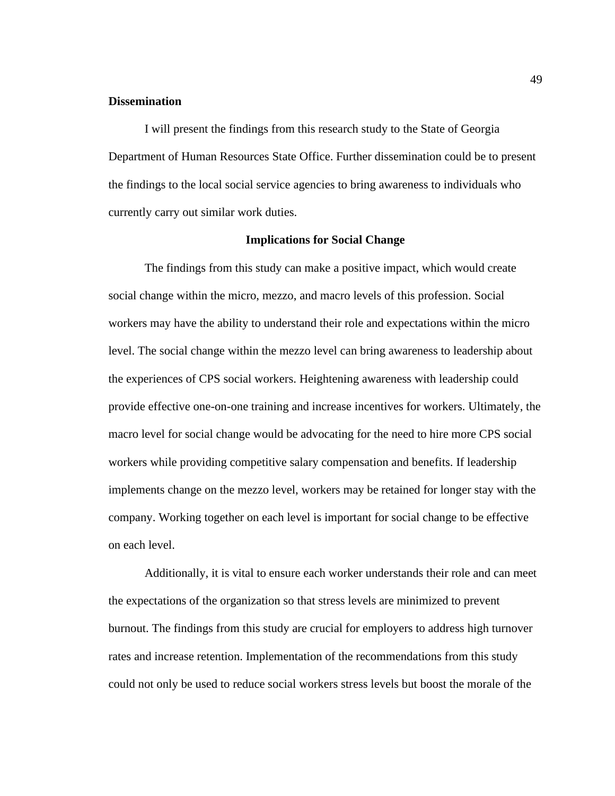## **Dissemination**

I will present the findings from this research study to the State of Georgia Department of Human Resources State Office. Further dissemination could be to present the findings to the local social service agencies to bring awareness to individuals who currently carry out similar work duties.

### **Implications for Social Change**

The findings from this study can make a positive impact, which would create social change within the micro, mezzo, and macro levels of this profession. Social workers may have the ability to understand their role and expectations within the micro level. The social change within the mezzo level can bring awareness to leadership about the experiences of CPS social workers. Heightening awareness with leadership could provide effective one-on-one training and increase incentives for workers. Ultimately, the macro level for social change would be advocating for the need to hire more CPS social workers while providing competitive salary compensation and benefits. If leadership implements change on the mezzo level, workers may be retained for longer stay with the company. Working together on each level is important for social change to be effective on each level.

Additionally, it is vital to ensure each worker understands their role and can meet the expectations of the organization so that stress levels are minimized to prevent burnout. The findings from this study are crucial for employers to address high turnover rates and increase retention. Implementation of the recommendations from this study could not only be used to reduce social workers stress levels but boost the morale of the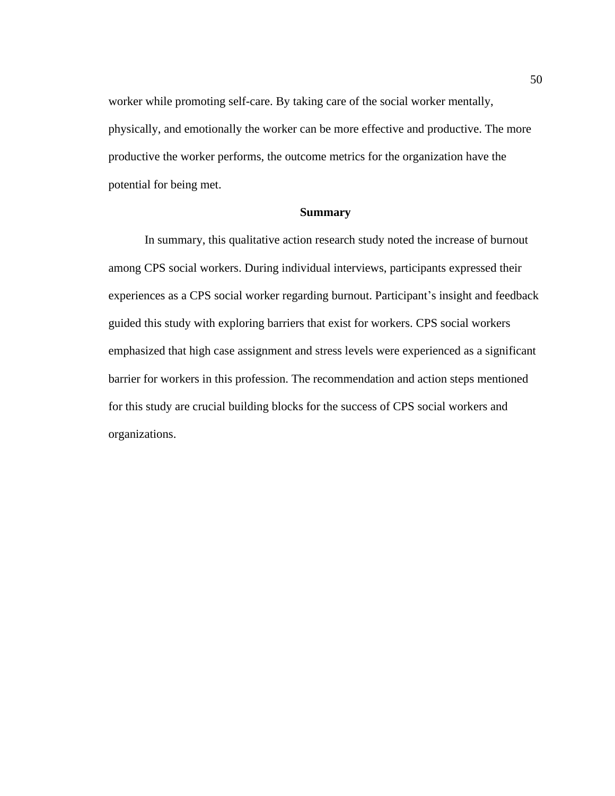worker while promoting self-care. By taking care of the social worker mentally, physically, and emotionally the worker can be more effective and productive. The more productive the worker performs, the outcome metrics for the organization have the potential for being met.

### **Summary**

In summary, this qualitative action research study noted the increase of burnout among CPS social workers. During individual interviews, participants expressed their experiences as a CPS social worker regarding burnout. Participant's insight and feedback guided this study with exploring barriers that exist for workers. CPS social workers emphasized that high case assignment and stress levels were experienced as a significant barrier for workers in this profession. The recommendation and action steps mentioned for this study are crucial building blocks for the success of CPS social workers and organizations.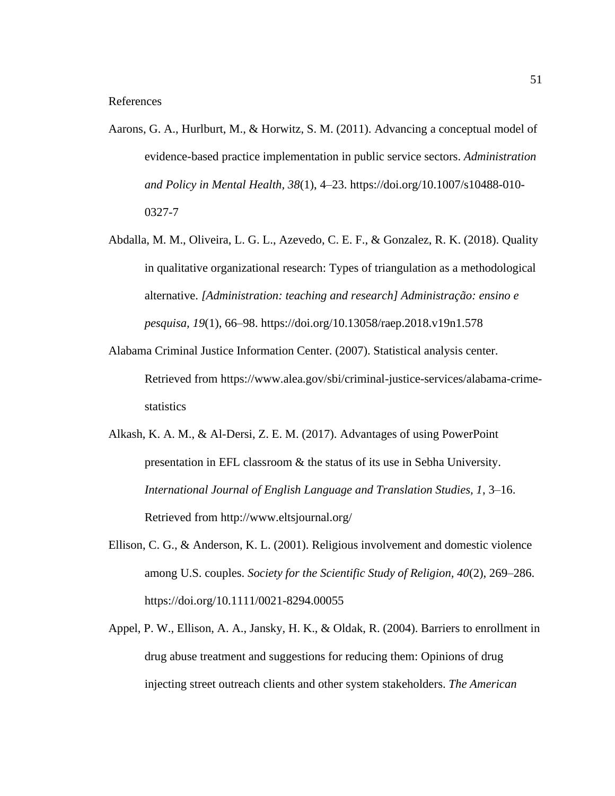- Aarons, G. A., Hurlburt, M., & Horwitz, S. M. (2011). Advancing a conceptual model of evidence-based practice implementation in public service sectors. *Administration and Policy in Mental Health, 38*(1), 4–23. https://doi.org/10.1007/s10488-010- 0327-7
- Abdalla, M. M., Oliveira, L. G. L., Azevedo, C. E. F., & Gonzalez, R. K. (2018). Quality in qualitative organizational research: Types of triangulation as a methodological alternative. *[Administration: teaching and research] Administração: ensino e pesquisa, 19*(1), 66–98. https://doi.org/10.13058/raep.2018.v19n1.578
- Alabama Criminal Justice Information Center. (2007). Statistical analysis center. Retrieved from https://www.alea.gov/sbi/criminal-justice-services/alabama-crimestatistics
- Alkash, K. A. M., & Al-Dersi, Z. E. M. (2017). Advantages of using PowerPoint presentation in EFL classroom & the status of its use in Sebha University. *International Journal of English Language and Translation Studies, 1*, 3–16. Retrieved from http://www.eltsjournal.org/
- Ellison, C. G., & Anderson, K. L. (2001). Religious involvement and domestic violence among U.S. couples. *Society for the Scientific Study of Religion, 40*(2), 269–286. https://doi.org/10.1111/0021-8294.00055
- Appel, P. W., Ellison, A. A., Jansky, H. K., & Oldak, R. (2004). Barriers to enrollment in drug abuse treatment and suggestions for reducing them: Opinions of drug injecting street outreach clients and other system stakeholders. *The American*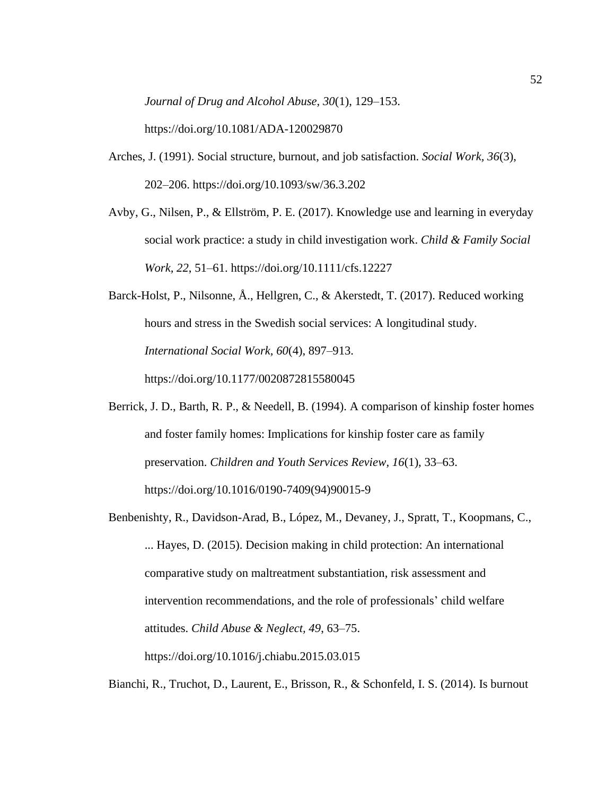*Journal of Drug and Alcohol Abuse, 30*(1), 129–153.

https://doi.org/10.1081/ADA-120029870

- Arches, J. (1991). Social structure, burnout, and job satisfaction. *Social Work, 36*(3), 202–206. https://doi.org/10.1093/sw/36.3.202
- Avby, G., Nilsen, P., & Ellström, P. E. (2017). Knowledge use and learning in everyday social work practice: a study in child investigation work. *Child & Family Social Work, 22*, 51–61. https://doi.org/10.1111/cfs.12227
- Barck-Holst, P., Nilsonne, Å., Hellgren, C., & Akerstedt, T. (2017). Reduced working hours and stress in the Swedish social services: A longitudinal study. *International Social Work, 60*(4), 897–913. https://doi.org/10.1177/0020872815580045
- Berrick, J. D., Barth, R. P., & Needell, B. (1994). A comparison of kinship foster homes and foster family homes: Implications for kinship foster care as family preservation. *Children and Youth Services Review, 16*(1), 33–63. https://doi.org/10.1016/0190-7409(94)90015-9
- Benbenishty, R., Davidson-Arad, B., López, M., Devaney, J., Spratt, T., Koopmans, C., ... Hayes, D. (2015). Decision making in child protection: An international comparative study on maltreatment substantiation, risk assessment and intervention recommendations, and the role of professionals' child welfare attitudes. *Child Abuse & Neglect, 49*, 63–75. https://doi.org/10.1016/j.chiabu.2015.03.015

Bianchi, R., Truchot, D., Laurent, E., Brisson, R., & Schonfeld, I. S. (2014). Is burnout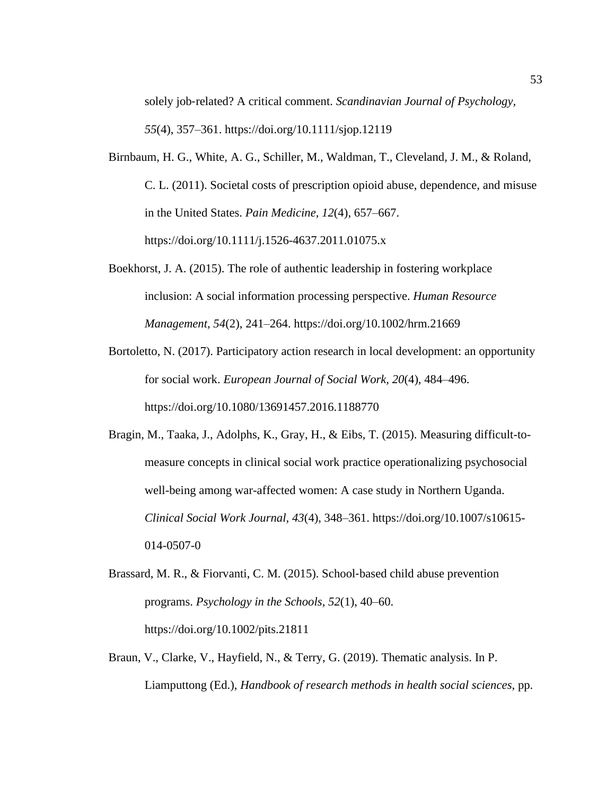solely job-related? A critical comment. *Scandinavian Journal of Psychology*, *55*(4), 357–361. https://doi.org/10.1111/sjop.12119

- Birnbaum, H. G., White, A. G., Schiller, M., Waldman, T., Cleveland, J. M., & Roland, C. L. (2011). Societal costs of prescription opioid abuse, dependence, and misuse in the United States. *Pain Medicine, 12*(4), 657–667. https://doi.org/10.1111/j.1526-4637.2011.01075.x
- Boekhorst, J. A. (2015). The role of authentic leadership in fostering workplace inclusion: A social information processing perspective. *Human Resource Management, 54*(2), 241–264. https://doi.org/10.1002/hrm.21669
- Bortoletto, N. (2017). Participatory action research in local development: an opportunity for social work. *European Journal of Social Work, 20*(4), 484–496. https://doi.org/10.1080/13691457.2016.1188770
- Bragin, M., Taaka, J., Adolphs, K., Gray, H., & Eibs, T. (2015). Measuring difficult-tomeasure concepts in clinical social work practice operationalizing psychosocial well-being among war-affected women: A case study in Northern Uganda. *Clinical Social Work Journal, 43*(4), 348–361. https://doi.org/10.1007/s10615- 014-0507-0
- Brassard, M. R., & Fiorvanti, C. M. (2015). School‐based child abuse prevention programs. *Psychology in the Schools, 52*(1), 40–60. https://doi.org/10.1002/pits.21811
- Braun, V., Clarke, V., Hayfield, N., & Terry, G. (2019). Thematic analysis. In P. Liamputtong (Ed.), *Handbook of research methods in health social sciences*, pp.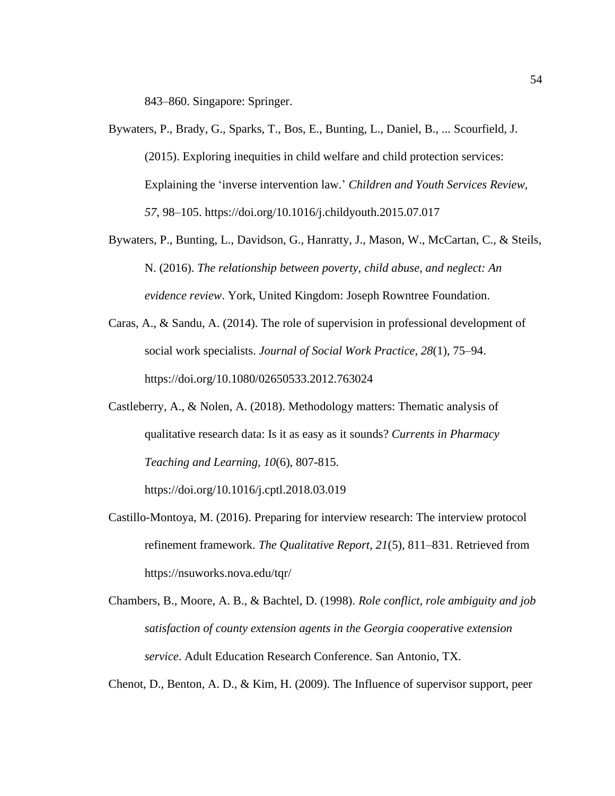843–860. Singapore: Springer.

- Bywaters, P., Brady, G., Sparks, T., Bos, E., Bunting, L., Daniel, B., ... Scourfield, J. (2015). Exploring inequities in child welfare and child protection services: Explaining the 'inverse intervention law.' *Children and Youth Services Review, 57*, 98–105. https://doi.org/10.1016/j.childyouth.2015.07.017
- Bywaters, P., Bunting, L., Davidson, G., Hanratty, J., Mason, W., McCartan, C., & Steils, N. (2016). *The relationship between poverty, child abuse, and neglect: An evidence review*. York, United Kingdom: Joseph Rowntree Foundation.
- Caras, A., & Sandu, A. (2014). The role of supervision in professional development of social work specialists. *Journal of Social Work Practice, 28*(1), 75–94. https://doi.org/10.1080/02650533.2012.763024
- Castleberry, A., & Nolen, A. (2018). Methodology matters: Thematic analysis of qualitative research data: Is it as easy as it sounds? *Currents in Pharmacy Teaching and Learning, 10*(6), 807-815.

https://doi.org/10.1016/j.cptl.2018.03.019

- Castillo-Montoya, M. (2016). Preparing for interview research: The interview protocol refinement framework. *The Qualitative Report, 21*(5), 811–831. Retrieved from https://nsuworks.nova.edu/tqr/
- Chambers, B., Moore, A. B., & Bachtel, D. (1998). *Role conflict, role ambiguity and job satisfaction of county extension agents in the Georgia cooperative extension service*. Adult Education Research Conference. San Antonio, TX.

Chenot, D., Benton, A. D., & Kim, H. (2009). The Influence of supervisor support, peer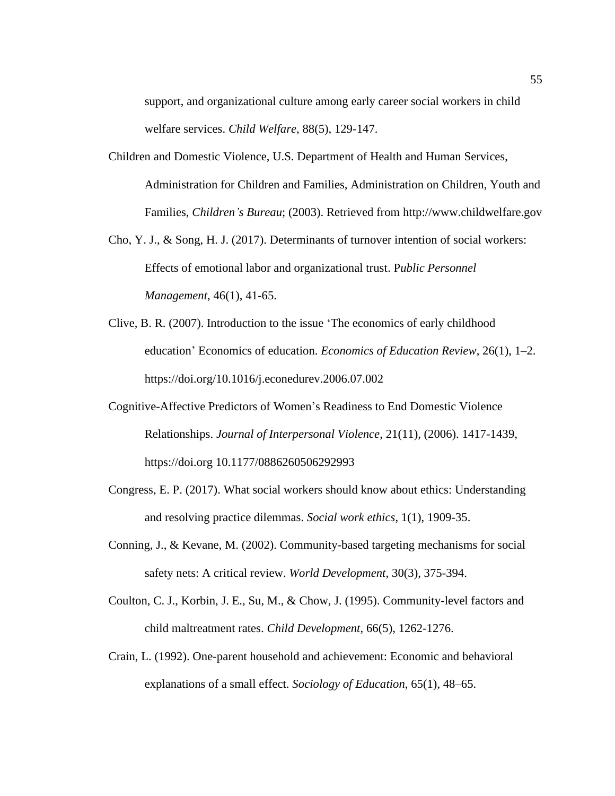support, and organizational culture among early career social workers in child welfare services. *Child Welfare*, 88(5), 129-147.

- Children and Domestic Violence, U.S. Department of Health and Human Services, Administration for Children and Families, Administration on Children, Youth and Families, *Children's Bureau*; (2003). Retrieved from http://www.childwelfare.gov
- Cho, Y. J., & Song, H. J. (2017). Determinants of turnover intention of social workers: Effects of emotional labor and organizational trust. P*ublic Personnel Management*, 46(1), 41-65.
- Clive, B. R. (2007). Introduction to the issue 'The economics of early childhood education' Economics of education. *Economics of Education Review*, 26(1), 1–2. https://doi.org/10.1016/j.econedurev.2006.07.002
- Cognitive-Affective Predictors of Women's Readiness to End Domestic Violence Relationships. *Journal of Interpersonal Violence*, 21(11), (2006). 1417-1439, https://doi.org 10.1177/0886260506292993
- Congress, E. P. (2017). What social workers should know about ethics: Understanding and resolving practice dilemmas. *Social work ethics*, 1(1), 1909-35.
- Conning, J., & Kevane, M. (2002). Community-based targeting mechanisms for social safety nets: A critical review. *World Development*, 30(3), 375-394.
- Coulton, C. J., Korbin, J. E., Su, M., & Chow, J. (1995). Community-level factors and child maltreatment rates. *Child Development*, 66(5), 1262-1276.
- Crain, L. (1992). One-parent household and achievement: Economic and behavioral explanations of a small effect. *Sociology of Education*, 65(1), 48–65.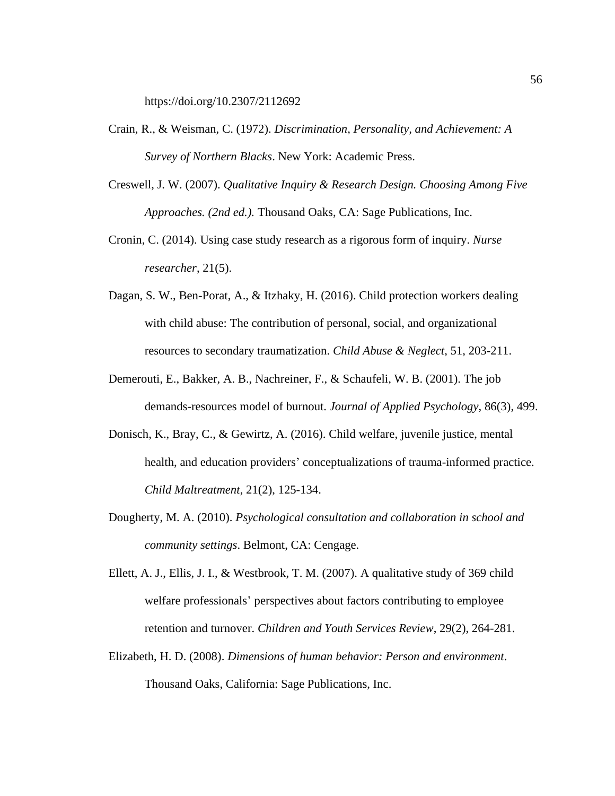https://doi.org/10.2307/2112692

- Crain, R., & Weisman, C. (1972). *Discrimination, Personality, and Achievement: A Survey of Northern Blacks*. New York: Academic Press.
- Creswell, J. W. (2007). *Qualitative Inquiry & Research Design. Choosing Among Five Approaches. (2nd ed.).* Thousand Oaks, CA: Sage Publications, Inc.
- Cronin, C. (2014). Using case study research as a rigorous form of inquiry. *Nurse researcher*, 21(5).
- Dagan, S. W., Ben-Porat, A., & Itzhaky, H. (2016). Child protection workers dealing with child abuse: The contribution of personal, social, and organizational resources to secondary traumatization. *Child Abuse & Neglect*, 51, 203-211.
- Demerouti, E., Bakker, A. B., Nachreiner, F., & Schaufeli, W. B. (2001). The job demands-resources model of burnout. *Journal of Applied Psychology*, 86(3), 499.
- Donisch, K., Bray, C., & Gewirtz, A. (2016). Child welfare, juvenile justice, mental health, and education providers' conceptualizations of trauma-informed practice. *Child Maltreatment*, 21(2), 125-134.
- Dougherty, M. A. (2010). *Psychological consultation and collaboration in school and community settings*. Belmont, CA: Cengage.
- Ellett, A. J., Ellis, J. I., & Westbrook, T. M. (2007). A qualitative study of 369 child welfare professionals' perspectives about factors contributing to employee retention and turnover. *Children and Youth Services Review*, 29(2), 264-281.
- Elizabeth, H. D. (2008). *Dimensions of human behavior: Person and environment*. Thousand Oaks, California: Sage Publications, Inc.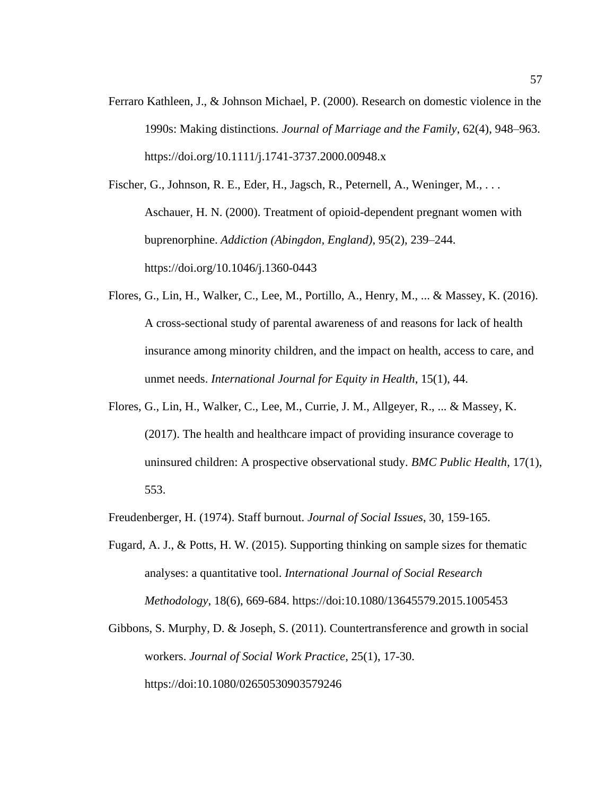Ferraro Kathleen, J., & Johnson Michael, P. (2000). Research on domestic violence in the 1990s: Making distinctions. *Journal of Marriage and the Family*, 62(4), 948–963. https://doi.org/10.1111/j.1741-3737.2000.00948.x

Fischer, G., Johnson, R. E., Eder, H., Jagsch, R., Peternell, A., Weninger, M., . . . Aschauer, H. N. (2000). Treatment of opioid-dependent pregnant women with buprenorphine. *Addiction (Abingdon, England)*, 95(2), 239–244. https://doi.org/10.1046/j.1360-0443

- Flores, G., Lin, H., Walker, C., Lee, M., Portillo, A., Henry, M., ... & Massey, K. (2016). A cross-sectional study of parental awareness of and reasons for lack of health insurance among minority children, and the impact on health, access to care, and unmet needs. *International Journal for Equity in Health*, 15(1), 44.
- Flores, G., Lin, H., Walker, C., Lee, M., Currie, J. M., Allgeyer, R., ... & Massey, K. (2017). The health and healthcare impact of providing insurance coverage to uninsured children: A prospective observational study. *BMC Public Health*, 17(1), 553.

Freudenberger, H. (1974). Staff burnout. *Journal of Social Issues*, 30, 159-165.

- Fugard, A. J., & Potts, H. W. (2015). Supporting thinking on sample sizes for thematic analyses: a quantitative tool. *International Journal of Social Research Methodology*, 18(6), 669-684. https://doi:10.1080/13645579.2015.1005453
- Gibbons, S. Murphy, D. & Joseph, S. (2011). Countertransference and growth in social workers. *Journal of Social Work Practice*, 25(1), 17-30. https://doi:10.1080/02650530903579246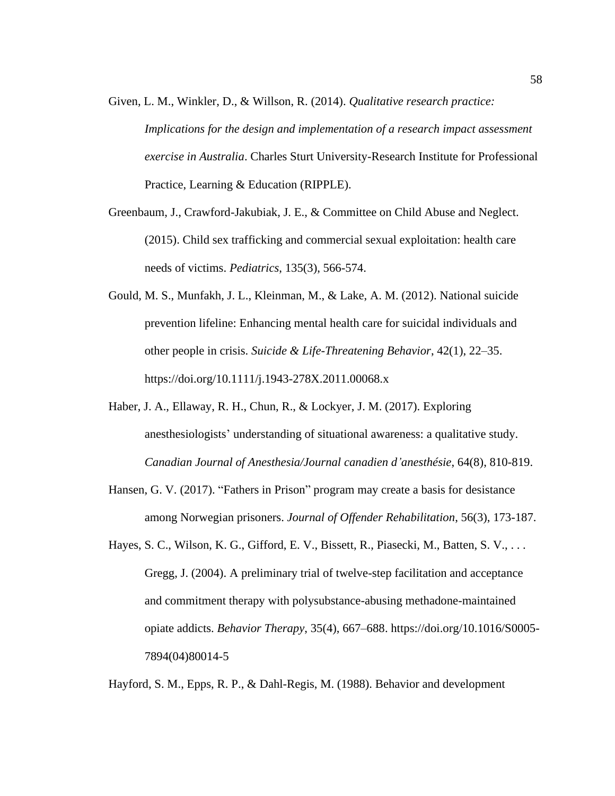- Given, L. M., Winkler, D., & Willson, R. (2014). *Qualitative research practice: Implications for the design and implementation of a research impact assessment exercise in Australia*. Charles Sturt University-Research Institute for Professional Practice, Learning & Education (RIPPLE).
- Greenbaum, J., Crawford-Jakubiak, J. E., & Committee on Child Abuse and Neglect. (2015). Child sex trafficking and commercial sexual exploitation: health care needs of victims. *Pediatrics*, 135(3), 566-574.
- Gould, M. S., Munfakh, J. L., Kleinman, M., & Lake, A. M. (2012). National suicide prevention lifeline: Enhancing mental health care for suicidal individuals and other people in crisis. *Suicide & Life-Threatening Behavior*, 42(1), 22–35. https://doi.org/10.1111/j.1943-278X.2011.00068.x
- Haber, J. A., Ellaway, R. H., Chun, R., & Lockyer, J. M. (2017). Exploring anesthesiologists' understanding of situational awareness: a qualitative study. *Canadian Journal of Anesthesia/Journal canadien d'anesthésie*, 64(8), 810-819.
- Hansen, G. V. (2017). "Fathers in Prison" program may create a basis for desistance among Norwegian prisoners. *Journal of Offender Rehabilitation*, 56(3), 173-187.
- Hayes, S. C., Wilson, K. G., Gifford, E. V., Bissett, R., Piasecki, M., Batten, S. V., ... Gregg, J. (2004). A preliminary trial of twelve-step facilitation and acceptance and commitment therapy with polysubstance-abusing methadone-maintained opiate addicts. *Behavior Therapy*, 35(4), 667–688. https://doi.org/10.1016/S0005- 7894(04)80014-5

Hayford, S. M., Epps, R. P., & Dahl-Regis, M. (1988). Behavior and development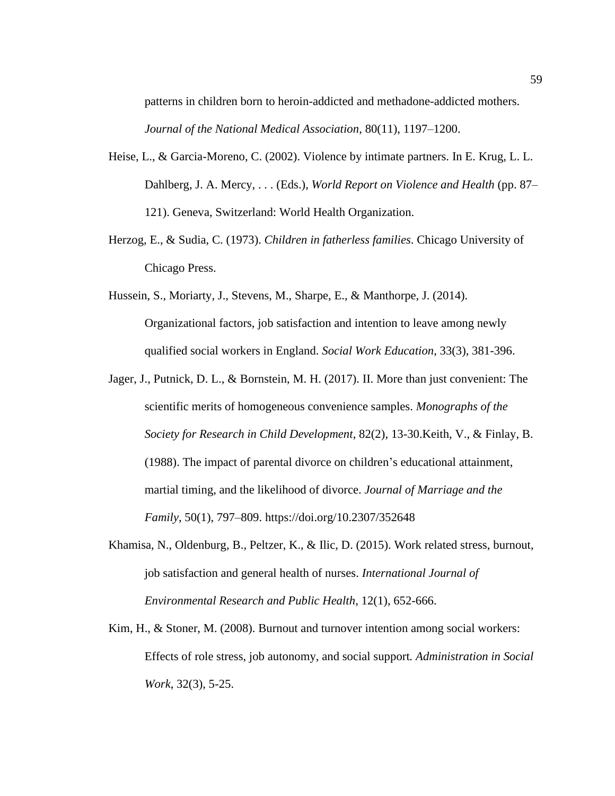patterns in children born to heroin-addicted and methadone-addicted mothers. *Journal of the National Medical Association*, 80(11), 1197–1200.

- Heise, L., & Garcia-Moreno, C. (2002). Violence by intimate partners. In E. Krug, L. L. Dahlberg, J. A. Mercy, . . . (Eds.), *World Report on Violence and Health* (pp. 87– 121). Geneva, Switzerland: World Health Organization.
- Herzog, E., & Sudia, C. (1973). *Children in fatherless families*. Chicago University of Chicago Press.
- Hussein, S., Moriarty, J., Stevens, M., Sharpe, E., & Manthorpe, J. (2014). Organizational factors, job satisfaction and intention to leave among newly qualified social workers in England. *Social Work Education*, 33(3), 381-396.
- Jager, J., Putnick, D. L., & Bornstein, M. H. (2017). II. More than just convenient: The scientific merits of homogeneous convenience samples. *Monographs of the Society for Research in Child Development*, 82(2), 13-30.Keith, V., & Finlay, B. (1988). The impact of parental divorce on children's educational attainment, martial timing, and the likelihood of divorce. *Journal of Marriage and the Family*, 50(1), 797–809. https://doi.org/10.2307/352648
- Khamisa, N., Oldenburg, B., Peltzer, K., & Ilic, D. (2015). Work related stress, burnout, job satisfaction and general health of nurses. *International Journal of Environmental Research and Public Health*, 12(1), 652-666.
- Kim, H., & Stoner, M. (2008). Burnout and turnover intention among social workers: Effects of role stress, job autonomy, and social support*. Administration in Social Work*, 32(3), 5-25.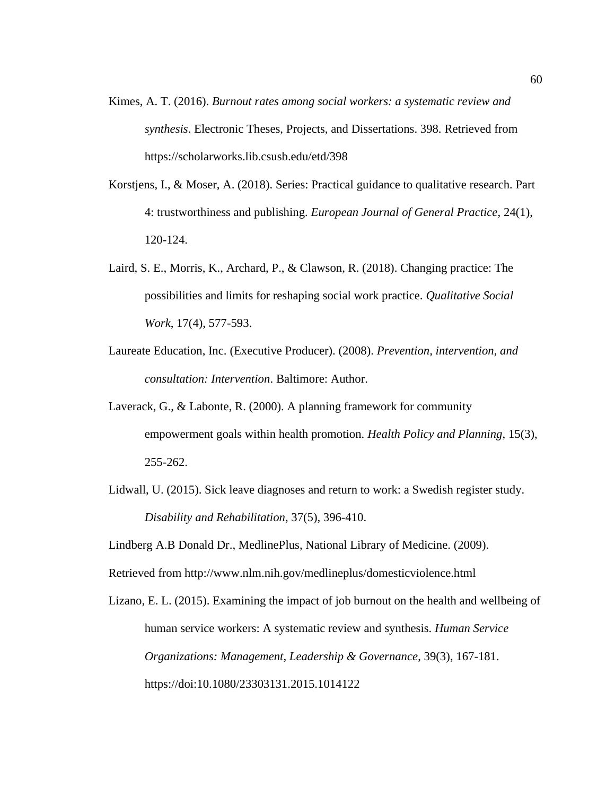- Kimes, A. T. (2016). *Burnout rates among social workers: a systematic review and synthesis*. Electronic Theses, Projects, and Dissertations. 398. Retrieved from https://scholarworks.lib.csusb.edu/etd/398
- Korstjens, I., & Moser, A. (2018). Series: Practical guidance to qualitative research. Part 4: trustworthiness and publishing. *European Journal of General Practice*, 24(1), 120-124.
- Laird, S. E., Morris, K., Archard, P., & Clawson, R. (2018). Changing practice: The possibilities and limits for reshaping social work practice. *Qualitative Social Work*, 17(4), 577-593.
- Laureate Education, Inc. (Executive Producer). (2008). *Prevention, intervention, and consultation: Intervention*. Baltimore: Author.
- Laverack, G., & Labonte, R. (2000). A planning framework for community empowerment goals within health promotion. *Health Policy and Planning*, 15(3), 255-262.
- Lidwall, U. (2015). Sick leave diagnoses and return to work: a Swedish register study. *Disability and Rehabilitation*, 37(5), 396-410.
- Lindberg A.B Donald Dr., MedlinePlus, National Library of Medicine. (2009).
- Retrieved from http://www.nlm.nih.gov/medlineplus/domesticviolence.html
- Lizano, E. L. (2015). Examining the impact of job burnout on the health and wellbeing of human service workers: A systematic review and synthesis. *Human Service Organizations: Management, Leadership & Governance*, 39(3), 167-181. https://doi:10.1080/23303131.2015.1014122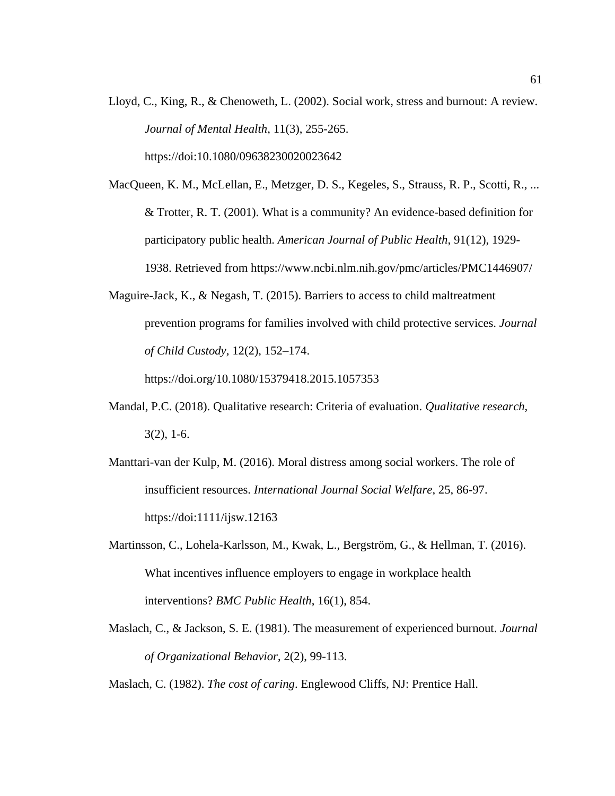- Lloyd, C., King, R., & Chenoweth, L. (2002). Social work, stress and burnout: A review. *Journal of Mental Health*, 11(3), 255-265. https://doi:10.1080/09638230020023642
- MacQueen, K. M., McLellan, E., Metzger, D. S., Kegeles, S., Strauss, R. P., Scotti, R., ... & Trotter, R. T. (2001). What is a community? An evidence-based definition for participatory public health. *American Journal of Public Health*, 91(12), 1929- 1938. Retrieved from https://www.ncbi.nlm.nih.gov/pmc/articles/PMC1446907/
- Maguire-Jack, K., & Negash, T. (2015). Barriers to access to child maltreatment prevention programs for families involved with child protective services. *Journal of Child Custody*, 12(2), 152–174.

https://doi.org/10.1080/15379418.2015.1057353

- Mandal, P.C. (2018). Qualitative research: Criteria of evaluation. *Qualitative research*,  $3(2)$ , 1-6.
- Manttari-van der Kulp, M. (2016). Moral distress among social workers. The role of insufficient resources. *International Journal Social Welfare*, 25, 86-97. https://doi:1111/ijsw.12163
- Martinsson, C., Lohela-Karlsson, M., Kwak, L., Bergström, G., & Hellman, T. (2016). What incentives influence employers to engage in workplace health interventions? *BMC Public Health*, 16(1), 854.
- Maslach, C., & Jackson, S. E. (1981). The measurement of experienced burnout. *Journal of Organizational Behavior*, 2(2), 99-113.

Maslach, C. (1982). *The cost of caring*. Englewood Cliffs, NJ: Prentice Hall.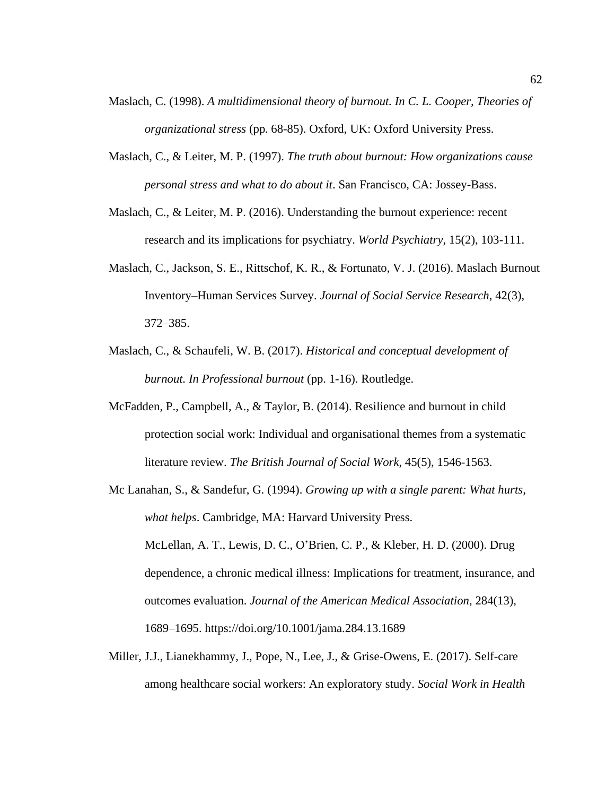- Maslach, C. (1998). *A multidimensional theory of burnout. In C. L. Cooper, Theories of organizational stress* (pp. 68-85). Oxford, UK: Oxford University Press.
- Maslach, C., & Leiter, M. P. (1997). *The truth about burnout: How organizations cause personal stress and what to do about it*. San Francisco, CA: Jossey-Bass.
- Maslach, C., & Leiter, M. P. (2016). Understanding the burnout experience: recent research and its implications for psychiatry. *World Psychiatry*, 15(2), 103-111.
- Maslach, C., Jackson, S. E., Rittschof, K. R., & Fortunato, V. J. (2016). Maslach Burnout Inventory–Human Services Survey. *Journal of Social Service Research*, 42(3), 372–385.
- Maslach, C., & Schaufeli, W. B. (2017). *Historical and conceptual development of burnout. In Professional burnout* (pp. 1-16). Routledge.
- McFadden, P., Campbell, A., & Taylor, B. (2014). Resilience and burnout in child protection social work: Individual and organisational themes from a systematic literature review. *The British Journal of Social Work*, 45(5), 1546-1563.
- Mc Lanahan, S., & Sandefur, G. (1994). *Growing up with a single parent: What hurts, what helps*. Cambridge, MA: Harvard University Press. McLellan, A. T., Lewis, D. C., O'Brien, C. P., & Kleber, H. D. (2000). Drug dependence, a chronic medical illness: Implications for treatment, insurance, and outcomes evaluation. *Journal of the American Medical Association*, 284(13), 1689–1695. https://doi.org/10.1001/jama.284.13.1689
- Miller, J.J., Lianekhammy, J., Pope, N., Lee, J., & Grise-Owens, E. (2017). Self-care among healthcare social workers: An exploratory study. *Social Work in Health*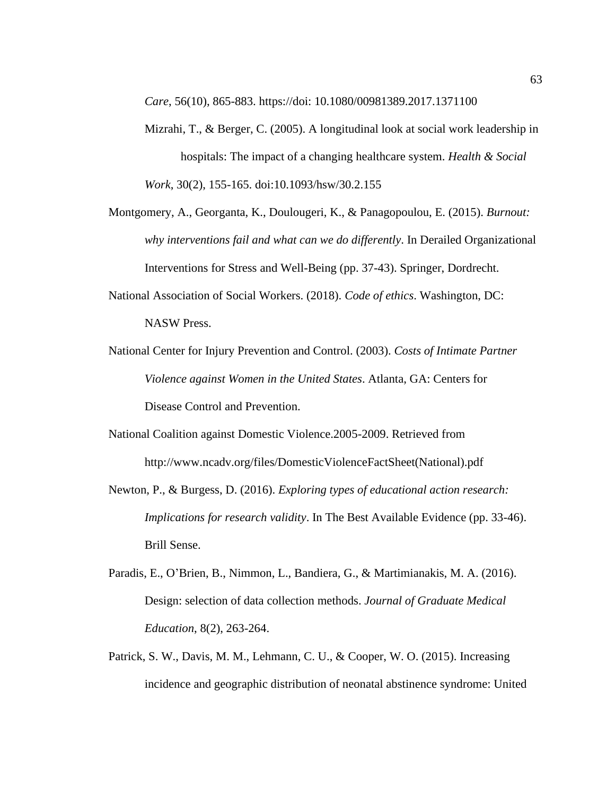*Care*, 56(10), 865-883. https://doi: 10.1080/00981389.2017.1371100

- Mizrahi, T., & Berger, C. (2005). A longitudinal look at social work leadership in hospitals: The impact of a changing healthcare system. *Health & Social Work*, 30(2), 155-165. doi:10.1093/hsw/30.2.155
- Montgomery, A., Georganta, K., Doulougeri, K., & Panagopoulou, E. (2015). *Burnout: why interventions fail and what can we do differently*. In Derailed Organizational Interventions for Stress and Well-Being (pp. 37-43). Springer, Dordrecht.
- National Association of Social Workers. (2018). *Code of ethics*. Washington, DC: NASW Press.
- National Center for Injury Prevention and Control. (2003). *Costs of Intimate Partner Violence against Women in the United States*. Atlanta, GA: Centers for Disease Control and Prevention.
- National Coalition against Domestic Violence.2005-2009. Retrieved from http://www.ncadv.org/files/DomesticViolenceFactSheet(National).pdf
- Newton, P., & Burgess, D. (2016). *Exploring types of educational action research: Implications for research validity*. In The Best Available Evidence (pp. 33-46). Brill Sense.
- Paradis, E., O'Brien, B., Nimmon, L., Bandiera, G., & Martimianakis, M. A. (2016). Design: selection of data collection methods. *Journal of Graduate Medical Education*, 8(2), 263-264.
- Patrick, S. W., Davis, M. M., Lehmann, C. U., & Cooper, W. O. (2015). Increasing incidence and geographic distribution of neonatal abstinence syndrome: United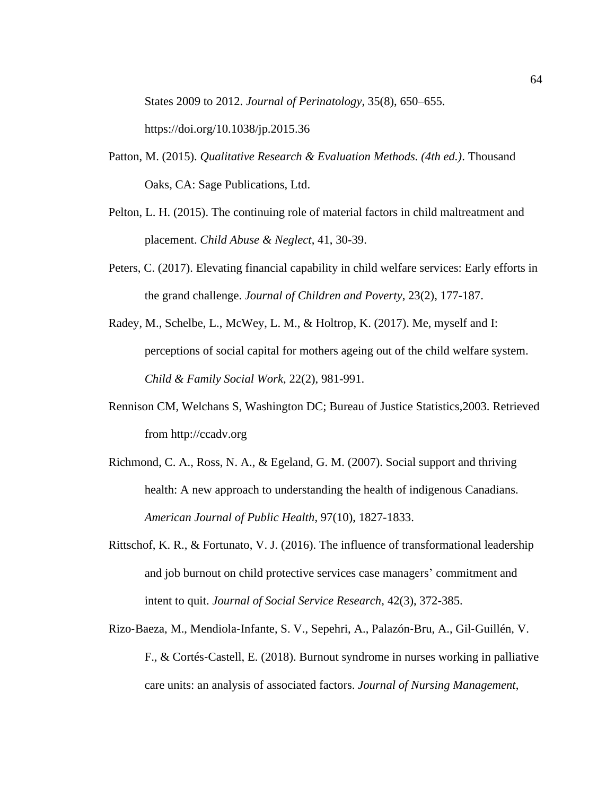States 2009 to 2012. *Journal of Perinatology*, 35(8), 650–655.

https://doi.org/10.1038/jp.2015.36

- Patton, M. (2015). *Qualitative Research & Evaluation Methods. (4th ed.)*. Thousand Oaks, CA: Sage Publications, Ltd.
- Pelton, L. H. (2015). The continuing role of material factors in child maltreatment and placement. *Child Abuse & Neglect*, 41, 30-39.
- Peters, C. (2017). Elevating financial capability in child welfare services: Early efforts in the grand challenge. *Journal of Children and Poverty*, 23(2), 177-187.
- Radey, M., Schelbe, L., McWey, L. M., & Holtrop, K. (2017). Me, myself and I: perceptions of social capital for mothers ageing out of the child welfare system. *Child & Family Social Work*, 22(2), 981-991.
- Rennison CM, Welchans S, Washington DC; Bureau of Justice Statistics,2003. Retrieved from http://ccadv.org
- Richmond, C. A., Ross, N. A., & Egeland, G. M. (2007). Social support and thriving health: A new approach to understanding the health of indigenous Canadians. *American Journal of Public Health*, 97(10), 1827-1833.
- Rittschof, K. R., & Fortunato, V. J. (2016). The influence of transformational leadership and job burnout on child protective services case managers' commitment and intent to quit. *Journal of Social Service Research*, 42(3), 372-385.
- Rizo‐Baeza, M., Mendiola‐Infante, S. V., Sepehri, A., Palazón‐Bru, A., Gil‐Guillén, V. F., & Cortés‐Castell, E. (2018). Burnout syndrome in nurses working in palliative care units: an analysis of associated factors. *Journal of Nursing Management*,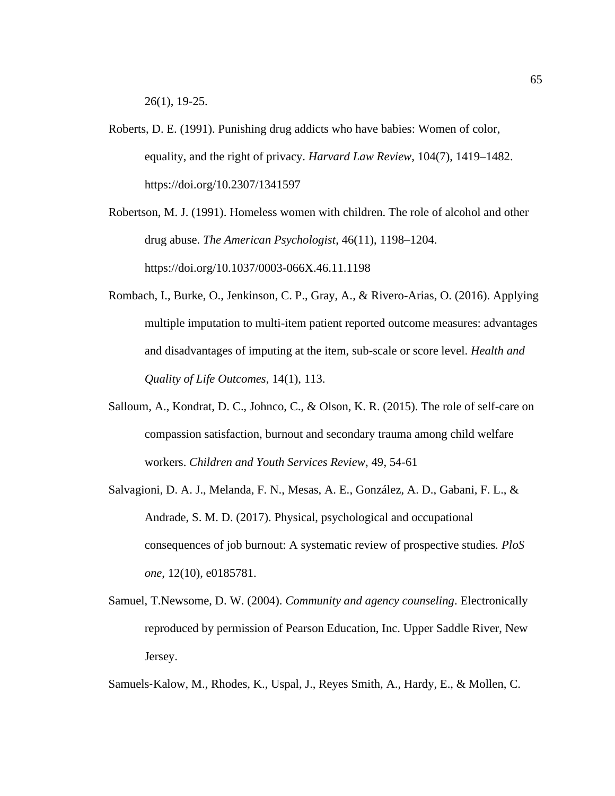26(1), 19-25.

Roberts, D. E. (1991). Punishing drug addicts who have babies: Women of color, equality, and the right of privacy. *Harvard Law Review*, 104(7), 1419–1482. https://doi.org/10.2307/1341597

Robertson, M. J. (1991). Homeless women with children. The role of alcohol and other drug abuse. *The American Psychologist*, 46(11), 1198–1204. https://doi.org/10.1037/0003-066X.46.11.1198

- Rombach, I., Burke, O., Jenkinson, C. P., Gray, A., & Rivero-Arias, O. (2016). Applying multiple imputation to multi-item patient reported outcome measures: advantages and disadvantages of imputing at the item, sub-scale or score level. *Health and Quality of Life Outcomes*, 14(1), 113.
- Salloum, A., Kondrat, D. C., Johnco, C., & Olson, K. R. (2015). The role of self-care on compassion satisfaction, burnout and secondary trauma among child welfare workers. *Children and Youth Services Review*, 49, 54-61
- Salvagioni, D. A. J., Melanda, F. N., Mesas, A. E., González, A. D., Gabani, F. L., & Andrade, S. M. D. (2017). Physical, psychological and occupational consequences of job burnout: A systematic review of prospective studies*. PloS one*, 12(10), e0185781.
- Samuel, T.Newsome, D. W. (2004). *Community and agency counseling*. Electronically reproduced by permission of Pearson Education, Inc. Upper Saddle River, New Jersey.

Samuels‐Kalow, M., Rhodes, K., Uspal, J., Reyes Smith, A., Hardy, E., & Mollen, C.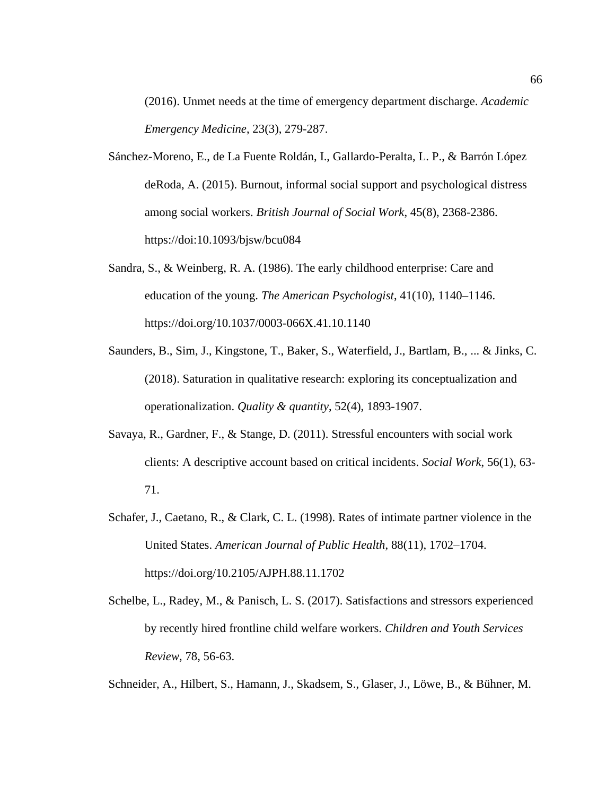(2016). Unmet needs at the time of emergency department discharge. *Academic Emergency Medicine*, 23(3), 279-287.

- Sánchez-Moreno, E., de La Fuente Roldán, I., Gallardo-Peralta, L. P., & Barrón López deRoda, A. (2015). Burnout, informal social support and psychological distress among social workers. *British Journal of Social Work*, 45(8), 2368-2386. https://doi:10.1093/bjsw/bcu084
- Sandra, S., & Weinberg, R. A. (1986). The early childhood enterprise: Care and education of the young. *The American Psychologist*, 41(10), 1140–1146. https://doi.org/10.1037/0003-066X.41.10.1140
- Saunders, B., Sim, J., Kingstone, T., Baker, S., Waterfield, J., Bartlam, B., ... & Jinks, C. (2018). Saturation in qualitative research: exploring its conceptualization and operationalization. *Quality & quantity*, 52(4), 1893-1907.
- Savaya, R., Gardner, F., & Stange, D. (2011). Stressful encounters with social work clients: A descriptive account based on critical incidents. *Social Work*, 56(1), 63- 71.
- Schafer, J., Caetano, R., & Clark, C. L. (1998). Rates of intimate partner violence in the United States. *American Journal of Public Health*, 88(11), 1702–1704. https://doi.org/10.2105/AJPH.88.11.1702
- Schelbe, L., Radey, M., & Panisch, L. S. (2017). Satisfactions and stressors experienced by recently hired frontline child welfare workers. *Children and Youth Services Review*, 78, 56-63.

Schneider, A., Hilbert, S., Hamann, J., Skadsem, S., Glaser, J., Löwe, B., & Bühner, M.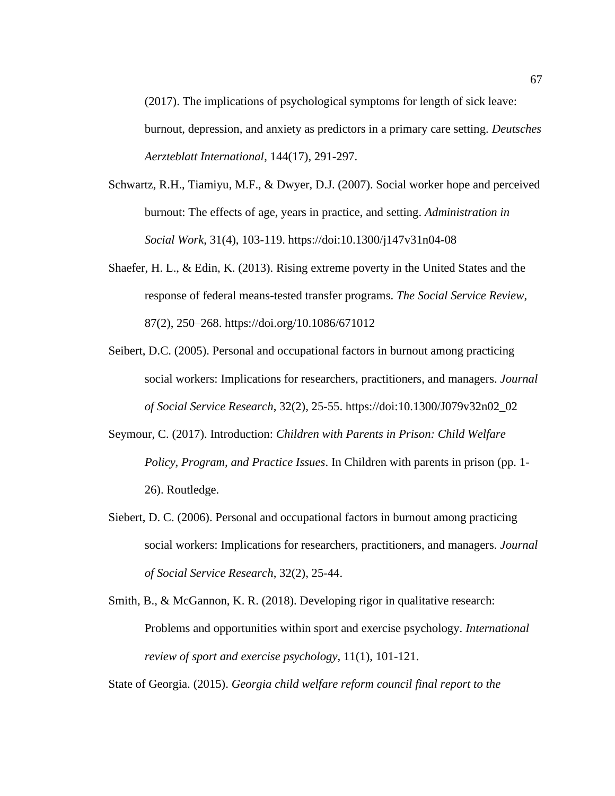(2017). The implications of psychological symptoms for length of sick leave: burnout, depression, and anxiety as predictors in a primary care setting. *Deutsches Aerzteblatt International*, 144(17), 291-297.

- Schwartz, R.H., Tiamiyu, M.F., & Dwyer, D.J. (2007). Social worker hope and perceived burnout: The effects of age, years in practice, and setting. *Administration in Social Work*, 31(4), 103-119. https://doi:10.1300/j147v31n04-08
- Shaefer, H. L., & Edin, K. (2013). Rising extreme poverty in the United States and the response of federal means-tested transfer programs. *The Social Service Review*, 87(2), 250–268. https://doi.org/10.1086/671012
- Seibert, D.C. (2005). Personal and occupational factors in burnout among practicing social workers: Implications for researchers, practitioners, and managers. *Journal of Social Service Research*, 32(2), 25-55. https://doi:10.1300/J079v32n02\_02
- Seymour, C. (2017). Introduction: *Children with Parents in Prison: Child Welfare Policy, Program, and Practice Issues*. In Children with parents in prison (pp. 1- 26). Routledge.
- Siebert, D. C. (2006). Personal and occupational factors in burnout among practicing social workers: Implications for researchers, practitioners, and managers. *Journal of Social Service Research*, 32(2), 25-44.
- Smith, B., & McGannon, K. R. (2018). Developing rigor in qualitative research: Problems and opportunities within sport and exercise psychology. *International review of sport and exercise psychology*, 11(1), 101-121.

State of Georgia. (2015). *Georgia child welfare reform council final report to the*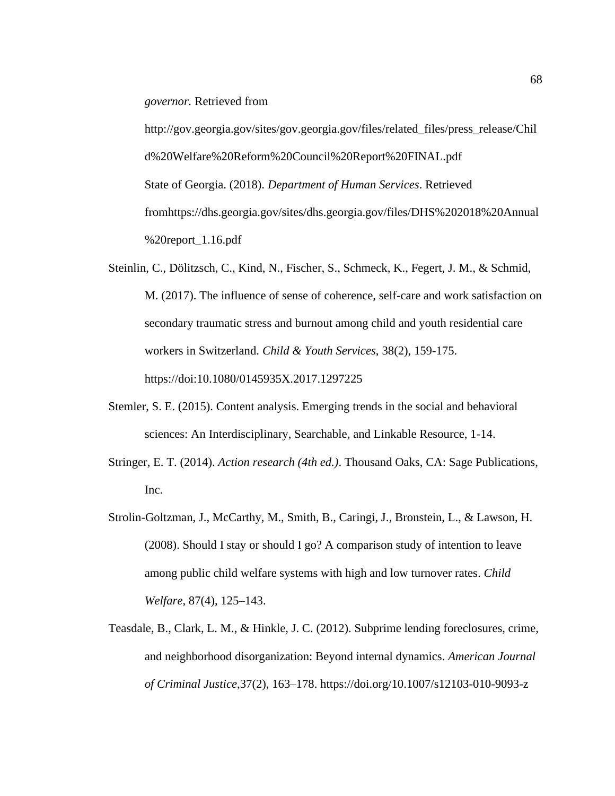*governor.* Retrieved from

http://gov.georgia.gov/sites/gov.georgia.gov/files/related\_files/press\_release/Chil d%20Welfare%20Reform%20Council%20Report%20FINAL.pdf State of Georgia. (2018). *Department of Human Services*. Retrieved fromhttps://dhs.georgia.gov/sites/dhs.georgia.gov/files/DHS%202018%20Annual %20report\_1.16.pdf

- Steinlin, C., Dölitzsch, C., Kind, N., Fischer, S., Schmeck, K., Fegert, J. M., & Schmid, M. (2017). The influence of sense of coherence, self-care and work satisfaction on secondary traumatic stress and burnout among child and youth residential care workers in Switzerland. *Child & Youth Services*, 38(2), 159-175. https://doi:10.1080/0145935X.2017.1297225
- Stemler, S. E. (2015). Content analysis. Emerging trends in the social and behavioral sciences: An Interdisciplinary, Searchable, and Linkable Resource, 1-14.
- Stringer, E. T. (2014). *Action research (4th ed.)*. Thousand Oaks, CA: Sage Publications, Inc.
- Strolin-Goltzman, J., McCarthy, M., Smith, B., Caringi, J., Bronstein, L., & Lawson, H. (2008). Should I stay or should I go? A comparison study of intention to leave among public child welfare systems with high and low turnover rates. *Child Welfare*, 87(4), 125–143.
- Teasdale, B., Clark, L. M., & Hinkle, J. C. (2012). Subprime lending foreclosures, crime, and neighborhood disorganization: Beyond internal dynamics. *American Journal of Criminal Justice*,37(2), 163–178. https://doi.org/10.1007/s12103-010-9093-z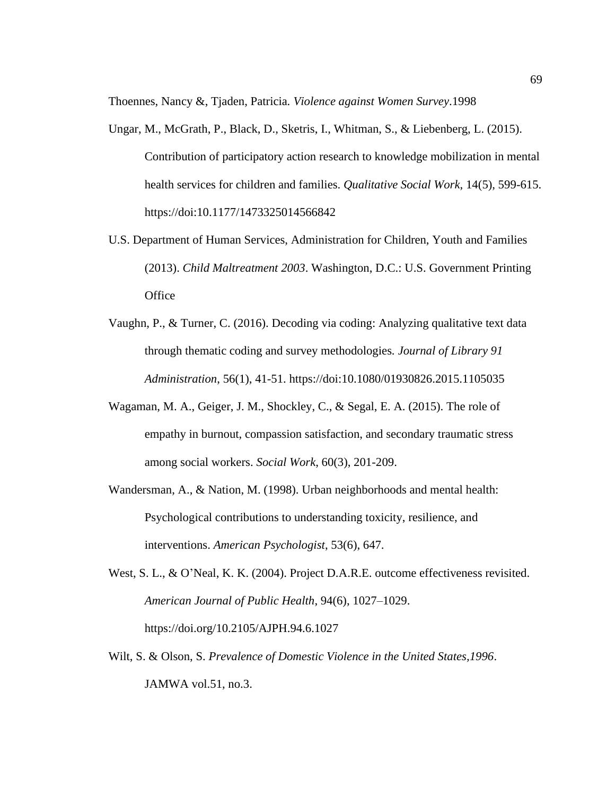Thoennes, Nancy &, Tjaden, Patricia*. Violence against Women Survey*.1998

- Ungar, M., McGrath, P., Black, D., Sketris, I., Whitman, S., & Liebenberg, L. (2015). Contribution of participatory action research to knowledge mobilization in mental health services for children and families. *Qualitative Social Work*, 14(5), 599-615. https://doi:10.1177/1473325014566842
- U.S. Department of Human Services, Administration for Children, Youth and Families (2013). *Child Maltreatment 2003*. Washington, D.C.: U.S. Government Printing **Office**
- Vaughn, P., & Turner, C. (2016). Decoding via coding: Analyzing qualitative text data through thematic coding and survey methodologies*. Journal of Library 91 Administration*, 56(1), 41-51. https://doi:10.1080/01930826.2015.1105035
- Wagaman, M. A., Geiger, J. M., Shockley, C., & Segal, E. A. (2015). The role of empathy in burnout, compassion satisfaction, and secondary traumatic stress among social workers. *Social Work*, 60(3), 201-209.
- Wandersman, A., & Nation, M. (1998). Urban neighborhoods and mental health: Psychological contributions to understanding toxicity, resilience, and interventions. *American Psychologist*, 53(6), 647.
- West, S. L., & O'Neal, K. K. (2004). Project D.A.R.E. outcome effectiveness revisited. *American Journal of Public Health*, 94(6), 1027–1029. https://doi.org/10.2105/AJPH.94.6.1027
- Wilt, S. & Olson, S. *Prevalence of Domestic Violence in the United States,1996*. JAMWA vol.51, no.3.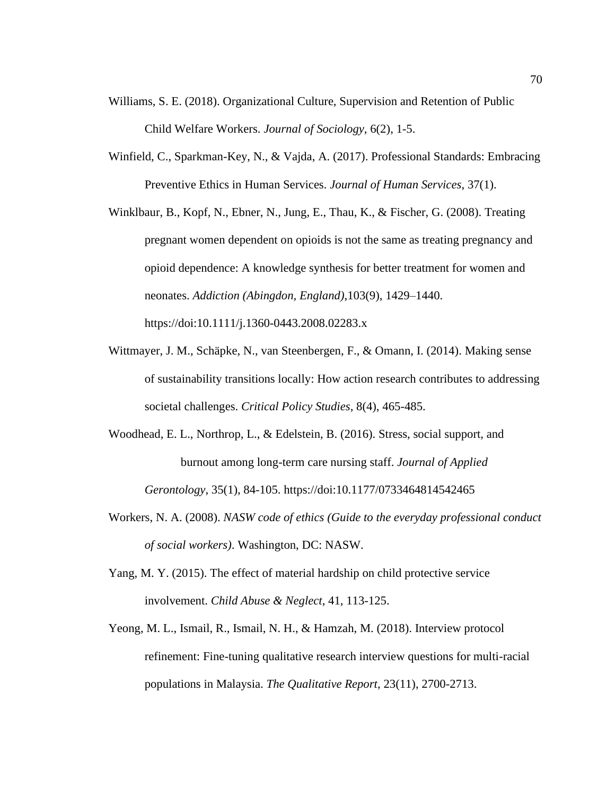- Williams, S. E. (2018). Organizational Culture, Supervision and Retention of Public Child Welfare Workers. *Journal of Sociology*, 6(2), 1-5.
- Winfield, C., Sparkman-Key, N., & Vajda, A. (2017). Professional Standards: Embracing Preventive Ethics in Human Services. *Journal of Human Services*, 37(1).

Winklbaur, B., Kopf, N., Ebner, N., Jung, E., Thau, K., & Fischer, G. (2008). Treating pregnant women dependent on opioids is not the same as treating pregnancy and opioid dependence: A knowledge synthesis for better treatment for women and neonates. *Addiction (Abingdon, England)*,103(9), 1429–1440. https://doi:10.1111/j.1360-0443.2008.02283.x

- Wittmayer, J. M., Schäpke, N., van Steenbergen, F., & Omann, I. (2014). Making sense of sustainability transitions locally: How action research contributes to addressing societal challenges. *Critical Policy Studies*, 8(4), 465-485.
- Woodhead, E. L., Northrop, L., & Edelstein, B. (2016). Stress, social support, and burnout among long-term care nursing staff. *Journal of Applied Gerontology*, 35(1), 84-105. https://doi:10.1177/0733464814542465
- Workers, N. A. (2008). *NASW code of ethics (Guide to the everyday professional conduct of social workers)*. Washington, DC: NASW.
- Yang, M. Y. (2015). The effect of material hardship on child protective service involvement. *Child Abuse & Neglect*, 41, 113-125.
- Yeong, M. L., Ismail, R., Ismail, N. H., & Hamzah, M. (2018). Interview protocol refinement: Fine-tuning qualitative research interview questions for multi-racial populations in Malaysia. *The Qualitative Report*, 23(11), 2700-2713.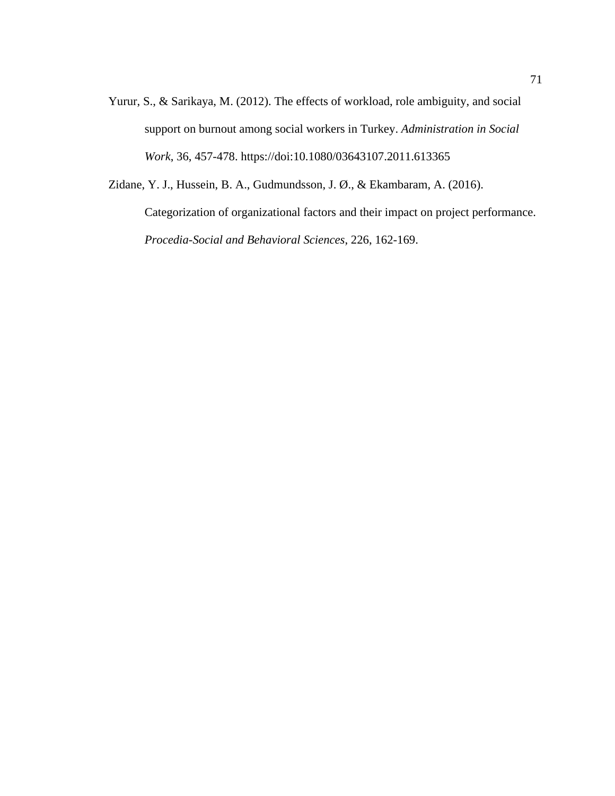Yurur, S., & Sarikaya, M. (2012). The effects of workload, role ambiguity, and social support on burnout among social workers in Turkey. *Administration in Social Work*, 36, 457-478. https://doi:10.1080/03643107.2011.613365

Zidane, Y. J., Hussein, B. A., Gudmundsson, J. Ø., & Ekambaram, A. (2016). Categorization of organizational factors and their impact on project performance. *Procedia-Social and Behavioral Sciences*, 226, 162-169.